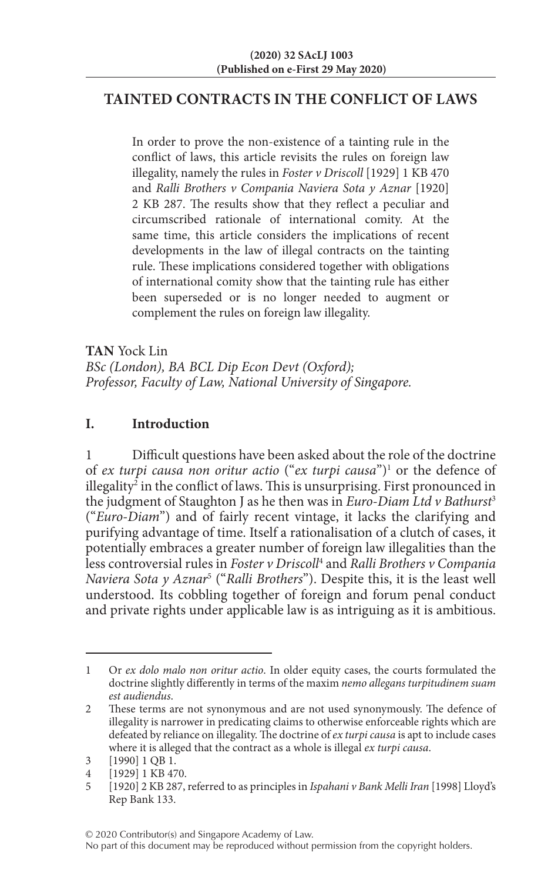# **TAINTED CONTRACTS IN THE CONFLICT OF LAWS**

In order to prove the non-existence of a tainting rule in the conflict of laws, this article revisits the rules on foreign law illegality, namely the rules in *Foster v Driscoll* [1929] 1 KB 470 and *Ralli Brothers v Compania Naviera Sota y Aznar* [1920] 2 KB 287. The results show that they reflect a peculiar and circumscribed rationale of international comity. At the same time, this article considers the implications of recent developments in the law of illegal contracts on the tainting rule. These implications considered together with obligations of international comity show that the tainting rule has either been superseded or is no longer needed to augment or complement the rules on foreign law illegality.

**TAN** Yock Lin *BSc (London), BA BCL Dip Econ Devt (Oxford); Professor, Faculty of Law, National University of Singapore.*

# **I. Introduction**

Difficult questions have been asked about the role of the doctrine of *ex turpi causa non oritur actio* ("*ex turpi causa*")1 or the defence of illegality<sup>2</sup> in the conflict of laws. This is unsurprising. First pronounced in the judgment of Staughton J as he then was in *Euro-Diam Ltd v Bathurst*<sup>3</sup> ("*Euro-Diam*") and of fairly recent vintage, it lacks the clarifying and purifying advantage of time. Itself a rationalisation of a clutch of cases, it potentially embraces a greater number of foreign law illegalities than the less controversial rules in *Foster v Driscoll*<sup>4</sup> and *Ralli Brothers v Compania Naviera Sota y Aznar*<sup>5</sup> ("*Ralli Brothers*"). Despite this, it is the least well understood. Its cobbling together of foreign and forum penal conduct and private rights under applicable law is as intriguing as it is ambitious.

<sup>1</sup> Or *ex dolo malo non oritur actio*. In older equity cases, the courts formulated the doctrine slightly differently in terms of the maxim *nemo allegans turpitudinem suam est audiendus*.

<sup>2</sup> These terms are not synonymous and are not used synonymously. The defence of illegality is narrower in predicating claims to otherwise enforceable rights which are defeated by reliance on illegality. The doctrine of *ex turpi causa* is apt to include cases where it is alleged that the contract as a whole is illegal *ex turpi causa*.

<sup>3</sup> [1990] 1 QB 1.

<sup>[1929] 1</sup> KB 470.

<sup>5</sup> [1920] 2 KB 287, referred to as principles in *Ispahani v Bank Melli Iran* [1998] Lloyd's Rep Bank 133.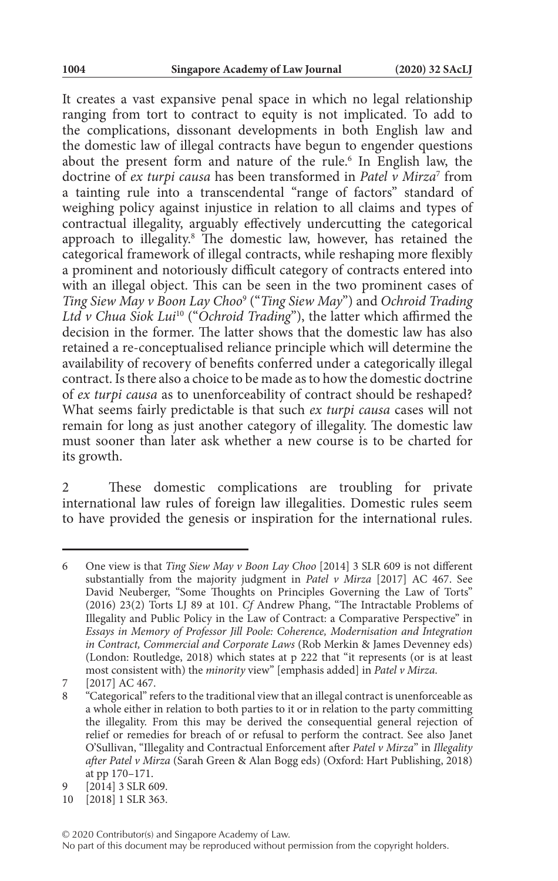It creates a vast expansive penal space in which no legal relationship ranging from tort to contract to equity is not implicated. To add to the complications, dissonant developments in both English law and the domestic law of illegal contracts have begun to engender questions about the present form and nature of the rule.<sup>6</sup> In English law, the doctrine of *ex turpi causa* has been transformed in *Patel v Mirza*<sup>7</sup> from a tainting rule into a transcendental "range of factors" standard of weighing policy against injustice in relation to all claims and types of contractual illegality, arguably effectively undercutting the categorical approach to illegality.<sup>8</sup> The domestic law, however, has retained the categorical framework of illegal contracts, while reshaping more flexibly a prominent and notoriously difficult category of contracts entered into with an illegal object. This can be seen in the two prominent cases of *Ting Siew May v Boon Lay Choo*<sup>9</sup> ("*Ting Siew May*") and *Ochroid Trading Ltd v Chua Siok Lui*10 ("*Ochroid Trading*"), the latter which affirmed the decision in the former. The latter shows that the domestic law has also retained a re-conceptualised reliance principle which will determine the availability of recovery of benefits conferred under a categorically illegal contract. Is there also a choice to be made as to how the domestic doctrine of *ex turpi causa* as to unenforceability of contract should be reshaped? What seems fairly predictable is that such *ex turpi causa* cases will not remain for long as just another category of illegality. The domestic law must sooner than later ask whether a new course is to be charted for its growth.

These domestic complications are troubling for private international law rules of foreign law illegalities. Domestic rules seem to have provided the genesis or inspiration for the international rules.

<sup>6</sup> One view is that *Ting Siew May v Boon Lay Choo* [2014] 3 SLR 609 is not different substantially from the majority judgment in *Patel v Mirza* [2017] AC 467. See David Neuberger, "Some Thoughts on Principles Governing the Law of Torts" (2016) 23(2) Torts LJ 89 at 101. *Cf* Andrew Phang, "The Intractable Problems of Illegality and Public Policy in the Law of Contract: a Comparative Perspective" in *Essays in Memory of Professor Jill Poole: Coherence, Modernisation and Integration in Contract, Commercial and Corporate Laws* (Rob Merkin & James Devenney eds) (London: Routledge, 2018) which states at p 222 that "it represents (or is at least most consistent with) the *minority* view" [emphasis added] in *Patel v Mirza*.

<sup>7 [2017]</sup> AC 467.<br>8 "Categorical" re

<sup>8</sup> "Categorical" refers to the traditional view that an illegal contract is unenforceable as a whole either in relation to both parties to it or in relation to the party committing the illegality. From this may be derived the consequential general rejection of relief or remedies for breach of or refusal to perform the contract. See also Janet O'Sullivan, "Illegality and Contractual Enforcement after *Patel v Mirza*" in *Illegality after Patel v Mirza* (Sarah Green & Alan Bogg eds) (Oxford: Hart Publishing, 2018) at pp 170–171.

<sup>9</sup> [2014] 3 SLR 609.

<sup>10</sup> [2018] 1 SLR 363.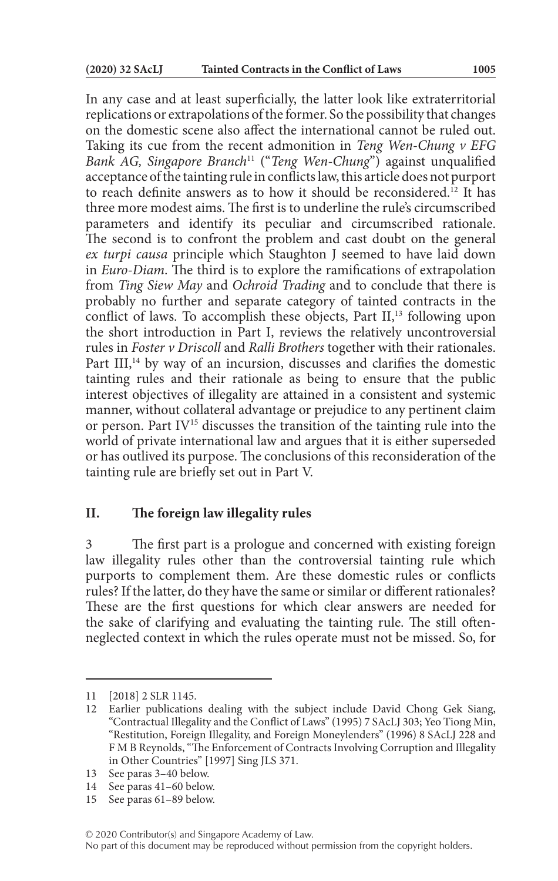In any case and at least superficially, the latter look like extraterritorial replications or extrapolations of the former. So the possibility that changes on the domestic scene also affect the international cannot be ruled out. Taking its cue from the recent admonition in *Teng Wen-Chung v EFG Bank AG, Singapore Branch*11 ("*Teng Wen-Chung*") against unqualified acceptance of the tainting rule in conflicts law, this article does not purport to reach definite answers as to how it should be reconsidered.12 It has three more modest aims. The first is to underline the rule's circumscribed parameters and identify its peculiar and circumscribed rationale. The second is to confront the problem and cast doubt on the general *ex turpi causa* principle which Staughton J seemed to have laid down in *Euro-Diam*. The third is to explore the ramifications of extrapolation from *Ting Siew May* and *Ochroid Trading* and to conclude that there is probably no further and separate category of tainted contracts in the conflict of laws. To accomplish these objects, Part  $II$ ,<sup>13</sup> following upon the short introduction in Part I, reviews the relatively uncontroversial rules in *Foster v Driscoll* and *Ralli Brothers* together with their rationales. Part III,<sup>14</sup> by way of an incursion, discusses and clarifies the domestic tainting rules and their rationale as being to ensure that the public interest objectives of illegality are attained in a consistent and systemic manner, without collateral advantage or prejudice to any pertinent claim or person. Part IV<sup>15</sup> discusses the transition of the tainting rule into the world of private international law and argues that it is either superseded or has outlived its purpose. The conclusions of this reconsideration of the tainting rule are briefly set out in Part V.

### **II. The foreign law illegality rules**

3 The first part is a prologue and concerned with existing foreign law illegality rules other than the controversial tainting rule which purports to complement them. Are these domestic rules or conflicts rules? If the latter, do they have the same or similar or different rationales? These are the first questions for which clear answers are needed for the sake of clarifying and evaluating the tainting rule. The still oftenneglected context in which the rules operate must not be missed. So, for

<sup>11</sup> [2018] 2 SLR 1145.

<sup>12</sup> Earlier publications dealing with the subject include David Chong Gek Siang, "Contractual Illegality and the Conflict of Laws" (1995) 7 SAcLJ 303; Yeo Tiong Min, "Restitution, Foreign Illegality, and Foreign Moneylenders" (1996) 8 SAcLJ 228 and F M B Reynolds, "The Enforcement of Contracts Involving Corruption and Illegality in Other Countries" [1997] Sing JLS 371.

<sup>13</sup> See paras 3–40 below.

<sup>14</sup> See paras 41–60 below.

<sup>15</sup> See paras 61–89 below.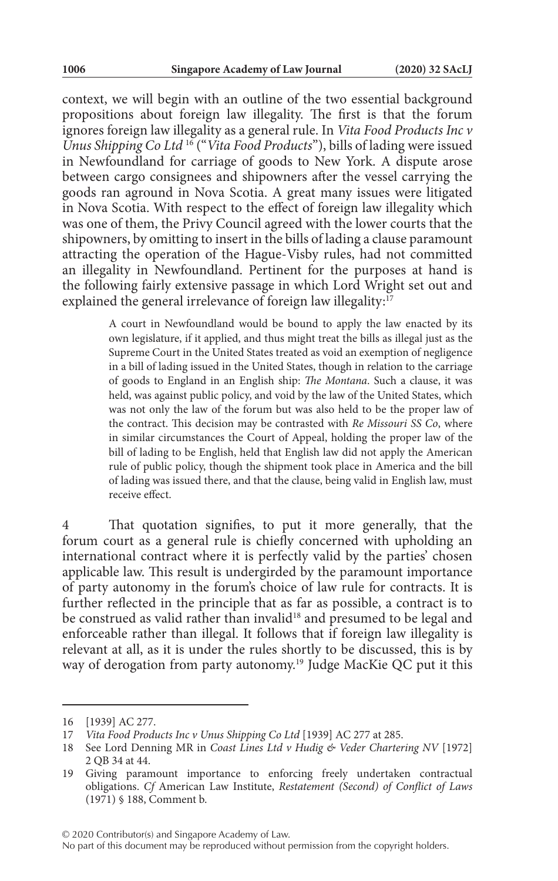context, we will begin with an outline of the two essential background propositions about foreign law illegality. The first is that the forum ignores foreign law illegality as a general rule. In *Vita Food Products Inc v Unus Shipping Co Ltd* 16 ("*Vita Food Products*"), bills of lading were issued in Newfoundland for carriage of goods to New York. A dispute arose between cargo consignees and shipowners after the vessel carrying the goods ran aground in Nova Scotia. A great many issues were litigated in Nova Scotia. With respect to the effect of foreign law illegality which was one of them, the Privy Council agreed with the lower courts that the shipowners, by omitting to insert in the bills of lading a clause paramount attracting the operation of the Hague-Visby rules, had not committed an illegality in Newfoundland. Pertinent for the purposes at hand is the following fairly extensive passage in which Lord Wright set out and explained the general irrelevance of foreign law illegality: $17$ 

> A court in Newfoundland would be bound to apply the law enacted by its own legislature, if it applied, and thus might treat the bills as illegal just as the Supreme Court in the United States treated as void an exemption of negligence in a bill of lading issued in the United States, though in relation to the carriage of goods to England in an English ship: *The Montana*. Such a clause, it was held, was against public policy, and void by the law of the United States, which was not only the law of the forum but was also held to be the proper law of the contract. This decision may be contrasted with *Re Missouri SS Co*, where in similar circumstances the Court of Appeal, holding the proper law of the bill of lading to be English, held that English law did not apply the American rule of public policy, though the shipment took place in America and the bill of lading was issued there, and that the clause, being valid in English law, must receive effect.

That quotation signifies, to put it more generally, that the forum court as a general rule is chiefly concerned with upholding an international contract where it is perfectly valid by the parties' chosen applicable law. This result is undergirded by the paramount importance of party autonomy in the forum's choice of law rule for contracts. It is further reflected in the principle that as far as possible, a contract is to be construed as valid rather than invalid<sup>18</sup> and presumed to be legal and enforceable rather than illegal. It follows that if foreign law illegality is relevant at all, as it is under the rules shortly to be discussed, this is by way of derogation from party autonomy.<sup>19</sup> Judge MacKie QC put it this

© 2020 Contributor(s) and Singapore Academy of Law.

No part of this document may be reproduced without permission from the copyright holders.

<sup>16</sup> [1939] AC 277.

<sup>17</sup> *Vita Food Products Inc v Unus Shipping Co Ltd* [1939] AC 277 at 285.

<sup>18</sup> See Lord Denning MR in *Coast Lines Ltd v Hudig & Veder Chartering NV* [1972] 2 QB 34 at 44.

<sup>19</sup> Giving paramount importance to enforcing freely undertaken contractual obligations. *Cf* American Law Institute, *Restatement (Second) of Conflict of Laws* (1971) § 188, Comment b.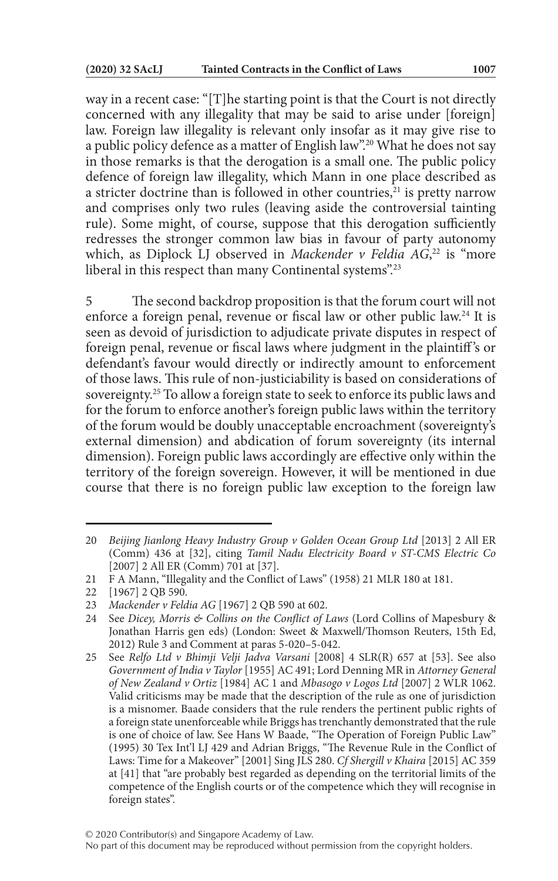way in a recent case: "[T]he starting point is that the Court is not directly concerned with any illegality that may be said to arise under [foreign] law. Foreign law illegality is relevant only insofar as it may give rise to a public policy defence as a matter of English law".20 What he does not say in those remarks is that the derogation is a small one. The public policy defence of foreign law illegality, which Mann in one place described as a stricter doctrine than is followed in other countries, ${}^{21}$  is pretty narrow and comprises only two rules (leaving aside the controversial tainting rule). Some might, of course, suppose that this derogation sufficiently redresses the stronger common law bias in favour of party autonomy which, as Diplock LJ observed in *Mackender v Feldia AG*,<sup>22</sup> is "more liberal in this respect than many Continental systems".23

5 The second backdrop proposition is that the forum court will not enforce a foreign penal, revenue or fiscal law or other public law.24 It is seen as devoid of jurisdiction to adjudicate private disputes in respect of foreign penal, revenue or fiscal laws where judgment in the plaintiff 's or defendant's favour would directly or indirectly amount to enforcement of those laws. This rule of non-justiciability is based on considerations of sovereignty.25 To allow a foreign state to seek to enforce its public laws and for the forum to enforce another's foreign public laws within the territory of the forum would be doubly unacceptable encroachment (sovereignty's external dimension) and abdication of forum sovereignty (its internal dimension). Foreign public laws accordingly are effective only within the territory of the foreign sovereign. However, it will be mentioned in due course that there is no foreign public law exception to the foreign law

<sup>20</sup> *Beijing Jianlong Heavy Industry Group v Golden Ocean Group Ltd* [2013] 2 All ER (Comm) 436 at [32], citing *Tamil Nadu Electricity Board v ST-CMS Electric Co* [2007] 2 All ER (Comm) 701 at [37].

<sup>21</sup> F A Mann, "Illegality and the Conflict of Laws" (1958) 21 MLR 180 at 181.

<sup>22</sup> [1967] 2 QB 590.

<sup>23</sup> *Mackender v Feldia AG* [1967] 2 QB 590 at 602.<br>24 See Dicey, Morris & Collins on the Conflict of I

See *Dicey, Morris & Collins on the Conflict of Laws* (Lord Collins of Mapesbury & Jonathan Harris gen eds) (London: Sweet & Maxwell/Thomson Reuters, 15th Ed, 2012) Rule 3 and Comment at paras 5-020–5-042.

<sup>25</sup> See *Relfo Ltd v Bhimji Velji Jadva Varsani* [2008] 4 SLR(R) 657 at [53]. See also *Government of India v Taylor* [1955] AC 491; Lord Denning MR in *Attorney General of New Zealand v Ortiz* [1984] AC 1 and *Mbasogo v Logos Ltd* [2007] 2 WLR 1062. Valid criticisms may be made that the description of the rule as one of jurisdiction is a misnomer. Baade considers that the rule renders the pertinent public rights of a foreign state unenforceable while Briggs has trenchantly demonstrated that the rule is one of choice of law. See Hans W Baade, "The Operation of Foreign Public Law" (1995) 30 Tex Int'l LJ 429 and Adrian Briggs, "The Revenue Rule in the Conflict of Laws: Time for a Makeover" [2001] Sing JLS 280. *Cf Shergill v Khaira* [2015] AC 359 at [41] that "are probably best regarded as depending on the territorial limits of the competence of the English courts or of the competence which they will recognise in foreign states".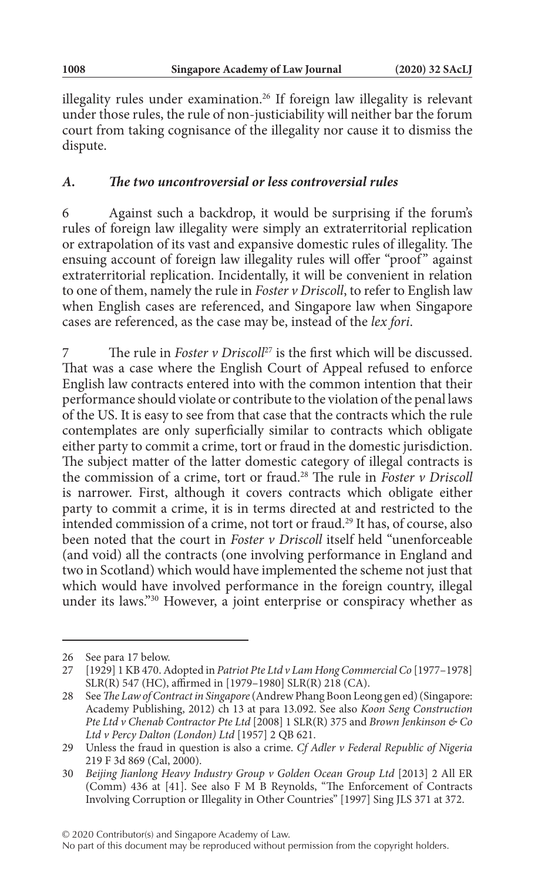illegality rules under examination.<sup>26</sup> If foreign law illegality is relevant under those rules, the rule of non-justiciability will neither bar the forum court from taking cognisance of the illegality nor cause it to dismiss the dispute.

### *A. The two uncontroversial or less controversial rules*

6 Against such a backdrop, it would be surprising if the forum's rules of foreign law illegality were simply an extraterritorial replication or extrapolation of its vast and expansive domestic rules of illegality. The ensuing account of foreign law illegality rules will offer "proof" against extraterritorial replication. Incidentally, it will be convenient in relation to one of them, namely the rule in *Foster v Driscoll*, to refer to English law when English cases are referenced, and Singapore law when Singapore cases are referenced, as the case may be, instead of the *lex fori*.

The rule in *Foster v Driscoll<sup>27</sup>* is the first which will be discussed. That was a case where the English Court of Appeal refused to enforce English law contracts entered into with the common intention that their performance should violate or contribute to the violation of the penal laws of the US. It is easy to see from that case that the contracts which the rule contemplates are only superficially similar to contracts which obligate either party to commit a crime, tort or fraud in the domestic jurisdiction. The subject matter of the latter domestic category of illegal contracts is the commission of a crime, tort or fraud.28 The rule in *Foster v Driscoll* is narrower. First, although it covers contracts which obligate either party to commit a crime, it is in terms directed at and restricted to the intended commission of a crime, not tort or fraud.29 It has, of course, also been noted that the court in *Foster v Driscoll* itself held "unenforceable (and void) all the contracts (one involving performance in England and two in Scotland) which would have implemented the scheme not just that which would have involved performance in the foreign country, illegal under its laws."30 However, a joint enterprise or conspiracy whether as

<sup>26</sup> See para 17 below.

<sup>27</sup> [1929] 1 KB 470. Adopted in *Patriot Pte Ltd v Lam Hong Commercial Co* [1977–1978] SLR(R) 547 (HC), affirmed in [1979–1980] SLR(R) 218 (CA).

<sup>28</sup> See *The Law of Contract in Singapore* (Andrew Phang Boon Leong gen ed) (Singapore: Academy Publishing, 2012) ch 13 at para 13.092. See also *Koon Seng Construction Pte Ltd v Chenab Contractor Pte Ltd* [2008] 1 SLR(R) 375 and *Brown Jenkinson & Co Ltd v Percy Dalton (London) Ltd* [1957] 2 QB 621.

<sup>29</sup> Unless the fraud in question is also a crime. *Cf Adler v Federal Republic of Nigeria* 219 F 3d 869 (Cal, 2000).

<sup>30</sup> *Beijing Jianlong Heavy Industry Group v Golden Ocean Group Ltd* [2013] 2 All ER (Comm) 436 at [41]. See also F M B Reynolds, "The Enforcement of Contracts Involving Corruption or Illegality in Other Countries" [1997] Sing JLS 371 at 372.

No part of this document may be reproduced without permission from the copyright holders.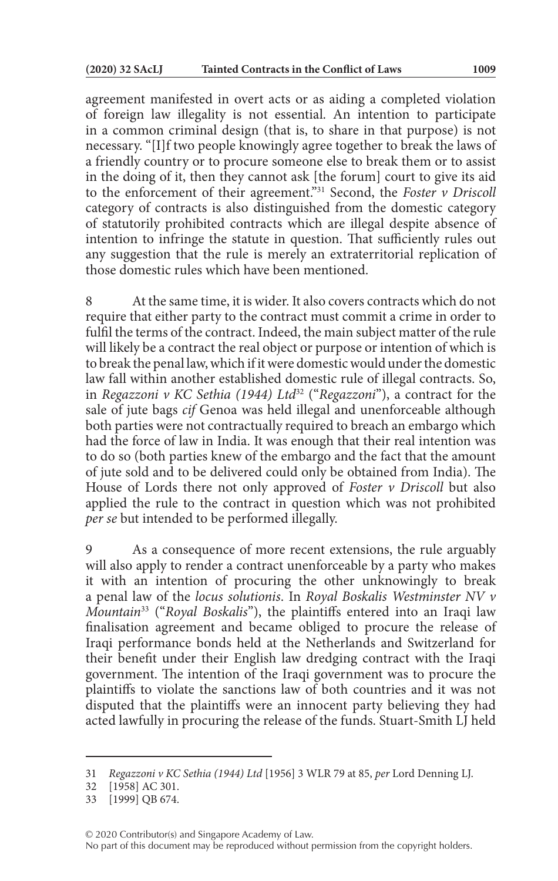agreement manifested in overt acts or as aiding a completed violation of foreign law illegality is not essential. An intention to participate in a common criminal design (that is, to share in that purpose) is not necessary. "[I]f two people knowingly agree together to break the laws of a friendly country or to procure someone else to break them or to assist in the doing of it, then they cannot ask [the forum] court to give its aid to the enforcement of their agreement."31 Second, the *Foster v Driscoll* category of contracts is also distinguished from the domestic category of statutorily prohibited contracts which are illegal despite absence of intention to infringe the statute in question. That sufficiently rules out any suggestion that the rule is merely an extraterritorial replication of those domestic rules which have been mentioned.

8 At the same time, it is wider. It also covers contracts which do not require that either party to the contract must commit a crime in order to fulfil the terms of the contract. Indeed, the main subject matter of the rule will likely be a contract the real object or purpose or intention of which is to break the penal law, which if it were domestic would under the domestic law fall within another established domestic rule of illegal contracts. So, in *Regazzoni v KC Sethia (1944) Ltd*32 ("*Regazzoni*"), a contract for the sale of jute bags *cif* Genoa was held illegal and unenforceable although both parties were not contractually required to breach an embargo which had the force of law in India. It was enough that their real intention was to do so (both parties knew of the embargo and the fact that the amount of jute sold and to be delivered could only be obtained from India). The House of Lords there not only approved of *Foster v Driscoll* but also applied the rule to the contract in question which was not prohibited *per se* but intended to be performed illegally.

9 As a consequence of more recent extensions, the rule arguably will also apply to render a contract unenforceable by a party who makes it with an intention of procuring the other unknowingly to break a penal law of the *locus solutionis*. In *Royal Boskalis Westminster NV v Mountain*33 ("*Royal Boskalis*"), the plaintiffs entered into an Iraqi law finalisation agreement and became obliged to procure the release of Iraqi performance bonds held at the Netherlands and Switzerland for their benefit under their English law dredging contract with the Iraqi government. The intention of the Iraqi government was to procure the plaintiffs to violate the sanctions law of both countries and it was not disputed that the plaintiffs were an innocent party believing they had acted lawfully in procuring the release of the funds. Stuart-Smith LJ held

<sup>31</sup> *Regazzoni v KC Sethia (1944) Ltd* [1956] 3 WLR 79 at 85, *per* Lord Denning LJ.

<sup>32</sup> [1958] AC 301.

<sup>33</sup> [1999] QB 674.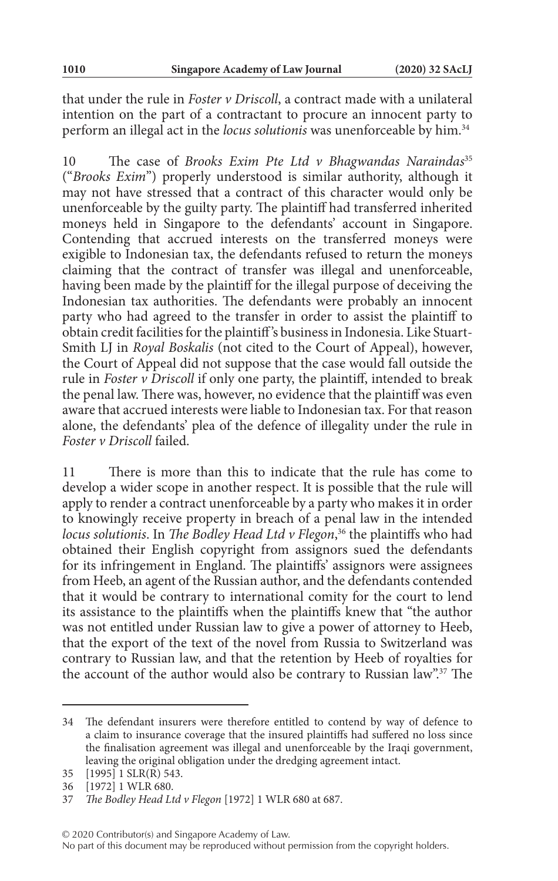that under the rule in *Foster v Driscoll*, a contract made with a unilateral intention on the part of a contractant to procure an innocent party to perform an illegal act in the *locus solutionis* was unenforceable by him.34

10 The case of *Brooks Exim Pte Ltd v Bhagwandas Naraindas*<sup>35</sup> ("*Brooks Exim*") properly understood is similar authority, although it may not have stressed that a contract of this character would only be unenforceable by the guilty party. The plaintiff had transferred inherited moneys held in Singapore to the defendants' account in Singapore. Contending that accrued interests on the transferred moneys were exigible to Indonesian tax, the defendants refused to return the moneys claiming that the contract of transfer was illegal and unenforceable, having been made by the plaintiff for the illegal purpose of deceiving the Indonesian tax authorities. The defendants were probably an innocent party who had agreed to the transfer in order to assist the plaintiff to obtain credit facilities for the plaintiff 's business in Indonesia. Like Stuart-Smith LJ in *Royal Boskalis* (not cited to the Court of Appeal), however, the Court of Appeal did not suppose that the case would fall outside the rule in *Foster v Driscoll* if only one party, the plaintiff, intended to break the penal law. There was, however, no evidence that the plaintiff was even aware that accrued interests were liable to Indonesian tax. For that reason alone, the defendants' plea of the defence of illegality under the rule in *Foster v Driscoll* failed.

11 There is more than this to indicate that the rule has come to develop a wider scope in another respect. It is possible that the rule will apply to render a contract unenforceable by a party who makes it in order to knowingly receive property in breach of a penal law in the intended *locus solutionis*. In *The Bodley Head Ltd v Flegon*, 36 the plaintiffs who had obtained their English copyright from assignors sued the defendants for its infringement in England. The plaintiffs' assignors were assignees from Heeb, an agent of the Russian author, and the defendants contended that it would be contrary to international comity for the court to lend its assistance to the plaintiffs when the plaintiffs knew that "the author was not entitled under Russian law to give a power of attorney to Heeb, that the export of the text of the novel from Russia to Switzerland was contrary to Russian law, and that the retention by Heeb of royalties for the account of the author would also be contrary to Russian law".37 The

<sup>34</sup> The defendant insurers were therefore entitled to contend by way of defence to a claim to insurance coverage that the insured plaintiffs had suffered no loss since the finalisation agreement was illegal and unenforceable by the Iraqi government, leaving the original obligation under the dredging agreement intact.

<sup>35</sup> [1995] 1 SLR(R) 543.

<sup>36</sup> [1972] 1 WLR 680.

<sup>37</sup> *The Bodley Head Ltd v Flegon* [1972] 1 WLR 680 at 687.

No part of this document may be reproduced without permission from the copyright holders.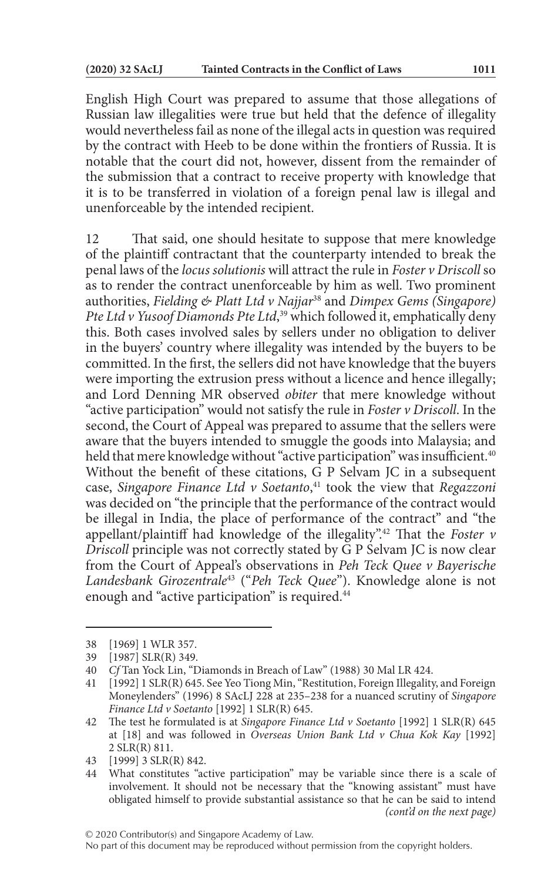English High Court was prepared to assume that those allegations of Russian law illegalities were true but held that the defence of illegality would nevertheless fail as none of the illegal acts in question was required by the contract with Heeb to be done within the frontiers of Russia. It is notable that the court did not, however, dissent from the remainder of the submission that a contract to receive property with knowledge that it is to be transferred in violation of a foreign penal law is illegal and unenforceable by the intended recipient.

12 That said, one should hesitate to suppose that mere knowledge of the plaintiff contractant that the counterparty intended to break the penal laws of the *locus solutionis* will attract the rule in *Foster v Driscoll* so as to render the contract unenforceable by him as well. Two prominent authorities, *Fielding & Platt Ltd v Najjar*38 and *Dimpex Gems (Singapore) Pte Ltd v Yusoof Diamonds Pte Ltd*, 39 which followed it, emphatically deny this. Both cases involved sales by sellers under no obligation to deliver in the buyers' country where illegality was intended by the buyers to be committed. In the first, the sellers did not have knowledge that the buyers were importing the extrusion press without a licence and hence illegally; and Lord Denning MR observed *obiter* that mere knowledge without "active participation" would not satisfy the rule in *Foster v Driscoll*. In the second, the Court of Appeal was prepared to assume that the sellers were aware that the buyers intended to smuggle the goods into Malaysia; and held that mere knowledge without "active participation" was insufficient.<sup>40</sup> Without the benefit of these citations, G P Selvam JC in a subsequent case, *Singapore Finance Ltd v Soetanto*, 41 took the view that *Regazzoni* was decided on "the principle that the performance of the contract would be illegal in India, the place of performance of the contract" and "the appellant/plaintiff had knowledge of the illegality".42 That the *Foster v Driscoll* principle was not correctly stated by G P Selvam JC is now clear from the Court of Appeal's observations in *Peh Teck Quee v Bayerische Landesbank Girozentrale*43 ("*Peh Teck Quee*"). Knowledge alone is not enough and "active participation" is required.<sup>44</sup>

<sup>38</sup> [1969] 1 WLR 357.

<sup>39</sup> [1987] SLR(R) 349.

<sup>40</sup> *Cf* Tan Yock Lin, "Diamonds in Breach of Law" (1988) 30 Mal LR 424.

<sup>41</sup> [1992] 1 SLR(R) 645. See Yeo Tiong Min, "Restitution, Foreign Illegality, and Foreign Moneylenders" (1996) 8 SAcLJ 228 at 235–238 for a nuanced scrutiny of *Singapore Finance Ltd v Soetanto* [1992] 1 SLR(R) 645.

<sup>42</sup> The test he formulated is at *Singapore Finance Ltd v Soetanto* [1992] 1 SLR(R) 645 at [18] and was followed in *Overseas Union Bank Ltd v Chua Kok Kay* [1992] 2 SLR(R) 811.

<sup>43</sup> [1999] 3 SLR(R) 842.

<sup>44</sup> What constitutes "active participation" may be variable since there is a scale of involvement. It should not be necessary that the "knowing assistant" must have obligated himself to provide substantial assistance so that he can be said to intend *(cont'd on the next page)*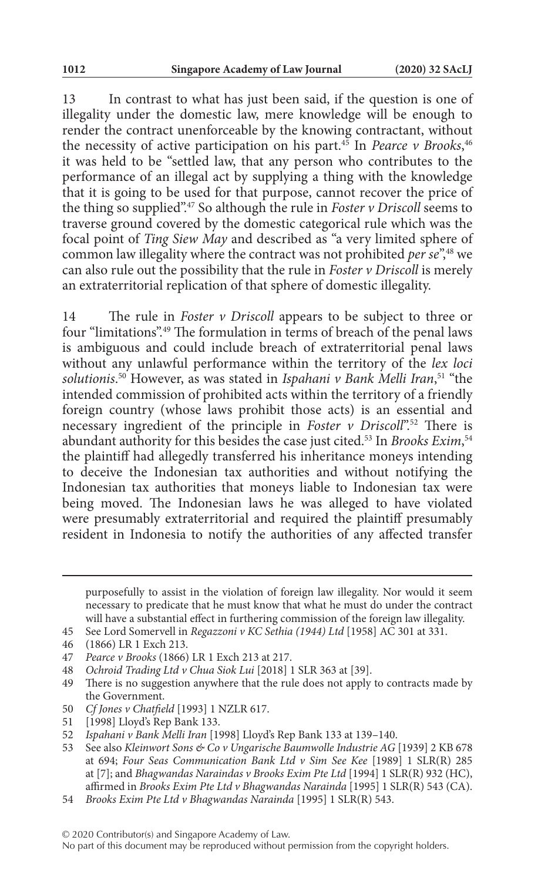13 In contrast to what has just been said, if the question is one of illegality under the domestic law, mere knowledge will be enough to render the contract unenforceable by the knowing contractant, without the necessity of active participation on his part.45 In *Pearce v Brooks*, 46 it was held to be "settled law, that any person who contributes to the performance of an illegal act by supplying a thing with the knowledge that it is going to be used for that purpose, cannot recover the price of the thing so supplied".47 So although the rule in *Foster v Driscoll* seems to traverse ground covered by the domestic categorical rule which was the focal point of *Ting Siew May* and described as "a very limited sphere of common law illegality where the contract was not prohibited *per se*<sup>",48</sup> we can also rule out the possibility that the rule in *Foster v Driscoll* is merely an extraterritorial replication of that sphere of domestic illegality.

14 The rule in *Foster v Driscoll* appears to be subject to three or four "limitations".49 The formulation in terms of breach of the penal laws is ambiguous and could include breach of extraterritorial penal laws without any unlawful performance within the territory of the *lex loci solutionis*. 50 However, as was stated in *Ispahani v Bank Melli Iran*, 51 "the intended commission of prohibited acts within the territory of a friendly foreign country (whose laws prohibit those acts) is an essential and necessary ingredient of the principle in *Foster v Driscoll*".<sup>52</sup> There is abundant authority for this besides the case just cited.53 In *Brooks Exim*, 54 the plaintiff had allegedly transferred his inheritance moneys intending to deceive the Indonesian tax authorities and without notifying the Indonesian tax authorities that moneys liable to Indonesian tax were being moved. The Indonesian laws he was alleged to have violated were presumably extraterritorial and required the plaintiff presumably resident in Indonesia to notify the authorities of any affected transfer

46 (1866) LR 1 Exch 213.

- 50 *Cf Jones v Chatfield* [1993] 1 NZLR 617.
- 51 [1998] Lloyd's Rep Bank 133.

purposefully to assist in the violation of foreign law illegality. Nor would it seem necessary to predicate that he must know that what he must do under the contract will have a substantial effect in furthering commission of the foreign law illegality.

<sup>45</sup> See Lord Somervell in *Regazzoni v KC Sethia (1944) Ltd* [1958] AC 301 at 331.

<sup>47</sup> *Pearce v Brooks* (1866) LR 1 Exch 213 at 217.

<sup>48</sup> *Ochroid Trading Ltd v Chua Siok Lui* [2018] 1 SLR 363 at [39].

<sup>49</sup> There is no suggestion anywhere that the rule does not apply to contracts made by the Government.

<sup>52</sup> *Ispahani v Bank Melli Iran* [1998] Lloyd's Rep Bank 133 at 139–140.

<sup>53</sup> See also *Kleinwort Sons & Co v Ungarische Baumwolle Industrie AG* [1939] 2 KB 678 at 694; *Four Seas Communication Bank Ltd v Sim See Kee* [1989] 1 SLR(R) 285 at [7]; and *Bhagwandas Naraindas v Brooks Exim Pte Ltd* [1994] 1 SLR(R) 932 (HC), affirmed in *Brooks Exim Pte Ltd v Bhagwandas Narainda* [1995] 1 SLR(R) 543 (CA).

<sup>54</sup> *Brooks Exim Pte Ltd v Bhagwandas Narainda* [1995] 1 SLR(R) 543.

No part of this document may be reproduced without permission from the copyright holders.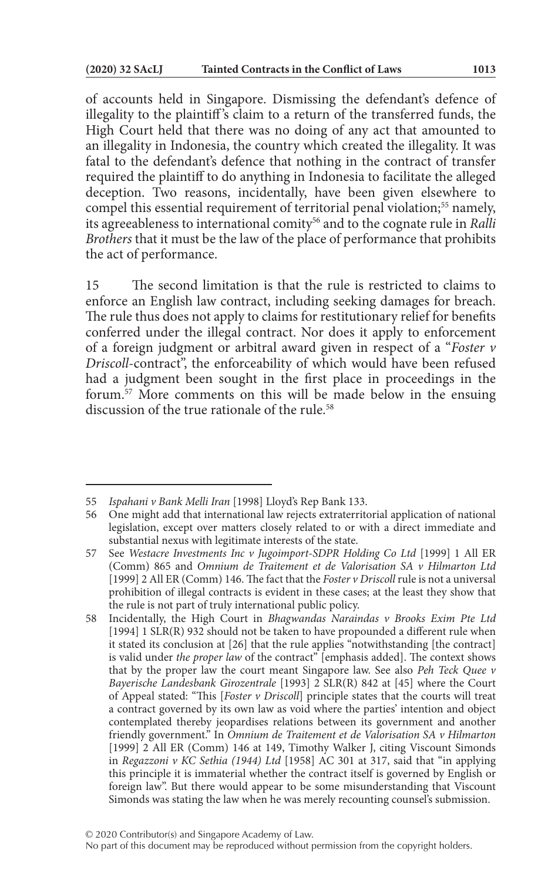of accounts held in Singapore. Dismissing the defendant's defence of illegality to the plaintiff 's claim to a return of the transferred funds, the High Court held that there was no doing of any act that amounted to an illegality in Indonesia, the country which created the illegality. It was fatal to the defendant's defence that nothing in the contract of transfer required the plaintiff to do anything in Indonesia to facilitate the alleged deception. Two reasons, incidentally, have been given elsewhere to compel this essential requirement of territorial penal violation;<sup>55</sup> namely, its agreeableness to international comity56 and to the cognate rule in *Ralli Brothers* that it must be the law of the place of performance that prohibits the act of performance.

15 The second limitation is that the rule is restricted to claims to enforce an English law contract, including seeking damages for breach. The rule thus does not apply to claims for restitutionary relief for benefits conferred under the illegal contract. Nor does it apply to enforcement of a foreign judgment or arbitral award given in respect of a "*Foster v Driscoll*-contract", the enforceability of which would have been refused had a judgment been sought in the first place in proceedings in the forum.57 More comments on this will be made below in the ensuing discussion of the true rationale of the rule  $58$ 

<sup>55</sup> *Ispahani v Bank Melli Iran* [1998] Lloyd's Rep Bank 133.

<sup>56</sup> One might add that international law rejects extraterritorial application of national legislation, except over matters closely related to or with a direct immediate and substantial nexus with legitimate interests of the state.

<sup>57</sup> See *Westacre Investments Inc v Jugoimport-SDPR Holding Co Ltd* [1999] 1 All ER (Comm) 865 and *Omnium de Traitement et de Valorisation SA v Hilmarton Ltd* [1999] 2 All ER (Comm) 146. The fact that the *Foster v Driscoll* rule is not a universal prohibition of illegal contracts is evident in these cases; at the least they show that the rule is not part of truly international public policy.

<sup>58</sup> Incidentally, the High Court in *Bhagwandas Naraindas v Brooks Exim Pte Ltd* [1994] 1 SLR(R) 932 should not be taken to have propounded a different rule when it stated its conclusion at [26] that the rule applies "notwithstanding [the contract] is valid under the proper law of the contract" [emphasis added]. The context shows that by the proper law the court meant Singapore law. See also *Peh Teck Quee v Bayerische Landesbank Girozentrale* [1993] 2 SLR(R) 842 at [45] where the Court of Appeal stated: "This [*Foster v Driscoll*] principle states that the courts will treat a contract governed by its own law as void where the parties' intention and object contemplated thereby jeopardises relations between its government and another friendly government." In *Omnium de Traitement et de Valorisation SA v Hilmarton* [1999] 2 All ER (Comm) 146 at 149, Timothy Walker J, citing Viscount Simonds in *Regazzoni v KC Sethia (1944) Ltd* [1958] AC 301 at 317, said that "in applying this principle it is immaterial whether the contract itself is governed by English or foreign law". But there would appear to be some misunderstanding that Viscount Simonds was stating the law when he was merely recounting counsel's submission.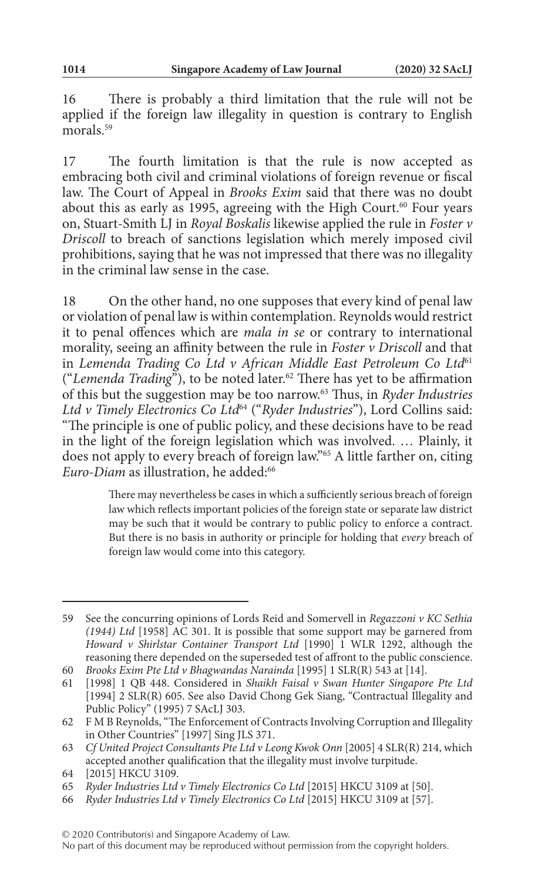16 There is probably a third limitation that the rule will not be applied if the foreign law illegality in question is contrary to English morals.<sup>59</sup>

17 The fourth limitation is that the rule is now accepted as embracing both civil and criminal violations of foreign revenue or fiscal law. The Court of Appeal in *Brooks Exim* said that there was no doubt about this as early as 1995, agreeing with the High Court.<sup>60</sup> Four years on, Stuart-Smith LJ in *Royal Boskalis* likewise applied the rule in *Foster v Driscoll* to breach of sanctions legislation which merely imposed civil prohibitions, saying that he was not impressed that there was no illegality in the criminal law sense in the case.

18 On the other hand, no one supposes that every kind of penal law or violation of penal law is within contemplation. Reynolds would restrict it to penal offences which are *mala in se* or contrary to international morality, seeing an affinity between the rule in *Foster v Driscoll* and that in *Lemenda Trading Co Ltd v African Middle East Petroleum Co Ltd*<sup>61</sup> ("*Lemenda Trading*"), to be noted later.62 There has yet to be affirmation of this but the suggestion may be too narrow.63 Thus, in *Ryder Industries Ltd v Timely Electronics Co Ltd*64 ("*Ryder Industries*"), Lord Collins said: "The principle is one of public policy, and these decisions have to be read in the light of the foreign legislation which was involved. … Plainly, it does not apply to every breach of foreign law."65 A little farther on, citing *Euro-Diam* as illustration, he added:<sup>66</sup>

> There may nevertheless be cases in which a sufficiently serious breach of foreign law which reflects important policies of the foreign state or separate law district may be such that it would be contrary to public policy to enforce a contract. But there is no basis in authority or principle for holding that *every* breach of foreign law would come into this category.

<sup>59</sup> See the concurring opinions of Lords Reid and Somervell in *Regazzoni v KC Sethia (1944) Ltd* [1958] AC 301. It is possible that some support may be garnered from *Howard v Shirlstar Container Transport Ltd* [1990] 1 WLR 1292, although the reasoning there depended on the superseded test of affront to the public conscience.

<sup>60</sup> *Brooks Exim Pte Ltd v Bhagwandas Narainda* [1995] 1 SLR(R) 543 at [14].

<sup>61</sup> [1998] 1 QB 448. Considered in *Shaikh Faisal v Swan Hunter Singapore Pte Ltd* [1994] 2 SLR(R) 605. See also David Chong Gek Siang, "Contractual Illegality and Public Policy" (1995) 7 SAcLJ 303.

<sup>62</sup> F M B Reynolds, "The Enforcement of Contracts Involving Corruption and Illegality in Other Countries" [1997] Sing JLS 371.

<sup>63</sup> *Cf United Project Consultants Pte Ltd v Leong Kwok Onn* [2005] 4 SLR(R) 214, which accepted another qualification that the illegality must involve turpitude.

<sup>64</sup> [2015] HKCU 3109.

<sup>65</sup> *Ryder Industries Ltd v Timely Electronics Co Ltd* [2015] HKCU 3109 at [50].

<sup>66</sup> *Ryder Industries Ltd v Timely Electronics Co Ltd* [2015] HKCU 3109 at [57].

No part of this document may be reproduced without permission from the copyright holders.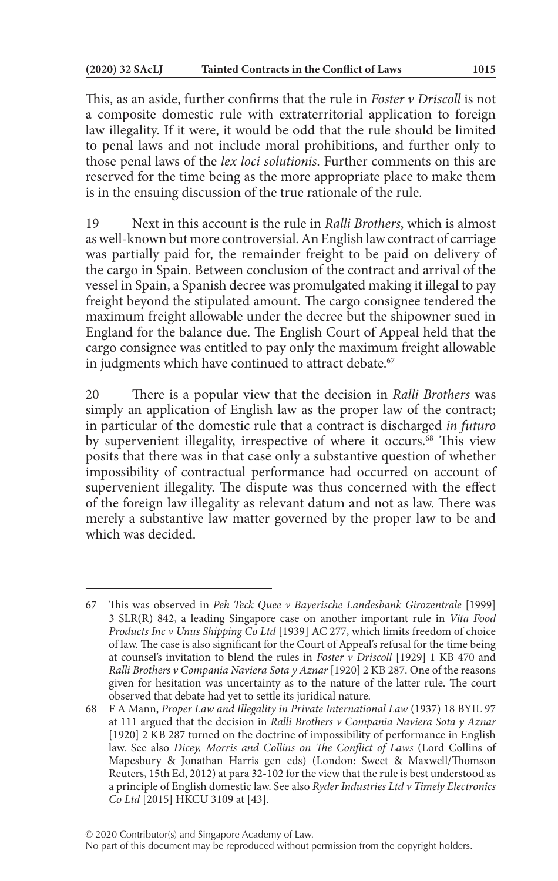This, as an aside, further confirms that the rule in *Foster v Driscoll* is not a composite domestic rule with extraterritorial application to foreign law illegality. If it were, it would be odd that the rule should be limited to penal laws and not include moral prohibitions, and further only to those penal laws of the *lex loci solutionis*. Further comments on this are reserved for the time being as the more appropriate place to make them is in the ensuing discussion of the true rationale of the rule.

19 Next in this account is the rule in *Ralli Brothers*, which is almost as well-known but more controversial. An English law contract of carriage was partially paid for, the remainder freight to be paid on delivery of the cargo in Spain. Between conclusion of the contract and arrival of the vessel in Spain, a Spanish decree was promulgated making it illegal to pay freight beyond the stipulated amount. The cargo consignee tendered the maximum freight allowable under the decree but the shipowner sued in England for the balance due. The English Court of Appeal held that the cargo consignee was entitled to pay only the maximum freight allowable in judgments which have continued to attract debate.<sup>67</sup>

20 There is a popular view that the decision in *Ralli Brothers* was simply an application of English law as the proper law of the contract; in particular of the domestic rule that a contract is discharged *in futuro* by supervenient illegality, irrespective of where it occurs.<sup>68</sup> This view posits that there was in that case only a substantive question of whether impossibility of contractual performance had occurred on account of supervenient illegality. The dispute was thus concerned with the effect of the foreign law illegality as relevant datum and not as law. There was merely a substantive law matter governed by the proper law to be and which was decided.

<sup>67</sup> This was observed in *Peh Teck Quee v Bayerische Landesbank Girozentrale* [1999] 3 SLR(R) 842, a leading Singapore case on another important rule in *Vita Food Products Inc v Unus Shipping Co Ltd* [1939] AC 277, which limits freedom of choice of law. The case is also significant for the Court of Appeal's refusal for the time being at counsel's invitation to blend the rules in *Foster v Driscoll* [1929] 1 KB 470 and *Ralli Brothers v Compania Naviera Sota y Aznar* [1920] 2 KB 287. One of the reasons given for hesitation was uncertainty as to the nature of the latter rule. The court observed that debate had yet to settle its juridical nature.

<sup>68</sup> F A Mann, *Proper Law and Illegality in Private International Law* (1937) 18 BYIL 97 at 111 argued that the decision in *Ralli Brothers v Compania Naviera Sota y Aznar* [1920] 2 KB 287 turned on the doctrine of impossibility of performance in English law. See also *Dicey, Morris and Collins on The Conflict of Laws* (Lord Collins of Mapesbury & Jonathan Harris gen eds) (London: Sweet & Maxwell/Thomson Reuters, 15th Ed, 2012) at para 32-102 for the view that the rule is best understood as a principle of English domestic law. See also *Ryder Industries Ltd v Timely Electronics Co Ltd* [2015] HKCU 3109 at [43].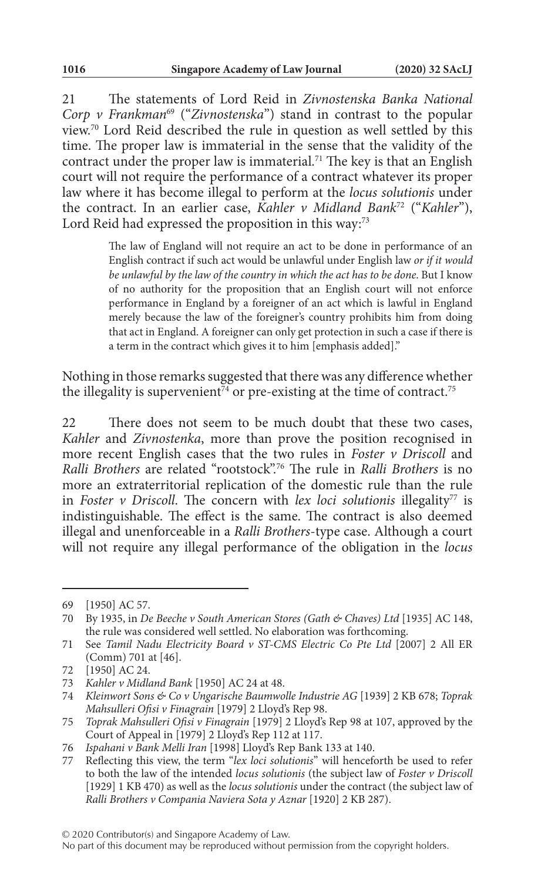21 The statements of Lord Reid in *Zivnostenska Banka National Corp v Frankman<sup>69</sup>* ("*Zivnostenska*") stand in contrast to the popular view.70 Lord Reid described the rule in question as well settled by this time. The proper law is immaterial in the sense that the validity of the contract under the proper law is immaterial.<sup>71</sup> The key is that an English court will not require the performance of a contract whatever its proper law where it has become illegal to perform at the *locus solutionis* under the contract. In an earlier case, *Kahler v Midland Bank*72 ("*Kahler*"), Lord Reid had expressed the proposition in this way:<sup>73</sup>

> The law of England will not require an act to be done in performance of an English contract if such act would be unlawful under English law *or if it would be unlawful by the law of the country in which the act has to be done*. But I know of no authority for the proposition that an English court will not enforce performance in England by a foreigner of an act which is lawful in England merely because the law of the foreigner's country prohibits him from doing that act in England. A foreigner can only get protection in such a case if there is a term in the contract which gives it to him [emphasis added]."

Nothing in those remarks suggested that there was any difference whether the illegality is supervenient<sup>74</sup> or pre-existing at the time of contract.<sup>75</sup>

22 There does not seem to be much doubt that these two cases, *Kahler* and *Zivnostenka*, more than prove the position recognised in more recent English cases that the two rules in *Foster v Driscoll* and *Ralli Brothers* are related "rootstock".76 The rule in *Ralli Brothers* is no more an extraterritorial replication of the domestic rule than the rule in *Foster v Driscoll*. The concern with *lex loci solutionis* illegality<sup>77</sup> is indistinguishable. The effect is the same. The contract is also deemed illegal and unenforceable in a *Ralli Brothers*-type case. Although a court will not require any illegal performance of the obligation in the *locus* 

<sup>69</sup> [1950] AC 57.

<sup>70</sup> By 1935, in *De Beeche v South American Stores (Gath & Chaves) Ltd* [1935] AC 148, the rule was considered well settled. No elaboration was forthcoming.

<sup>71</sup> See *Tamil Nadu Electricity Board v ST-CMS Electric Co Pte Ltd* [2007] 2 All ER (Comm) 701 at [46].

<sup>72</sup> [1950] AC 24.

<sup>73</sup> *Kahler v Midland Bank* [1950] AC 24 at 48.

<sup>74</sup> *Kleinwort Sons & Co v Ungarische Baumwolle Industrie AG* [1939] 2 KB 678; *Toprak Mahsulleri Ofisi v Finagrain* [1979] 2 Lloyd's Rep 98.

<sup>75</sup> *Toprak Mahsulleri Ofisi v Finagrain* [1979] 2 Lloyd's Rep 98 at 107, approved by the Court of Appeal in [1979] 2 Lloyd's Rep 112 at 117.

<sup>76</sup> *Ispahani v Bank Melli Iran* [1998] Lloyd's Rep Bank 133 at 140.

<sup>77</sup> Reflecting this view, the term "*lex loci solutionis*" will henceforth be used to refer to both the law of the intended *locus solutionis* (the subject law of *Foster v Driscoll* [1929] 1 KB 470) as well as the *locus solutionis* under the contract (the subject law of *Ralli Brothers v Compania Naviera Sota y Aznar* [1920] 2 KB 287).

No part of this document may be reproduced without permission from the copyright holders.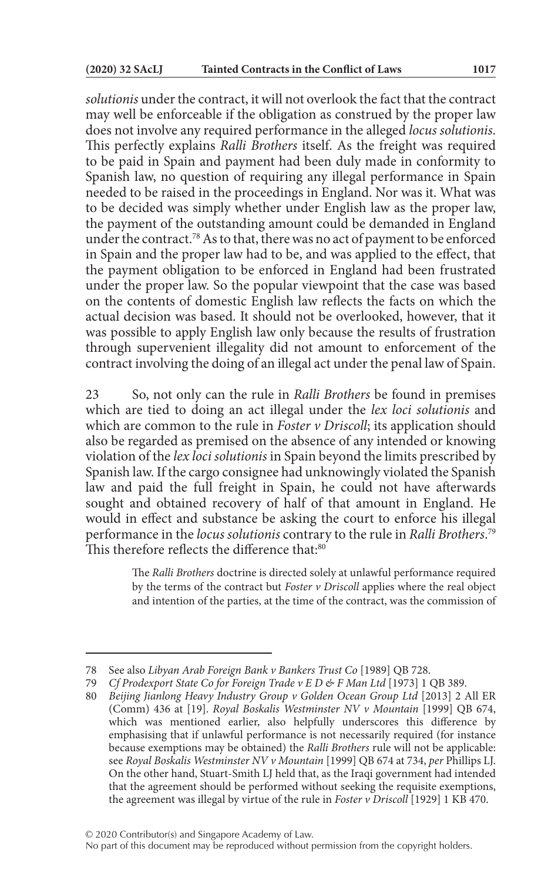*solutionis* under the contract, it will not overlook the fact that the contract may well be enforceable if the obligation as construed by the proper law does not involve any required performance in the alleged *locus solutionis*. This perfectly explains *Ralli Brothers* itself. As the freight was required to be paid in Spain and payment had been duly made in conformity to Spanish law, no question of requiring any illegal performance in Spain needed to be raised in the proceedings in England. Nor was it. What was to be decided was simply whether under English law as the proper law, the payment of the outstanding amount could be demanded in England under the contract.78 As to that, there was no act of payment to be enforced in Spain and the proper law had to be, and was applied to the effect, that the payment obligation to be enforced in England had been frustrated under the proper law. So the popular viewpoint that the case was based on the contents of domestic English law reflects the facts on which the actual decision was based. It should not be overlooked, however, that it was possible to apply English law only because the results of frustration through supervenient illegality did not amount to enforcement of the contract involving the doing of an illegal act under the penal law of Spain.

23 So, not only can the rule in *Ralli Brothers* be found in premises which are tied to doing an act illegal under the *lex loci solutionis* and which are common to the rule in *Foster v Driscoll*; its application should also be regarded as premised on the absence of any intended or knowing violation of the *lex loci solutionis* in Spain beyond the limits prescribed by Spanish law. If the cargo consignee had unknowingly violated the Spanish law and paid the full freight in Spain, he could not have afterwards sought and obtained recovery of half of that amount in England. He would in effect and substance be asking the court to enforce his illegal performance in the *locus solutionis* contrary to the rule in *Ralli Brothers*. 79 This therefore reflects the difference that:80

> The *Ralli Brothers* doctrine is directed solely at unlawful performance required by the terms of the contract but *Foster v Driscoll* applies where the real object and intention of the parties, at the time of the contract, was the commission of

<sup>78</sup> See also *Libyan Arab Foreign Bank v Bankers Trust Co* [1989] QB 728.

<sup>79</sup> *Cf Prodexport State Co for Foreign Trade v E D & F Man Ltd* [1973] 1 QB 389.

<sup>80</sup> *Beijing Jianlong Heavy Industry Group v Golden Ocean Group Ltd* [2013] 2 All ER (Comm) 436 at [19]. *Royal Boskalis Westminster NV v Mountain* [1999] QB 674, which was mentioned earlier, also helpfully underscores this difference by emphasising that if unlawful performance is not necessarily required (for instance because exemptions may be obtained) the *Ralli Brothers* rule will not be applicable: see *Royal Boskalis Westminster NV v Mountain* [1999] QB 674 at 734, *per* Phillips LJ. On the other hand, Stuart-Smith LJ held that, as the Iraqi government had intended that the agreement should be performed without seeking the requisite exemptions, the agreement was illegal by virtue of the rule in *Foster v Driscoll* [1929] 1 KB 470.

No part of this document may be reproduced without permission from the copyright holders.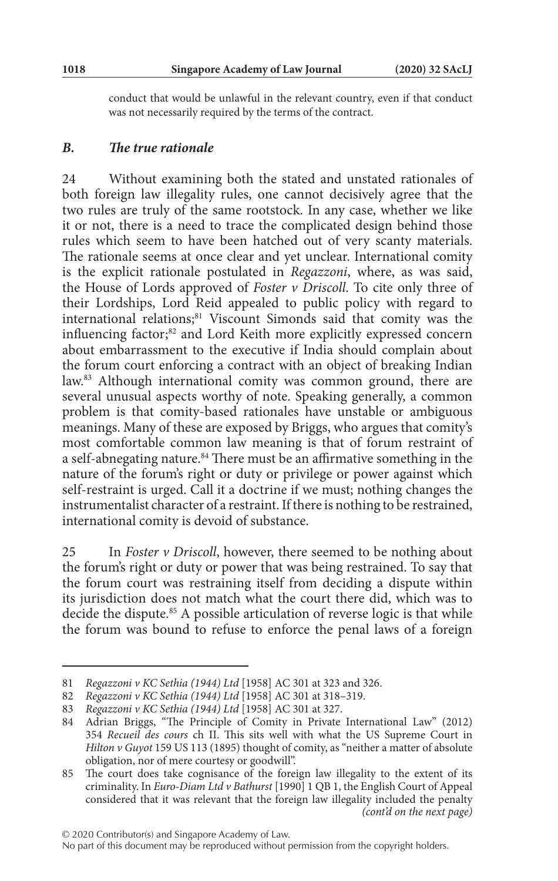conduct that would be unlawful in the relevant country, even if that conduct was not necessarily required by the terms of the contract.

#### *B. The true rationale*

24 Without examining both the stated and unstated rationales of both foreign law illegality rules, one cannot decisively agree that the two rules are truly of the same rootstock. In any case, whether we like it or not, there is a need to trace the complicated design behind those rules which seem to have been hatched out of very scanty materials. The rationale seems at once clear and yet unclear. International comity is the explicit rationale postulated in *Regazzoni*, where, as was said, the House of Lords approved of *Foster v Driscoll*. To cite only three of their Lordships, Lord Reid appealed to public policy with regard to international relations;<sup>81</sup> Viscount Simonds said that comity was the influencing factor;<sup>82</sup> and Lord Keith more explicitly expressed concern about embarrassment to the executive if India should complain about the forum court enforcing a contract with an object of breaking Indian law.83 Although international comity was common ground, there are several unusual aspects worthy of note. Speaking generally, a common problem is that comity-based rationales have unstable or ambiguous meanings. Many of these are exposed by Briggs, who argues that comity's most comfortable common law meaning is that of forum restraint of a self-abnegating nature.84 There must be an affirmative something in the nature of the forum's right or duty or privilege or power against which self-restraint is urged. Call it a doctrine if we must; nothing changes the instrumentalist character of a restraint. If there is nothing to be restrained, international comity is devoid of substance.

25 In *Foster v Driscoll*, however, there seemed to be nothing about the forum's right or duty or power that was being restrained. To say that the forum court was restraining itself from deciding a dispute within its jurisdiction does not match what the court there did, which was to decide the dispute.<sup>85</sup> A possible articulation of reverse logic is that while the forum was bound to refuse to enforce the penal laws of a foreign

<sup>81</sup> *Regazzoni v KC Sethia (1944) Ltd* [1958] AC 301 at 323 and 326.

<sup>82</sup> *Regazzoni v KC Sethia (1944) Ltd* [1958] AC 301 at 318–319.

<sup>83</sup> *Regazzoni v KC Sethia (1944) Ltd* [1958] AC 301 at 327.

<sup>84</sup> Adrian Briggs, "The Principle of Comity in Private International Law" (2012) 354 *Recueil des cours* ch II. This sits well with what the US Supreme Court in *Hilton v Guyot* 159 US 113 (1895) thought of comity, as "neither a matter of absolute obligation, nor of mere courtesy or goodwill".

<sup>85</sup> The court does take cognisance of the foreign law illegality to the extent of its criminality. In *Euro-Diam Ltd v Bathurst* [1990] 1 QB 1, the English Court of Appeal considered that it was relevant that the foreign law illegality included the penalty *(cont'd on the next page)*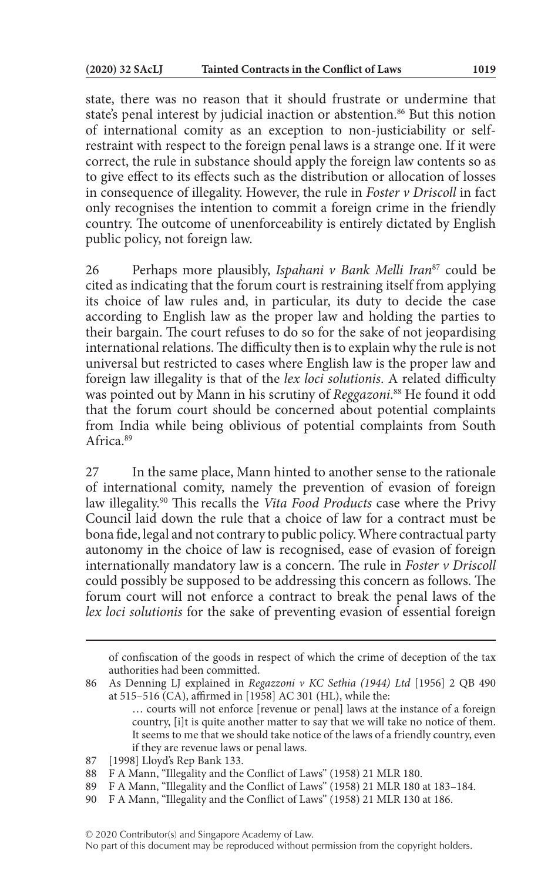state, there was no reason that it should frustrate or undermine that state's penal interest by judicial inaction or abstention.<sup>86</sup> But this notion of international comity as an exception to non-justiciability or selfrestraint with respect to the foreign penal laws is a strange one. If it were correct, the rule in substance should apply the foreign law contents so as to give effect to its effects such as the distribution or allocation of losses in consequence of illegality. However, the rule in *Foster v Driscoll* in fact only recognises the intention to commit a foreign crime in the friendly country. The outcome of unenforceability is entirely dictated by English public policy, not foreign law.

26 Perhaps more plausibly, *Ispahani v Bank Melli Iran*87 could be cited as indicating that the forum court is restraining itself from applying its choice of law rules and, in particular, its duty to decide the case according to English law as the proper law and holding the parties to their bargain. The court refuses to do so for the sake of not jeopardising international relations. The difficulty then is to explain why the rule is not universal but restricted to cases where English law is the proper law and foreign law illegality is that of the *lex loci solutionis*. A related difficulty was pointed out by Mann in his scrutiny of *Reggazoni*. 88 He found it odd that the forum court should be concerned about potential complaints from India while being oblivious of potential complaints from South Africa<sup>89</sup>

27 In the same place, Mann hinted to another sense to the rationale of international comity, namely the prevention of evasion of foreign law illegality.90 This recalls the *Vita Food Products* case where the Privy Council laid down the rule that a choice of law for a contract must be bona fide, legal and not contrary to public policy. Where contractual party autonomy in the choice of law is recognised, ease of evasion of foreign internationally mandatory law is a concern. The rule in *Foster v Driscoll* could possibly be supposed to be addressing this concern as follows. The forum court will not enforce a contract to break the penal laws of the *lex loci solutionis* for the sake of preventing evasion of essential foreign

of confiscation of the goods in respect of which the crime of deception of the tax authorities had been committed.

<sup>86</sup> As Denning LJ explained in *Regazzoni v KC Sethia (1944) Ltd* [1956] 2 QB 490 at 515–516 (CA), affirmed in [1958] AC 301 (HL), while the:

<sup>…</sup> courts will not enforce [revenue or penal] laws at the instance of a foreign country, [i]t is quite another matter to say that we will take no notice of them. It seems to me that we should take notice of the laws of a friendly country, even if they are revenue laws or penal laws.

<sup>87</sup> [1998] Lloyd's Rep Bank 133.

<sup>88</sup> F A Mann, "Illegality and the Conflict of Laws" (1958) 21 MLR 180.

<sup>89</sup> F A Mann, "Illegality and the Conflict of Laws" (1958) 21 MLR 180 at 183–184.

<sup>90</sup> F A Mann, "Illegality and the Conflict of Laws" (1958) 21 MLR 130 at 186.

No part of this document may be reproduced without permission from the copyright holders.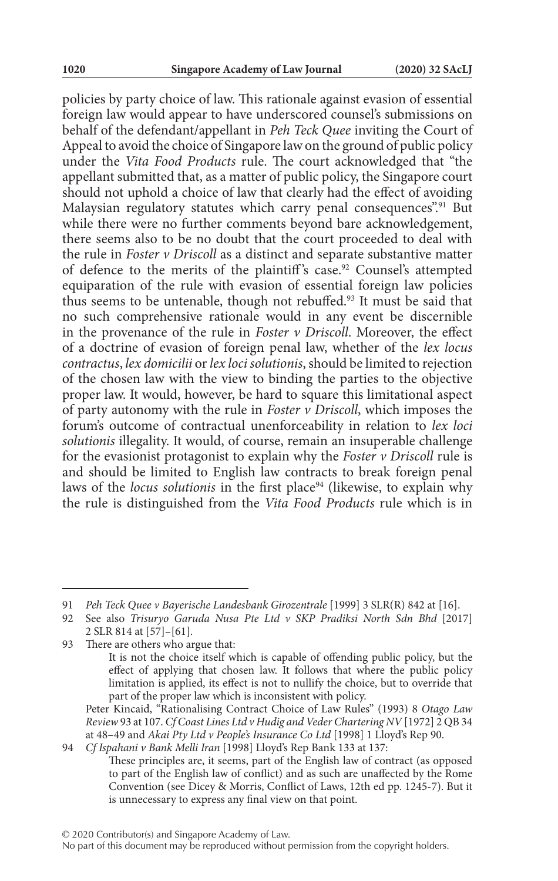policies by party choice of law. This rationale against evasion of essential foreign law would appear to have underscored counsel's submissions on behalf of the defendant/appellant in *Peh Teck Quee* inviting the Court of Appeal to avoid the choice of Singapore law on the ground of public policy under the *Vita Food Products* rule. The court acknowledged that "the appellant submitted that, as a matter of public policy, the Singapore court should not uphold a choice of law that clearly had the effect of avoiding Malaysian regulatory statutes which carry penal consequences".<sup>91</sup> But while there were no further comments beyond bare acknowledgement, there seems also to be no doubt that the court proceeded to deal with the rule in *Foster v Driscoll* as a distinct and separate substantive matter of defence to the merits of the plaintiff's case.<sup>92</sup> Counsel's attempted equiparation of the rule with evasion of essential foreign law policies thus seems to be untenable, though not rebuffed.93 It must be said that no such comprehensive rationale would in any event be discernible in the provenance of the rule in *Foster v Driscoll*. Moreover, the effect of a doctrine of evasion of foreign penal law, whether of the *lex locus contractus*, *lex domicilii* or *lex loci solutionis*, should be limited to rejection of the chosen law with the view to binding the parties to the objective proper law. It would, however, be hard to square this limitational aspect of party autonomy with the rule in *Foster v Driscoll*, which imposes the forum's outcome of contractual unenforceability in relation to *lex loci solutionis* illegality. It would, of course, remain an insuperable challenge for the evasionist protagonist to explain why the *Foster v Driscoll* rule is and should be limited to English law contracts to break foreign penal laws of the *locus solutionis* in the first place<sup>94</sup> (likewise, to explain why the rule is distinguished from the *Vita Food Products* rule which is in

<sup>91</sup> *Peh Teck Quee v Bayerische Landesbank Girozentrale* [1999] 3 SLR(R) 842 at [16].

<sup>92</sup> See also *Trisuryo Garuda Nusa Pte Ltd v SKP Pradiksi North Sdn Bhd* [2017] 2 SLR 814 at [57]–[61].

<sup>93</sup> There are others who argue that:

It is not the choice itself which is capable of offending public policy, but the effect of applying that chosen law. It follows that where the public policy limitation is applied, its effect is not to nullify the choice, but to override that part of the proper law which is inconsistent with policy.

Peter Kincaid, "Rationalising Contract Choice of Law Rules" (1993) 8 *Otago Law Review* 93 at 107. *Cf Coast Lines Ltd v Hudig and Veder Chartering NV* [1972] 2 QB 34 at 48–49 and *Akai Pty Ltd v People's Insurance Co Ltd* [1998] 1 Lloyd's Rep 90.

<sup>94</sup> *Cf Ispahani v Bank Melli Iran* [1998] Lloyd's Rep Bank 133 at 137: These principles are, it seems, part of the English law of contract (as opposed to part of the English law of conflict) and as such are unaffected by the Rome Convention (see Dicey & Morris, Conflict of Laws, 12th ed pp. 1245-7). But it is unnecessary to express any final view on that point.

No part of this document may be reproduced without permission from the copyright holders.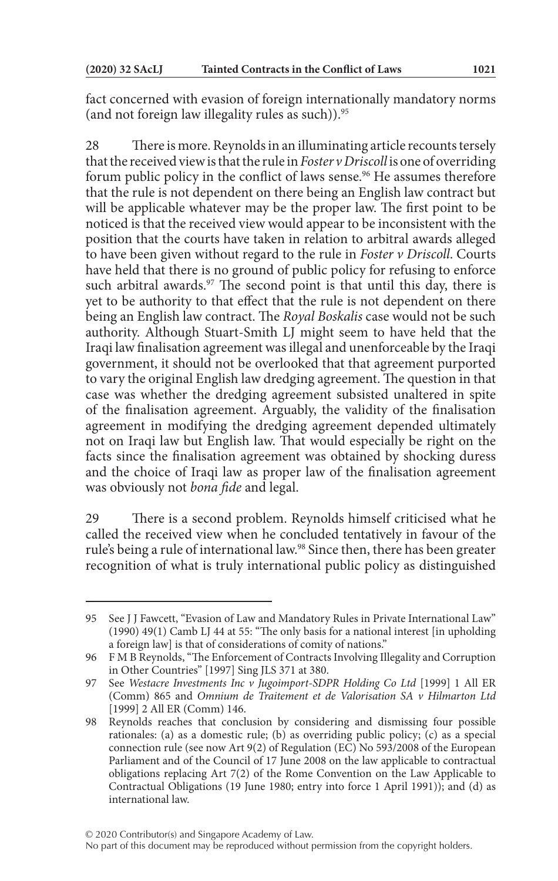fact concerned with evasion of foreign internationally mandatory norms (and not foreign law illegality rules as such)).95

28 There is more. Reynolds in an illuminating article recounts tersely that the received view is that the rule in *Foster v Driscoll* is one of overriding forum public policy in the conflict of laws sense.<sup>96</sup> He assumes therefore that the rule is not dependent on there being an English law contract but will be applicable whatever may be the proper law. The first point to be noticed is that the received view would appear to be inconsistent with the position that the courts have taken in relation to arbitral awards alleged to have been given without regard to the rule in *Foster v Driscoll*. Courts have held that there is no ground of public policy for refusing to enforce such arbitral awards.<sup>97</sup> The second point is that until this day, there is yet to be authority to that effect that the rule is not dependent on there being an English law contract. The *Royal Boskalis* case would not be such authority. Although Stuart-Smith LJ might seem to have held that the Iraqi law finalisation agreement was illegal and unenforceable by the Iraqi government, it should not be overlooked that that agreement purported to vary the original English law dredging agreement. The question in that case was whether the dredging agreement subsisted unaltered in spite of the finalisation agreement. Arguably, the validity of the finalisation agreement in modifying the dredging agreement depended ultimately not on Iraqi law but English law. That would especially be right on the facts since the finalisation agreement was obtained by shocking duress and the choice of Iraqi law as proper law of the finalisation agreement was obviously not *bona fide* and legal.

29 There is a second problem. Reynolds himself criticised what he called the received view when he concluded tentatively in favour of the rule's being a rule of international law.98 Since then, there has been greater recognition of what is truly international public policy as distinguished

<sup>95</sup> See J J Fawcett, "Evasion of Law and Mandatory Rules in Private International Law" (1990) 49(1) Camb LJ 44 at 55: "The only basis for a national interest [in upholding a foreign law] is that of considerations of comity of nations."

<sup>96</sup> F M B Reynolds, "The Enforcement of Contracts Involving Illegality and Corruption in Other Countries" [1997] Sing JLS 371 at 380.

<sup>97</sup> See *Westacre Investments Inc v Jugoimport-SDPR Holding Co Ltd* [1999] 1 All ER (Comm) 865 and *Omnium de Traitement et de Valorisation SA v Hilmarton Ltd* [1999] 2 All ER (Comm) 146.

<sup>98</sup> Reynolds reaches that conclusion by considering and dismissing four possible rationales: (a) as a domestic rule; (b) as overriding public policy; (c) as a special connection rule (see now Art 9(2) of Regulation (EC) No 593/2008 of the European Parliament and of the Council of 17 June 2008 on the law applicable to contractual obligations replacing Art 7(2) of the Rome Convention on the Law Applicable to Contractual Obligations (19 June 1980; entry into force 1 April 1991)); and (d) as international law.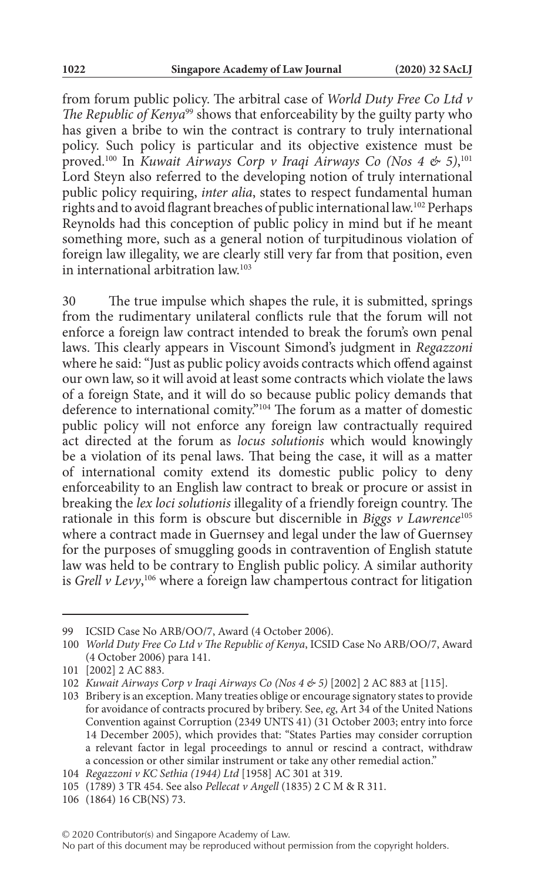from forum public policy. The arbitral case of *World Duty Free Co Ltd v The Republic of Kenya*<sup>99</sup> shows that enforceability by the guilty party who has given a bribe to win the contract is contrary to truly international policy. Such policy is particular and its objective existence must be proved.100 In *Kuwait Airways Corp v Iraqi Airways Co (Nos 4 & 5)*, 101 Lord Steyn also referred to the developing notion of truly international public policy requiring, *inter alia*, states to respect fundamental human rights and to avoid flagrant breaches of public international law.102 Perhaps Reynolds had this conception of public policy in mind but if he meant something more, such as a general notion of turpitudinous violation of foreign law illegality, we are clearly still very far from that position, even in international arbitration law.103

30 The true impulse which shapes the rule, it is submitted, springs from the rudimentary unilateral conflicts rule that the forum will not enforce a foreign law contract intended to break the forum's own penal laws. This clearly appears in Viscount Simond's judgment in *Regazzoni* where he said: "Just as public policy avoids contracts which offend against our own law, so it will avoid at least some contracts which violate the laws of a foreign State, and it will do so because public policy demands that deference to international comity."104 The forum as a matter of domestic public policy will not enforce any foreign law contractually required act directed at the forum as *locus solutionis* which would knowingly be a violation of its penal laws. That being the case, it will as a matter of international comity extend its domestic public policy to deny enforceability to an English law contract to break or procure or assist in breaking the *lex loci solutionis* illegality of a friendly foreign country. The rationale in this form is obscure but discernible in *Biggs v Lawrence*<sup>105</sup> where a contract made in Guernsey and legal under the law of Guernsey for the purposes of smuggling goods in contravention of English statute law was held to be contrary to English public policy. A similar authority is *Grell v Levy*, 106 where a foreign law champertous contract for litigation

<sup>99</sup> ICSID Case No ARB/OO/7, Award (4 October 2006).

<sup>100</sup> *World Duty Free Co Ltd v The Republic of Kenya*, ICSID Case No ARB/OO/7, Award (4 October 2006) para 141.

<sup>101</sup> [2002] 2 AC 883.

<sup>102</sup> *Kuwait Airways Corp v Iraqi Airways Co (Nos 4 & 5)* [2002] 2 AC 883 at [115].

<sup>103</sup> Bribery is an exception. Many treaties oblige or encourage signatory states to provide for avoidance of contracts procured by bribery. See, *eg*, Art 34 of the United Nations Convention against Corruption (2349 UNTS 41) (31 October 2003; entry into force 14 December 2005), which provides that: "States Parties may consider corruption a relevant factor in legal proceedings to annul or rescind a contract, withdraw a concession or other similar instrument or take any other remedial action."

<sup>104</sup> *Regazzoni v KC Sethia (1944) Ltd* [1958] AC 301 at 319.

<sup>105</sup> (1789) 3 TR 454. See also *Pellecat v Angell* (1835) 2 C M & R 311.

<sup>106</sup> (1864) 16 CB(NS) 73.

No part of this document may be reproduced without permission from the copyright holders.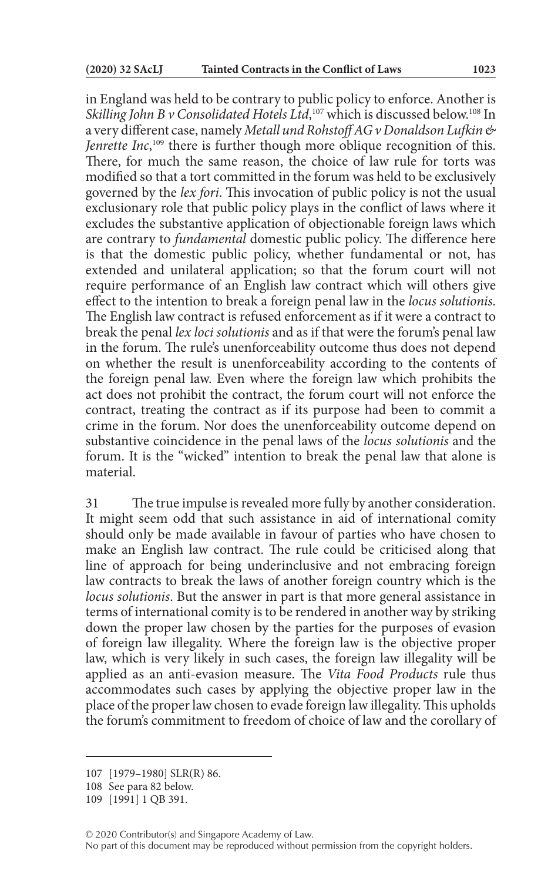in England was held to be contrary to public policy to enforce. Another is *Skilling John B v Consolidated Hotels Ltd*, 107 which is discussed below.108 In a very different case, namely *Metall und Rohstoff AG v Donaldson Lufkin & Jenrette Inc*, 109 there is further though more oblique recognition of this. There, for much the same reason, the choice of law rule for torts was modified so that a tort committed in the forum was held to be exclusively governed by the *lex fori*. This invocation of public policy is not the usual exclusionary role that public policy plays in the conflict of laws where it excludes the substantive application of objectionable foreign laws which are contrary to *fundamental* domestic public policy. The difference here is that the domestic public policy, whether fundamental or not, has extended and unilateral application; so that the forum court will not require performance of an English law contract which will others give effect to the intention to break a foreign penal law in the *locus solutionis*. The English law contract is refused enforcement as if it were a contract to break the penal *lex loci solutionis* and as if that were the forum's penal law in the forum. The rule's unenforceability outcome thus does not depend on whether the result is unenforceability according to the contents of the foreign penal law. Even where the foreign law which prohibits the act does not prohibit the contract, the forum court will not enforce the contract, treating the contract as if its purpose had been to commit a crime in the forum. Nor does the unenforceability outcome depend on substantive coincidence in the penal laws of the *locus solutionis* and the forum. It is the "wicked" intention to break the penal law that alone is material.

31 The true impulse is revealed more fully by another consideration. It might seem odd that such assistance in aid of international comity should only be made available in favour of parties who have chosen to make an English law contract. The rule could be criticised along that line of approach for being underinclusive and not embracing foreign law contracts to break the laws of another foreign country which is the *locus solutionis*. But the answer in part is that more general assistance in terms of international comity is to be rendered in another way by striking down the proper law chosen by the parties for the purposes of evasion of foreign law illegality. Where the foreign law is the objective proper law, which is very likely in such cases, the foreign law illegality will be applied as an anti-evasion measure. The *Vita Food Products* rule thus accommodates such cases by applying the objective proper law in the place of the proper law chosen to evade foreign law illegality. This upholds the forum's commitment to freedom of choice of law and the corollary of

<sup>107</sup> [1979–1980] SLR(R) 86.

<sup>108</sup> See para 82 below.

<sup>109</sup> [1991] 1 QB 391.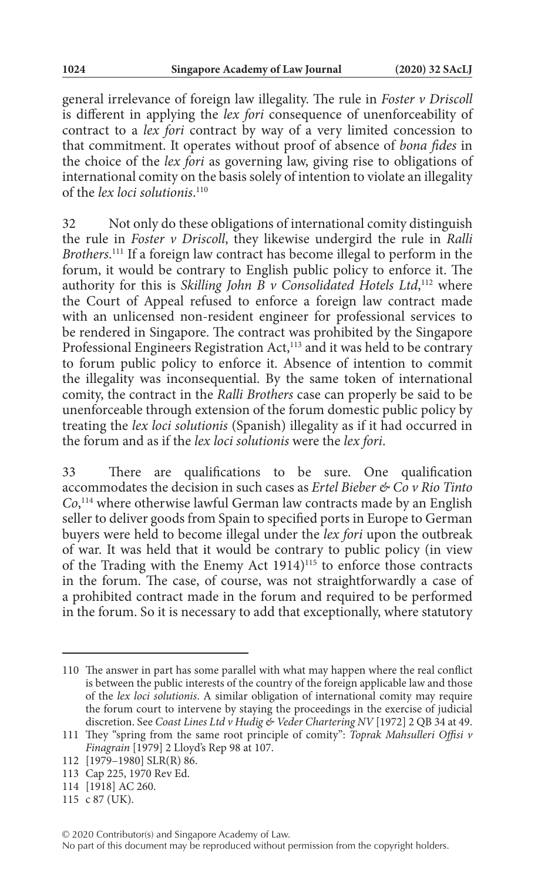general irrelevance of foreign law illegality. The rule in *Foster v Driscoll* is different in applying the *lex fori* consequence of unenforceability of contract to a *lex fori* contract by way of a very limited concession to that commitment. It operates without proof of absence of *bona fides* in the choice of the *lex fori* as governing law, giving rise to obligations of international comity on the basis solely of intention to violate an illegality of the *lex loci solutionis*. 110

32 Not only do these obligations of international comity distinguish the rule in *Foster v Driscoll*, they likewise undergird the rule in *Ralli Brothers*. 111 If a foreign law contract has become illegal to perform in the forum, it would be contrary to English public policy to enforce it. The authority for this is *Skilling John B v Consolidated Hotels Ltd*, 112 where the Court of Appeal refused to enforce a foreign law contract made with an unlicensed non-resident engineer for professional services to be rendered in Singapore. The contract was prohibited by the Singapore Professional Engineers Registration Act,<sup>113</sup> and it was held to be contrary to forum public policy to enforce it. Absence of intention to commit the illegality was inconsequential. By the same token of international comity, the contract in the *Ralli Brothers* case can properly be said to be unenforceable through extension of the forum domestic public policy by treating the *lex loci solutionis* (Spanish) illegality as if it had occurred in the forum and as if the *lex loci solutionis* were the *lex fori*.

33 There are qualifications to be sure. One qualification accommodates the decision in such cases as *Ertel Bieber & Co v Rio Tinto Co*, 114 where otherwise lawful German law contracts made by an English seller to deliver goods from Spain to specified ports in Europe to German buyers were held to become illegal under the *lex fori* upon the outbreak of war. It was held that it would be contrary to public policy (in view of the Trading with the Enemy Act 1914)<sup>115</sup> to enforce those contracts in the forum. The case, of course, was not straightforwardly a case of a prohibited contract made in the forum and required to be performed in the forum. So it is necessary to add that exceptionally, where statutory

<sup>110</sup> The answer in part has some parallel with what may happen where the real conflict is between the public interests of the country of the foreign applicable law and those of the *lex loci solutionis*. A similar obligation of international comity may require the forum court to intervene by staying the proceedings in the exercise of judicial discretion. See *Coast Lines Ltd v Hudig & Veder Chartering NV* [1972] 2 QB 34 at 49.

<sup>111</sup> They "spring from the same root principle of comity": *Toprak Mahsulleri Offisi v Finagrain* [1979] 2 Lloyd's Rep 98 at 107.

<sup>112</sup> [1979–1980] SLR(R) 86.

<sup>113</sup> Cap 225, 1970 Rev Ed.

<sup>114</sup> [1918] AC 260.

<sup>115</sup> c 87 (UK).

No part of this document may be reproduced without permission from the copyright holders.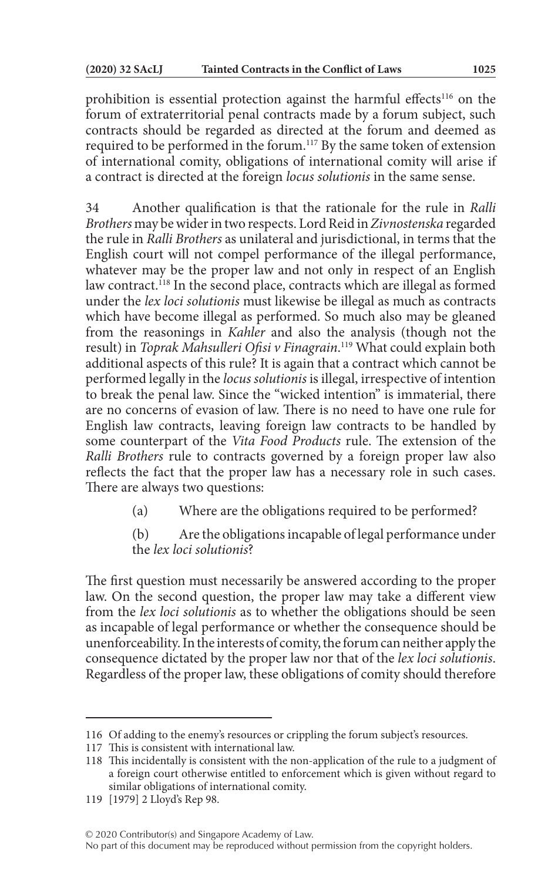prohibition is essential protection against the harmful effects<sup>116</sup> on the forum of extraterritorial penal contracts made by a forum subject, such contracts should be regarded as directed at the forum and deemed as required to be performed in the forum.<sup>117</sup> By the same token of extension of international comity, obligations of international comity will arise if a contract is directed at the foreign *locus solutionis* in the same sense.

34 Another qualification is that the rationale for the rule in *Ralli Brothers* may be wider in two respects. Lord Reid in *Zivnostenska* regarded the rule in *Ralli Brothers* as unilateral and jurisdictional, in terms that the English court will not compel performance of the illegal performance, whatever may be the proper law and not only in respect of an English law contract.<sup>118</sup> In the second place, contracts which are illegal as formed under the *lex loci solutionis* must likewise be illegal as much as contracts which have become illegal as performed. So much also may be gleaned from the reasonings in *Kahler* and also the analysis (though not the result) in *Toprak Mahsulleri Ofisi v Finagrain*. 119 What could explain both additional aspects of this rule? It is again that a contract which cannot be performed legally in the *locus solutionis* is illegal, irrespective of intention to break the penal law. Since the "wicked intention" is immaterial, there are no concerns of evasion of law. There is no need to have one rule for English law contracts, leaving foreign law contracts to be handled by some counterpart of the *Vita Food Products* rule. The extension of the *Ralli Brothers* rule to contracts governed by a foreign proper law also reflects the fact that the proper law has a necessary role in such cases. There are always two questions:

- (a) Where are the obligations required to be performed?
- (b) Are the obligations incapable of legal performance under the *lex loci solutionis*?

The first question must necessarily be answered according to the proper law. On the second question, the proper law may take a different view from the *lex loci solutionis* as to whether the obligations should be seen as incapable of legal performance or whether the consequence should be unenforceability. In the interests of comity, the forum can neither apply the consequence dictated by the proper law nor that of the *lex loci solutionis*. Regardless of the proper law, these obligations of comity should therefore

<sup>116</sup> Of adding to the enemy's resources or crippling the forum subject's resources.

<sup>117</sup> This is consistent with international law.

<sup>118</sup> This incidentally is consistent with the non-application of the rule to a judgment of a foreign court otherwise entitled to enforcement which is given without regard to similar obligations of international comity.

<sup>119</sup> [1979] 2 Lloyd's Rep 98.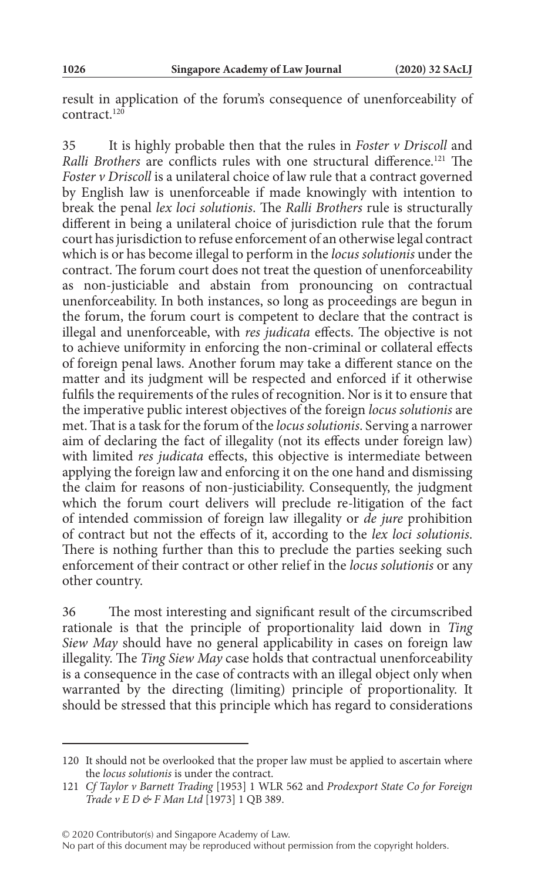result in application of the forum's consequence of unenforceability of contract.120

35 It is highly probable then that the rules in *Foster v Driscoll* and *Ralli Brothers* are conflicts rules with one structural difference.121 The *Foster v Driscoll* is a unilateral choice of law rule that a contract governed by English law is unenforceable if made knowingly with intention to break the penal *lex loci solutionis*. The *Ralli Brothers* rule is structurally different in being a unilateral choice of jurisdiction rule that the forum court has jurisdiction to refuse enforcement of an otherwise legal contract which is or has become illegal to perform in the *locus solutionis* under the contract. The forum court does not treat the question of unenforceability as non-justiciable and abstain from pronouncing on contractual unenforceability. In both instances, so long as proceedings are begun in the forum, the forum court is competent to declare that the contract is illegal and unenforceable, with *res judicata* effects. The objective is not to achieve uniformity in enforcing the non-criminal or collateral effects of foreign penal laws. Another forum may take a different stance on the matter and its judgment will be respected and enforced if it otherwise fulfils the requirements of the rules of recognition. Nor is it to ensure that the imperative public interest objectives of the foreign *locus solutionis* are met. That is a task for the forum of the *locus solutionis*. Serving a narrower aim of declaring the fact of illegality (not its effects under foreign law) with limited *res judicata* effects, this objective is intermediate between applying the foreign law and enforcing it on the one hand and dismissing the claim for reasons of non-justiciability. Consequently, the judgment which the forum court delivers will preclude re-litigation of the fact of intended commission of foreign law illegality or *de jure* prohibition of contract but not the effects of it, according to the *lex loci solutionis*. There is nothing further than this to preclude the parties seeking such enforcement of their contract or other relief in the *locus solutionis* or any other country.

36 The most interesting and significant result of the circumscribed rationale is that the principle of proportionality laid down in *Ting Siew May* should have no general applicability in cases on foreign law illegality. The *Ting Siew May* case holds that contractual unenforceability is a consequence in the case of contracts with an illegal object only when warranted by the directing (limiting) principle of proportionality. It should be stressed that this principle which has regard to considerations

© 2020 Contributor(s) and Singapore Academy of Law.

No part of this document may be reproduced without permission from the copyright holders.

<sup>120</sup> It should not be overlooked that the proper law must be applied to ascertain where the *locus solutionis* is under the contract.

<sup>121</sup> *Cf Taylor v Barnett Trading* [1953] 1 WLR 562 and *Prodexport State Co for Foreign Trade v E D & F Man Ltd* [1973] 1 QB 389.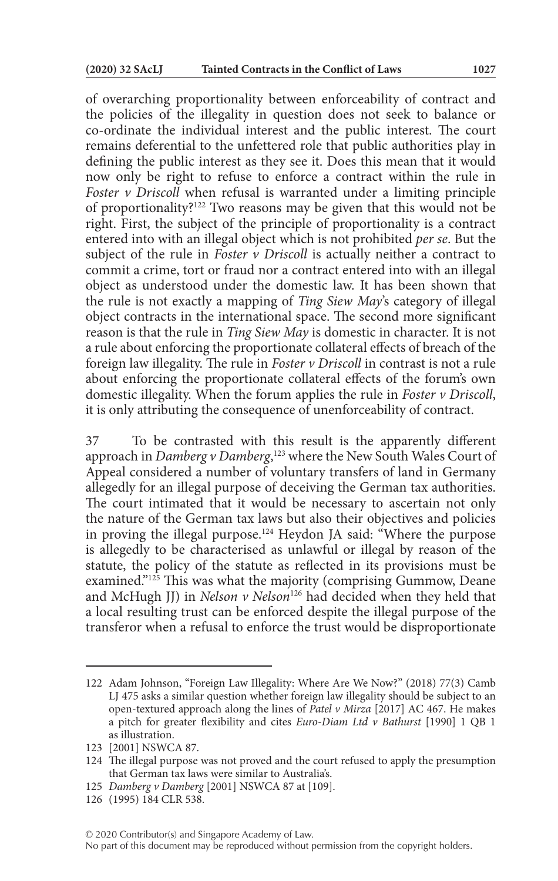of overarching proportionality between enforceability of contract and the policies of the illegality in question does not seek to balance or co-ordinate the individual interest and the public interest. The court remains deferential to the unfettered role that public authorities play in defining the public interest as they see it. Does this mean that it would now only be right to refuse to enforce a contract within the rule in *Foster v Driscoll* when refusal is warranted under a limiting principle of proportionality?122 Two reasons may be given that this would not be right. First, the subject of the principle of proportionality is a contract entered into with an illegal object which is not prohibited *per se*. But the subject of the rule in *Foster v Driscoll* is actually neither a contract to commit a crime, tort or fraud nor a contract entered into with an illegal object as understood under the domestic law. It has been shown that the rule is not exactly a mapping of *Ting Siew May*'s category of illegal object contracts in the international space. The second more significant reason is that the rule in *Ting Siew May* is domestic in character. It is not a rule about enforcing the proportionate collateral effects of breach of the foreign law illegality. The rule in *Foster v Driscoll* in contrast is not a rule about enforcing the proportionate collateral effects of the forum's own domestic illegality. When the forum applies the rule in *Foster v Driscoll*, it is only attributing the consequence of unenforceability of contract.

37 To be contrasted with this result is the apparently different approach in *Damberg v Damberg*, 123 where the New South Wales Court of Appeal considered a number of voluntary transfers of land in Germany allegedly for an illegal purpose of deceiving the German tax authorities. The court intimated that it would be necessary to ascertain not only the nature of the German tax laws but also their objectives and policies in proving the illegal purpose.<sup>124</sup> Heydon JA said: "Where the purpose is allegedly to be characterised as unlawful or illegal by reason of the statute, the policy of the statute as reflected in its provisions must be examined."<sup>125</sup> This was what the majority (comprising Gummow, Deane and McHugh JJ) in *Nelson v Nelson*<sup>126</sup> had decided when they held that a local resulting trust can be enforced despite the illegal purpose of the transferor when a refusal to enforce the trust would be disproportionate

No part of this document may be reproduced without permission from the copyright holders.

<sup>122</sup> Adam Johnson, "Foreign Law Illegality: Where Are We Now?" (2018) 77(3) Camb LJ 475 asks a similar question whether foreign law illegality should be subject to an open-textured approach along the lines of *Patel v Mirza* [2017] AC 467. He makes a pitch for greater flexibility and cites *Euro-Diam Ltd v Bathurst* [1990] 1 QB 1 as illustration.

<sup>123</sup> [2001] NSWCA 87.

<sup>124</sup> The illegal purpose was not proved and the court refused to apply the presumption that German tax laws were similar to Australia's.

<sup>125</sup> *Damberg v Damberg* [2001] NSWCA 87 at [109].

<sup>126</sup> (1995) 184 CLR 538.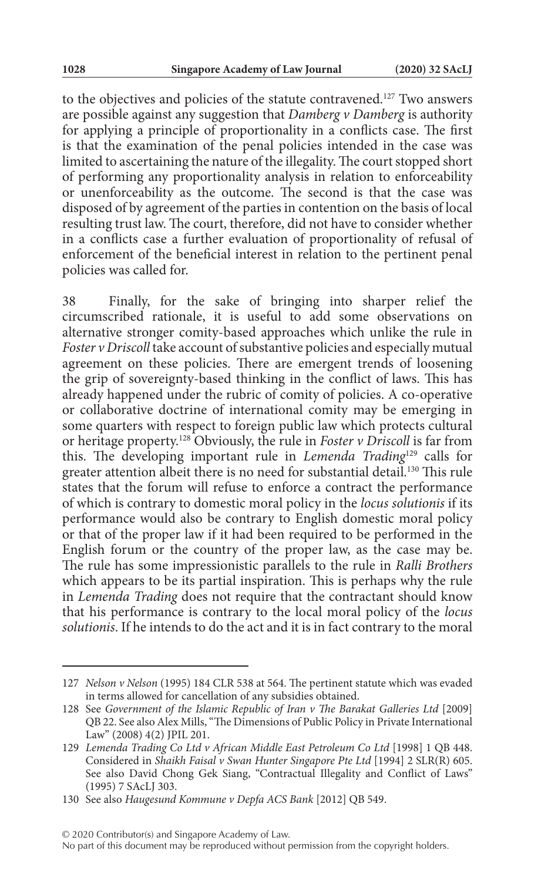to the objectives and policies of the statute contravened.127 Two answers are possible against any suggestion that *Damberg v Damberg* is authority for applying a principle of proportionality in a conflicts case. The first is that the examination of the penal policies intended in the case was limited to ascertaining the nature of the illegality. The court stopped short of performing any proportionality analysis in relation to enforceability or unenforceability as the outcome. The second is that the case was disposed of by agreement of the parties in contention on the basis of local resulting trust law. The court, therefore, did not have to consider whether in a conflicts case a further evaluation of proportionality of refusal of enforcement of the beneficial interest in relation to the pertinent penal policies was called for.

38 Finally, for the sake of bringing into sharper relief the circumscribed rationale, it is useful to add some observations on alternative stronger comity-based approaches which unlike the rule in *Foster v Driscoll* take account of substantive policies and especially mutual agreement on these policies. There are emergent trends of loosening the grip of sovereignty-based thinking in the conflict of laws. This has already happened under the rubric of comity of policies. A co-operative or collaborative doctrine of international comity may be emerging in some quarters with respect to foreign public law which protects cultural or heritage property.128 Obviously, the rule in *Foster v Driscoll* is far from this. The developing important rule in *Lemenda Trading*129 calls for greater attention albeit there is no need for substantial detail.<sup>130</sup> This rule states that the forum will refuse to enforce a contract the performance of which is contrary to domestic moral policy in the *locus solutionis* if its performance would also be contrary to English domestic moral policy or that of the proper law if it had been required to be performed in the English forum or the country of the proper law, as the case may be. The rule has some impressionistic parallels to the rule in *Ralli Brothers* which appears to be its partial inspiration. This is perhaps why the rule in *Lemenda Trading* does not require that the contractant should know that his performance is contrary to the local moral policy of the *locus solutionis*. If he intends to do the act and it is in fact contrary to the moral

© 2020 Contributor(s) and Singapore Academy of Law.

<sup>127</sup> *Nelson v Nelson* (1995) 184 CLR 538 at 564. The pertinent statute which was evaded in terms allowed for cancellation of any subsidies obtained.

<sup>128</sup> See *Government of the Islamic Republic of Iran v The Barakat Galleries Ltd* [2009] QB 22. See also Alex Mills, "The Dimensions of Public Policy in Private International Law" (2008) 4(2) JPIL 201.

<sup>129</sup> *Lemenda Trading Co Ltd v African Middle East Petroleum Co Ltd* [1998] 1 QB 448. Considered in *Shaikh Faisal v Swan Hunter Singapore Pte Ltd* [1994] 2 SLR(R) 605. See also David Chong Gek Siang, "Contractual Illegality and Conflict of Laws" (1995) 7 SAcLJ 303.

<sup>130</sup> See also *Haugesund Kommune v Depfa ACS Bank* [2012] QB 549.

No part of this document may be reproduced without permission from the copyright holders.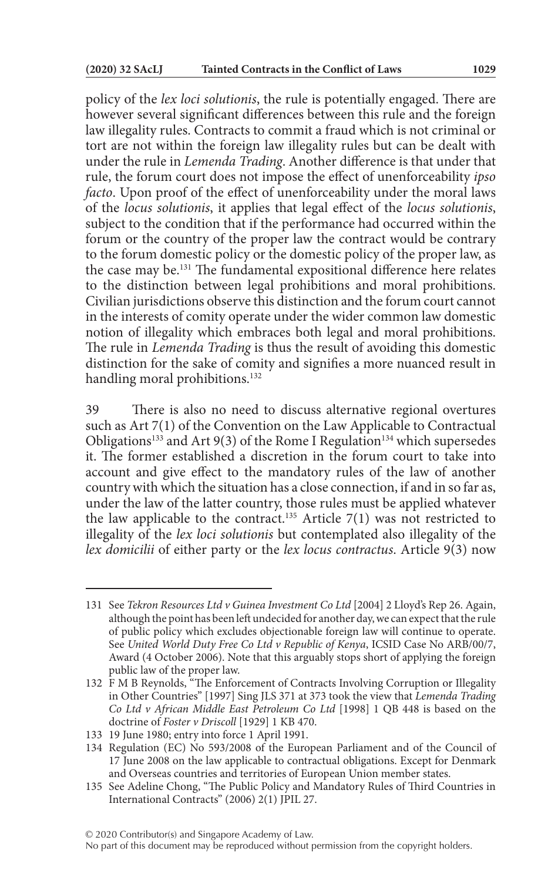policy of the *lex loci solutionis*, the rule is potentially engaged. There are however several significant differences between this rule and the foreign law illegality rules. Contracts to commit a fraud which is not criminal or tort are not within the foreign law illegality rules but can be dealt with under the rule in *Lemenda Trading*. Another difference is that under that rule, the forum court does not impose the effect of unenforceability *ipso facto*. Upon proof of the effect of unenforceability under the moral laws of the *locus solutionis*, it applies that legal effect of the *locus solutionis*, subject to the condition that if the performance had occurred within the forum or the country of the proper law the contract would be contrary to the forum domestic policy or the domestic policy of the proper law, as the case may be.131 The fundamental expositional difference here relates to the distinction between legal prohibitions and moral prohibitions. Civilian jurisdictions observe this distinction and the forum court cannot in the interests of comity operate under the wider common law domestic notion of illegality which embraces both legal and moral prohibitions. The rule in *Lemenda Trading* is thus the result of avoiding this domestic distinction for the sake of comity and signifies a more nuanced result in handling moral prohibitions.<sup>132</sup>

39 There is also no need to discuss alternative regional overtures such as Art 7(1) of the Convention on the Law Applicable to Contractual Obligations<sup>133</sup> and Art 9(3) of the Rome I Regulation<sup>134</sup> which supersedes it. The former established a discretion in the forum court to take into account and give effect to the mandatory rules of the law of another country with which the situation has a close connection, if and in so far as, under the law of the latter country, those rules must be applied whatever the law applicable to the contract.<sup>135</sup> Article 7(1) was not restricted to illegality of the *lex loci solutionis* but contemplated also illegality of the *lex domicilii* of either party or the *lex locus contractus*. Article 9(3) now

<sup>131</sup> See *Tekron Resources Ltd v Guinea Investment Co Ltd* [2004] 2 Lloyd's Rep 26. Again, although the point has been left undecided for another day, we can expect that the rule of public policy which excludes objectionable foreign law will continue to operate. See *United World Duty Free Co Ltd v Republic of Kenya*, ICSID Case No ARB/00/7, Award (4 October 2006). Note that this arguably stops short of applying the foreign public law of the proper law.

<sup>132</sup> F M B Reynolds, "The Enforcement of Contracts Involving Corruption or Illegality in Other Countries" [1997] Sing JLS 371 at 373 took the view that *Lemenda Trading Co Ltd v African Middle East Petroleum Co Ltd* [1998] 1 QB 448 is based on the doctrine of *Foster v Driscoll* [1929] 1 KB 470.

<sup>133</sup> 19 June 1980; entry into force 1 April 1991.

<sup>134</sup> Regulation (EC) No 593/2008 of the European Parliament and of the Council of 17 June 2008 on the law applicable to contractual obligations. Except for Denmark and Overseas countries and territories of European Union member states.

<sup>135</sup> See Adeline Chong, "The Public Policy and Mandatory Rules of Third Countries in International Contracts" (2006) 2(1) JPIL 27.

No part of this document may be reproduced without permission from the copyright holders.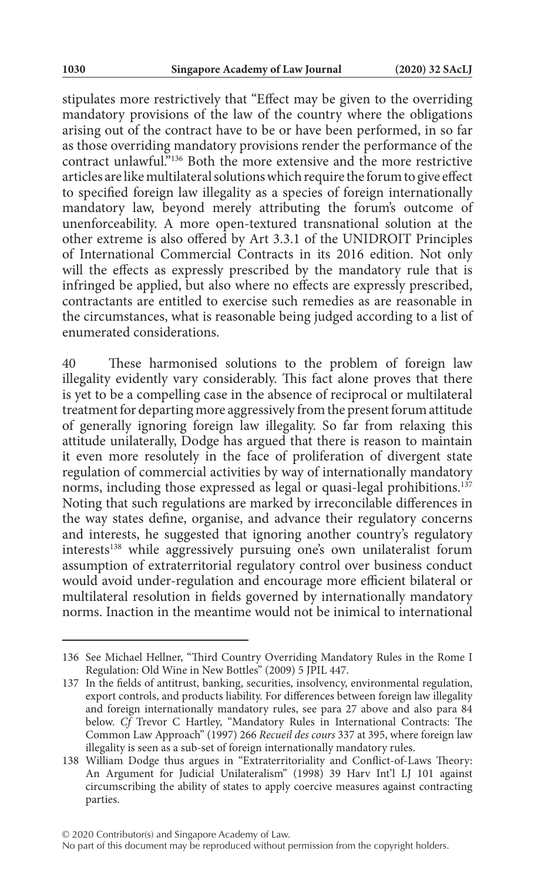stipulates more restrictively that "Effect may be given to the overriding mandatory provisions of the law of the country where the obligations arising out of the contract have to be or have been performed, in so far as those overriding mandatory provisions render the performance of the contract unlawful."136 Both the more extensive and the more restrictive articles are like multilateral solutions which require the forum to give effect to specified foreign law illegality as a species of foreign internationally mandatory law, beyond merely attributing the forum's outcome of unenforceability. A more open-textured transnational solution at the other extreme is also offered by Art 3.3.1 of the UNIDROIT Principles of International Commercial Contracts in its 2016 edition. Not only will the effects as expressly prescribed by the mandatory rule that is infringed be applied, but also where no effects are expressly prescribed, contractants are entitled to exercise such remedies as are reasonable in the circumstances, what is reasonable being judged according to a list of enumerated considerations.

40 These harmonised solutions to the problem of foreign law illegality evidently vary considerably. This fact alone proves that there is yet to be a compelling case in the absence of reciprocal or multilateral treatment for departing more aggressively from the present forum attitude of generally ignoring foreign law illegality. So far from relaxing this attitude unilaterally, Dodge has argued that there is reason to maintain it even more resolutely in the face of proliferation of divergent state regulation of commercial activities by way of internationally mandatory norms, including those expressed as legal or quasi-legal prohibitions.<sup>137</sup> Noting that such regulations are marked by irreconcilable differences in the way states define, organise, and advance their regulatory concerns and interests, he suggested that ignoring another country's regulatory interests<sup>138</sup> while aggressively pursuing one's own unilateralist forum assumption of extraterritorial regulatory control over business conduct would avoid under-regulation and encourage more efficient bilateral or multilateral resolution in fields governed by internationally mandatory norms. Inaction in the meantime would not be inimical to international

<sup>136</sup> See Michael Hellner, "Third Country Overriding Mandatory Rules in the Rome I Regulation: Old Wine in New Bottles" (2009) 5 JPIL 447.

<sup>137</sup> In the fields of antitrust, banking, securities, insolvency, environmental regulation, export controls, and products liability. For differences between foreign law illegality and foreign internationally mandatory rules, see para 27 above and also para 84 below. *Cf* Trevor C Hartley, "Mandatory Rules in International Contracts: The Common Law Approach" (1997) 266 *Recueil des cours* 337 at 395, where foreign law illegality is seen as a sub-set of foreign internationally mandatory rules.

<sup>138</sup> William Dodge thus argues in "Extraterritoriality and Conflict-of-Laws Theory: An Argument for Judicial Unilateralism" (1998) 39 Harv Int'l LJ 101 against circumscribing the ability of states to apply coercive measures against contracting parties.

No part of this document may be reproduced without permission from the copyright holders.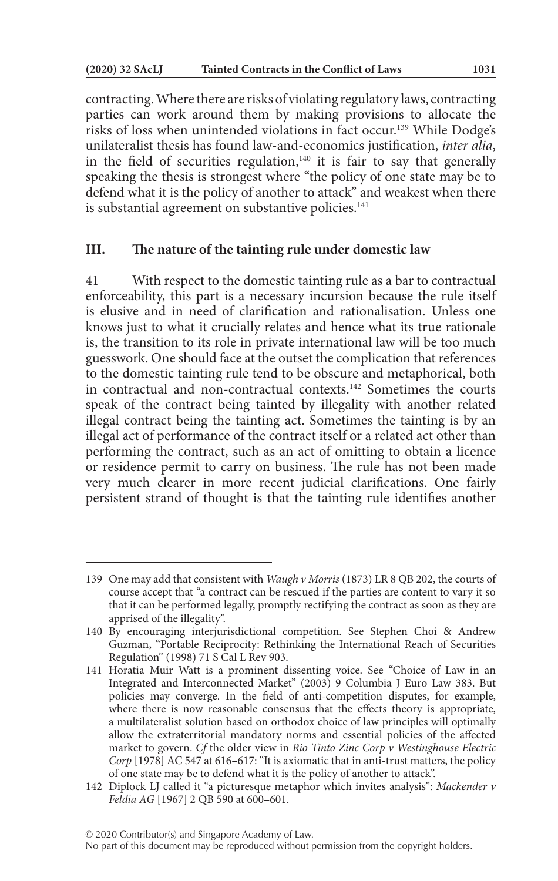contracting. Where there are risks of violating regulatory laws, contracting parties can work around them by making provisions to allocate the risks of loss when unintended violations in fact occur.139 While Dodge's unilateralist thesis has found law-and-economics justification, *inter alia*, in the field of securities regulation, $140$  it is fair to say that generally speaking the thesis is strongest where "the policy of one state may be to defend what it is the policy of another to attack" and weakest when there is substantial agreement on substantive policies.<sup>141</sup>

### **III. The nature of the tainting rule under domestic law**

41 With respect to the domestic tainting rule as a bar to contractual enforceability, this part is a necessary incursion because the rule itself is elusive and in need of clarification and rationalisation. Unless one knows just to what it crucially relates and hence what its true rationale is, the transition to its role in private international law will be too much guesswork. One should face at the outset the complication that references to the domestic tainting rule tend to be obscure and metaphorical, both in contractual and non-contractual contexts.142 Sometimes the courts speak of the contract being tainted by illegality with another related illegal contract being the tainting act. Sometimes the tainting is by an illegal act of performance of the contract itself or a related act other than performing the contract, such as an act of omitting to obtain a licence or residence permit to carry on business. The rule has not been made very much clearer in more recent judicial clarifications. One fairly persistent strand of thought is that the tainting rule identifies another

<sup>139</sup> One may add that consistent with *Waugh v Morris* (1873) LR 8 QB 202, the courts of course accept that "a contract can be rescued if the parties are content to vary it so that it can be performed legally, promptly rectifying the contract as soon as they are apprised of the illegality".

<sup>140</sup> By encouraging interjurisdictional competition. See Stephen Choi & Andrew Guzman, "Portable Reciprocity: Rethinking the International Reach of Securities Regulation" (1998) 71 S Cal L Rev 903.

<sup>141</sup> Horatia Muir Watt is a prominent dissenting voice. See "Choice of Law in an Integrated and Interconnected Market" (2003) 9 Columbia J Euro Law 383. But policies may converge. In the field of anti-competition disputes, for example, where there is now reasonable consensus that the effects theory is appropriate, a multilateralist solution based on orthodox choice of law principles will optimally allow the extraterritorial mandatory norms and essential policies of the affected market to govern. *Cf* the older view in *Rio Tinto Zinc Corp v Westinghouse Electric Corp* [1978] AC 547 at 616–617: "It is axiomatic that in anti-trust matters, the policy of one state may be to defend what it is the policy of another to attack".

<sup>142</sup> Diplock LJ called it "a picturesque metaphor which invites analysis": *Mackender v Feldia AG* [1967] 2 QB 590 at 600–601.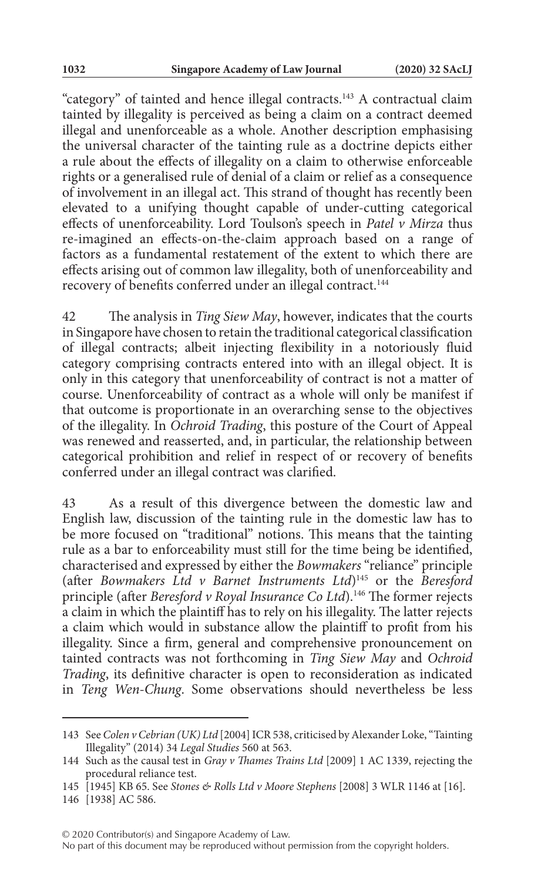"category" of tainted and hence illegal contracts.143 A contractual claim tainted by illegality is perceived as being a claim on a contract deemed illegal and unenforceable as a whole. Another description emphasising the universal character of the tainting rule as a doctrine depicts either a rule about the effects of illegality on a claim to otherwise enforceable rights or a generalised rule of denial of a claim or relief as a consequence of involvement in an illegal act. This strand of thought has recently been elevated to a unifying thought capable of under-cutting categorical effects of unenforceability. Lord Toulson's speech in *Patel v Mirza* thus re-imagined an effects-on-the-claim approach based on a range of factors as a fundamental restatement of the extent to which there are effects arising out of common law illegality, both of unenforceability and recovery of benefits conferred under an illegal contract.<sup>144</sup>

42 The analysis in *Ting Siew May*, however, indicates that the courts in Singapore have chosen to retain the traditional categorical classification of illegal contracts; albeit injecting flexibility in a notoriously fluid category comprising contracts entered into with an illegal object. It is only in this category that unenforceability of contract is not a matter of course. Unenforceability of contract as a whole will only be manifest if that outcome is proportionate in an overarching sense to the objectives of the illegality. In *Ochroid Trading*, this posture of the Court of Appeal was renewed and reasserted, and, in particular, the relationship between categorical prohibition and relief in respect of or recovery of benefits conferred under an illegal contract was clarified.

43 As a result of this divergence between the domestic law and English law, discussion of the tainting rule in the domestic law has to be more focused on "traditional" notions. This means that the tainting rule as a bar to enforceability must still for the time being be identified, characterised and expressed by either the *Bowmakers* "reliance" principle (after *Bowmakers Ltd v Barnet Instruments Ltd*)145 or the *Beresford* principle (after *Beresford v Royal Insurance Co Ltd*).146 The former rejects a claim in which the plaintiff has to rely on his illegality. The latter rejects a claim which would in substance allow the plaintiff to profit from his illegality. Since a firm, general and comprehensive pronouncement on tainted contracts was not forthcoming in *Ting Siew May* and *Ochroid Trading*, its definitive character is open to reconsideration as indicated in *Teng Wen-Chung*. Some observations should nevertheless be less

<sup>143</sup> See *Colen v Cebrian (UK) Ltd* [2004] ICR 538, criticised by Alexander Loke, "Tainting Illegality" (2014) 34 *Legal Studies* 560 at 563.

<sup>144</sup> Such as the causal test in *Gray v Thames Trains Ltd* [2009] 1 AC 1339, rejecting the procedural reliance test.

<sup>145</sup> [1945] KB 65. See *Stones & Rolls Ltd v Moore Stephens* [2008] 3 WLR 1146 at [16].

<sup>146</sup> [1938] AC 586.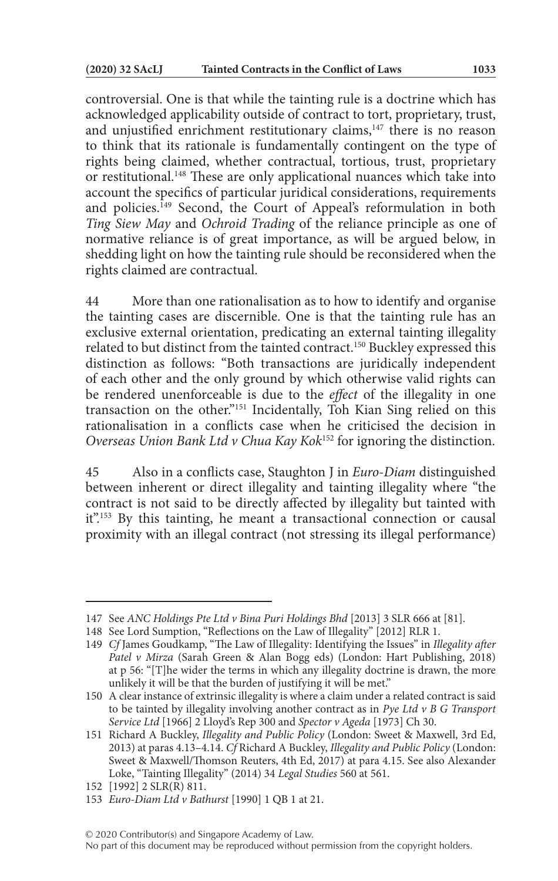controversial. One is that while the tainting rule is a doctrine which has acknowledged applicability outside of contract to tort, proprietary, trust, and unjustified enrichment restitutionary claims,<sup>147</sup> there is no reason to think that its rationale is fundamentally contingent on the type of rights being claimed, whether contractual, tortious, trust, proprietary or restitutional.148 These are only applicational nuances which take into account the specifics of particular juridical considerations, requirements and policies.<sup>149</sup> Second, the Court of Appeal's reformulation in both *Ting Siew May* and *Ochroid Trading* of the reliance principle as one of normative reliance is of great importance, as will be argued below, in shedding light on how the tainting rule should be reconsidered when the rights claimed are contractual.

44 More than one rationalisation as to how to identify and organise the tainting cases are discernible. One is that the tainting rule has an exclusive external orientation, predicating an external tainting illegality related to but distinct from the tainted contract.150 Buckley expressed this distinction as follows: "Both transactions are juridically independent of each other and the only ground by which otherwise valid rights can be rendered unenforceable is due to the *effect* of the illegality in one transaction on the other."151 Incidentally, Toh Kian Sing relied on this rationalisation in a conflicts case when he criticised the decision in *Overseas Union Bank Ltd v Chua Kay Kok*152 for ignoring the distinction.

45 Also in a conflicts case, Staughton J in *Euro-Diam* distinguished between inherent or direct illegality and tainting illegality where "the contract is not said to be directly affected by illegality but tainted with it"<sup>153</sup> By this tainting, he meant a transactional connection or causal proximity with an illegal contract (not stressing its illegal performance)

<sup>147</sup> See *ANC Holdings Pte Ltd v Bina Puri Holdings Bhd* [2013] 3 SLR 666 at [81].

<sup>148</sup> See Lord Sumption, "Reflections on the Law of Illegality" [2012] RLR 1.

<sup>149</sup> *Cf* James Goudkamp, "The Law of Illegality: Identifying the Issues" in *Illegality after Patel v Mirza* (Sarah Green & Alan Bogg eds) (London: Hart Publishing, 2018) at p 56: "[T]he wider the terms in which any illegality doctrine is drawn, the more unlikely it will be that the burden of justifying it will be met."

<sup>150</sup> A clear instance of extrinsic illegality is where a claim under a related contract is said to be tainted by illegality involving another contract as in *Pye Ltd v B G Transport Service Ltd* [1966] 2 Lloyd's Rep 300 and *Spector v Ageda* [1973] Ch 30.

<sup>151</sup> Richard A Buckley, *Illegality and Public Policy* (London: Sweet & Maxwell, 3rd Ed, 2013) at paras 4.13–4.14. *Cf* Richard A Buckley, *Illegality and Public Policy* (London: Sweet & Maxwell/Thomson Reuters, 4th Ed, 2017) at para 4.15. See also Alexander Loke, "Tainting Illegality" (2014) 34 *Legal Studies* 560 at 561.

<sup>152</sup> [1992] 2 SLR(R) 811.

<sup>153</sup> *Euro-Diam Ltd v Bathurst* [1990] 1 QB 1 at 21.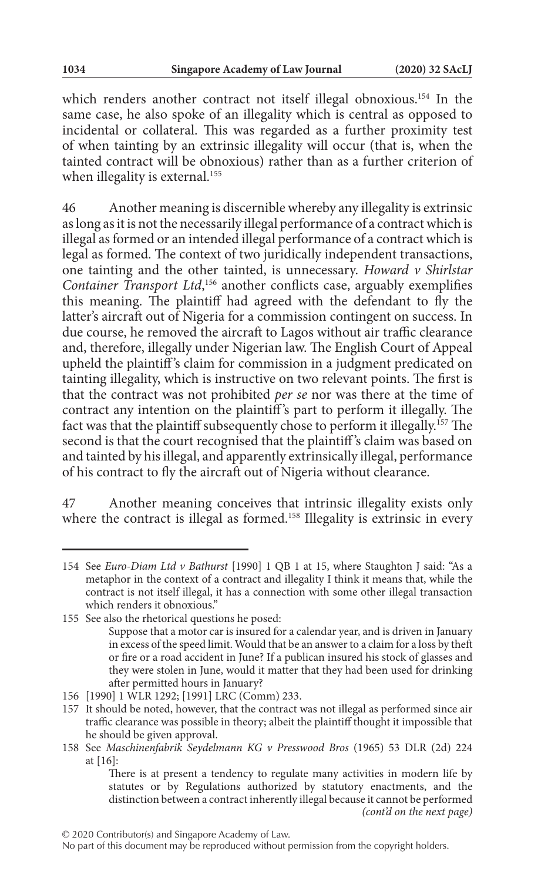which renders another contract not itself illegal obnoxious.<sup>154</sup> In the same case, he also spoke of an illegality which is central as opposed to incidental or collateral. This was regarded as a further proximity test of when tainting by an extrinsic illegality will occur (that is, when the tainted contract will be obnoxious) rather than as a further criterion of when illegality is external.<sup>155</sup>

46 Another meaning is discernible whereby any illegality is extrinsic as long as it is not the necessarily illegal performance of a contract which is illegal as formed or an intended illegal performance of a contract which is legal as formed. The context of two juridically independent transactions, one tainting and the other tainted, is unnecessary. *Howard v Shirlstar Container Transport Ltd*, 156 another conflicts case, arguably exemplifies this meaning. The plaintiff had agreed with the defendant to fly the latter's aircraft out of Nigeria for a commission contingent on success. In due course, he removed the aircraft to Lagos without air traffic clearance and, therefore, illegally under Nigerian law. The English Court of Appeal upheld the plaintiff 's claim for commission in a judgment predicated on tainting illegality, which is instructive on two relevant points. The first is that the contract was not prohibited *per se* nor was there at the time of contract any intention on the plaintiff 's part to perform it illegally. The fact was that the plaintiff subsequently chose to perform it illegally.<sup>157</sup> The second is that the court recognised that the plaintiff 's claim was based on and tainted by his illegal, and apparently extrinsically illegal, performance of his contract to fly the aircraft out of Nigeria without clearance.

47 Another meaning conceives that intrinsic illegality exists only where the contract is illegal as formed.<sup>158</sup> Illegality is extrinsic in every

<sup>154</sup> See *Euro-Diam Ltd v Bathurst* [1990] 1 QB 1 at 15, where Staughton J said: "As a metaphor in the context of a contract and illegality I think it means that, while the contract is not itself illegal, it has a connection with some other illegal transaction which renders it obnoxious."

<sup>155</sup> See also the rhetorical questions he posed: Suppose that a motor car is insured for a calendar year, and is driven in January in excess of the speed limit. Would that be an answer to a claim for a loss by theft or fire or a road accident in June? If a publican insured his stock of glasses and they were stolen in June, would it matter that they had been used for drinking after permitted hours in January?

<sup>156</sup> [1990] 1 WLR 1292; [1991] LRC (Comm) 233.

<sup>157</sup> It should be noted, however, that the contract was not illegal as performed since air traffic clearance was possible in theory; albeit the plaintiff thought it impossible that he should be given approval.

<sup>158</sup> See *Maschinenfabrik Seydelmann KG v Presswood Bros* (1965) 53 DLR (2d) 224 at [16]:

There is at present a tendency to regulate many activities in modern life by statutes or by Regulations authorized by statutory enactments, and the distinction between a contract inherently illegal because it cannot be performed *(cont'd on the next page)*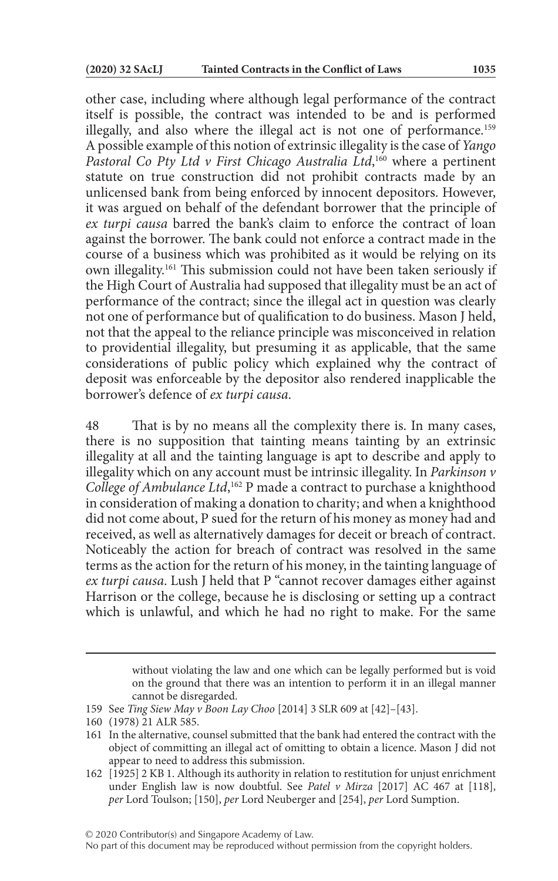other case, including where although legal performance of the contract itself is possible, the contract was intended to be and is performed illegally, and also where the illegal act is not one of performance.<sup>159</sup> A possible example of this notion of extrinsic illegality is the case of *Yango Pastoral Co Pty Ltd v First Chicago Australia Ltd*, 160 where a pertinent statute on true construction did not prohibit contracts made by an unlicensed bank from being enforced by innocent depositors. However, it was argued on behalf of the defendant borrower that the principle of *ex turpi causa* barred the bank's claim to enforce the contract of loan against the borrower. The bank could not enforce a contract made in the course of a business which was prohibited as it would be relying on its own illegality.161 This submission could not have been taken seriously if the High Court of Australia had supposed that illegality must be an act of performance of the contract; since the illegal act in question was clearly not one of performance but of qualification to do business. Mason J held, not that the appeal to the reliance principle was misconceived in relation to providential illegality, but presuming it as applicable, that the same considerations of public policy which explained why the contract of deposit was enforceable by the depositor also rendered inapplicable the borrower's defence of *ex turpi causa*.

48 That is by no means all the complexity there is. In many cases, there is no supposition that tainting means tainting by an extrinsic illegality at all and the tainting language is apt to describe and apply to illegality which on any account must be intrinsic illegality. In *Parkinson v College of Ambulance Ltd*, 162 P made a contract to purchase a knighthood in consideration of making a donation to charity; and when a knighthood did not come about, P sued for the return of his money as money had and received, as well as alternatively damages for deceit or breach of contract. Noticeably the action for breach of contract was resolved in the same terms as the action for the return of his money, in the tainting language of *ex turpi causa*. Lush J held that P "cannot recover damages either against Harrison or the college, because he is disclosing or setting up a contract which is unlawful, and which he had no right to make. For the same

© 2020 Contributor(s) and Singapore Academy of Law.

No part of this document may be reproduced without permission from the copyright holders.

without violating the law and one which can be legally performed but is void on the ground that there was an intention to perform it in an illegal manner cannot be disregarded.

<sup>159</sup> See *Ting Siew May v Boon Lay Choo* [2014] 3 SLR 609 at [42]–[43].

<sup>160</sup> (1978) 21 ALR 585.

<sup>161</sup> In the alternative, counsel submitted that the bank had entered the contract with the object of committing an illegal act of omitting to obtain a licence. Mason J did not appear to need to address this submission.

<sup>162</sup> [1925] 2 KB 1. Although its authority in relation to restitution for unjust enrichment under English law is now doubtful. See *Patel v Mirza* [2017] AC 467 at [118], *per* Lord Toulson; [150], *per* Lord Neuberger and [254], *per* Lord Sumption.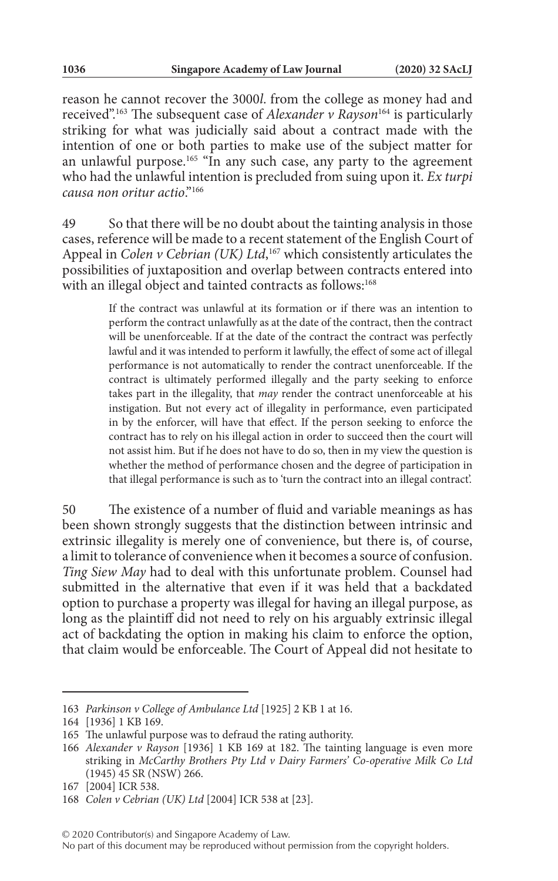reason he cannot recover the 3000*l*. from the college as money had and received".163 The subsequent case of *Alexander v Rayson*164 is particularly striking for what was judicially said about a contract made with the intention of one or both parties to make use of the subject matter for an unlawful purpose.<sup>165</sup> "In any such case, any party to the agreement who had the unlawful intention is precluded from suing upon it. *Ex turpi causa non oritur actio*."166

49 So that there will be no doubt about the tainting analysis in those cases, reference will be made to a recent statement of the English Court of Appeal in *Colen v Cebrian* (UK) Ltd,<sup>167</sup> which consistently articulates the possibilities of juxtaposition and overlap between contracts entered into with an illegal object and tainted contracts as follows:<sup>168</sup>

> If the contract was unlawful at its formation or if there was an intention to perform the contract unlawfully as at the date of the contract, then the contract will be unenforceable. If at the date of the contract the contract was perfectly lawful and it was intended to perform it lawfully, the effect of some act of illegal performance is not automatically to render the contract unenforceable. If the contract is ultimately performed illegally and the party seeking to enforce takes part in the illegality, that *may* render the contract unenforceable at his instigation. But not every act of illegality in performance, even participated in by the enforcer, will have that effect. If the person seeking to enforce the contract has to rely on his illegal action in order to succeed then the court will not assist him. But if he does not have to do so, then in my view the question is whether the method of performance chosen and the degree of participation in that illegal performance is such as to 'turn the contract into an illegal contract'.

50 The existence of a number of fluid and variable meanings as has been shown strongly suggests that the distinction between intrinsic and extrinsic illegality is merely one of convenience, but there is, of course, a limit to tolerance of convenience when it becomes a source of confusion. *Ting Siew May* had to deal with this unfortunate problem. Counsel had submitted in the alternative that even if it was held that a backdated option to purchase a property was illegal for having an illegal purpose, as long as the plaintiff did not need to rely on his arguably extrinsic illegal act of backdating the option in making his claim to enforce the option, that claim would be enforceable. The Court of Appeal did not hesitate to

© 2020 Contributor(s) and Singapore Academy of Law.

<sup>163</sup> *Parkinson v College of Ambulance Ltd* [1925] 2 KB 1 at 16.

<sup>164</sup> [1936] 1 KB 169.

<sup>165</sup> The unlawful purpose was to defraud the rating authority.

<sup>166</sup> *Alexander v Rayson* [1936] 1 KB 169 at 182. The tainting language is even more striking in *McCarthy Brothers Pty Ltd v Dairy Farmers' Co-operative Milk Co Ltd* (1945) 45 SR (NSW) 266.

<sup>167</sup> [2004] ICR 538.

<sup>168</sup> *Colen v Cebrian (UK) Ltd* [2004] ICR 538 at [23].

No part of this document may be reproduced without permission from the copyright holders.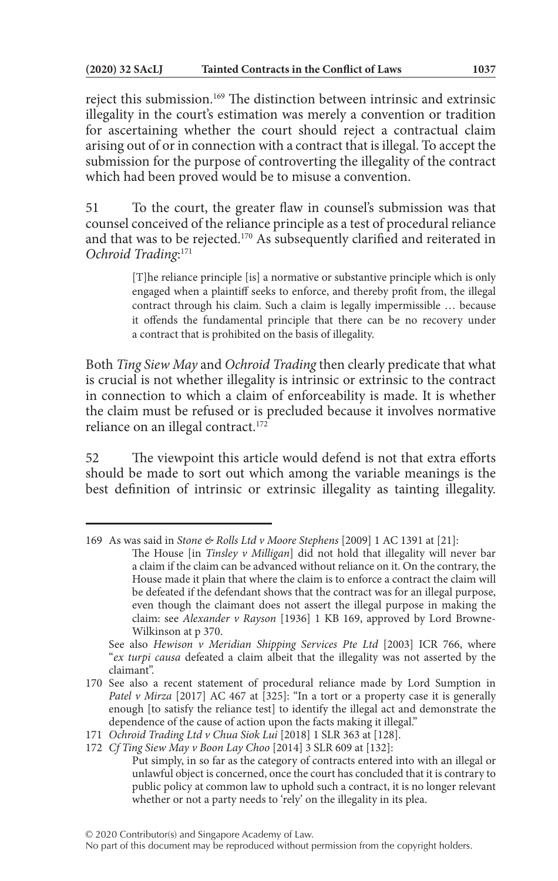reject this submission.169 The distinction between intrinsic and extrinsic illegality in the court's estimation was merely a convention or tradition for ascertaining whether the court should reject a contractual claim arising out of or in connection with a contract that is illegal. To accept the submission for the purpose of controverting the illegality of the contract which had been proved would be to misuse a convention.

51 To the court, the greater flaw in counsel's submission was that counsel conceived of the reliance principle as a test of procedural reliance and that was to be rejected.170 As subsequently clarified and reiterated in *Ochroid Trading*: 171

> [T]he reliance principle [is] a normative or substantive principle which is only engaged when a plaintiff seeks to enforce, and thereby profit from, the illegal contract through his claim. Such a claim is legally impermissible … because it offends the fundamental principle that there can be no recovery under a contract that is prohibited on the basis of illegality.

Both *Ting Siew May* and *Ochroid Trading* then clearly predicate that what is crucial is not whether illegality is intrinsic or extrinsic to the contract in connection to which a claim of enforceability is made. It is whether the claim must be refused or is precluded because it involves normative reliance on an illegal contract.<sup>172</sup>

52 The viewpoint this article would defend is not that extra efforts should be made to sort out which among the variable meanings is the best definition of intrinsic or extrinsic illegality as tainting illegality.

See also *Hewison v Meridian Shipping Services Pte Ltd* [2003] ICR 766, where "*ex turpi causa* defeated a claim albeit that the illegality was not asserted by the claimant".

<sup>169</sup> As was said in *Stone & Rolls Ltd v Moore Stephens* [2009] 1 AC 1391 at [21]:

The House [in *Tinsley v Milligan*] did not hold that illegality will never bar a claim if the claim can be advanced without reliance on it. On the contrary, the House made it plain that where the claim is to enforce a contract the claim will be defeated if the defendant shows that the contract was for an illegal purpose, even though the claimant does not assert the illegal purpose in making the claim: see *Alexander v Rayson* [1936] 1 KB 169, approved by Lord Browne-Wilkinson at p 370.

<sup>170</sup> See also a recent statement of procedural reliance made by Lord Sumption in *Patel v Mirza* [2017] AC 467 at [325]: "In a tort or a property case it is generally enough [to satisfy the reliance test] to identify the illegal act and demonstrate the dependence of the cause of action upon the facts making it illegal."

<sup>171</sup> *Ochroid Trading Ltd v Chua Siok Lui* [2018] 1 SLR 363 at [128].

<sup>172</sup> *Cf Ting Siew May v Boon Lay Choo* [2014] 3 SLR 609 at [132]:

Put simply, in so far as the category of contracts entered into with an illegal or unlawful object is concerned, once the court has concluded that it is contrary to public policy at common law to uphold such a contract, it is no longer relevant whether or not a party needs to 'rely' on the illegality in its plea.

No part of this document may be reproduced without permission from the copyright holders.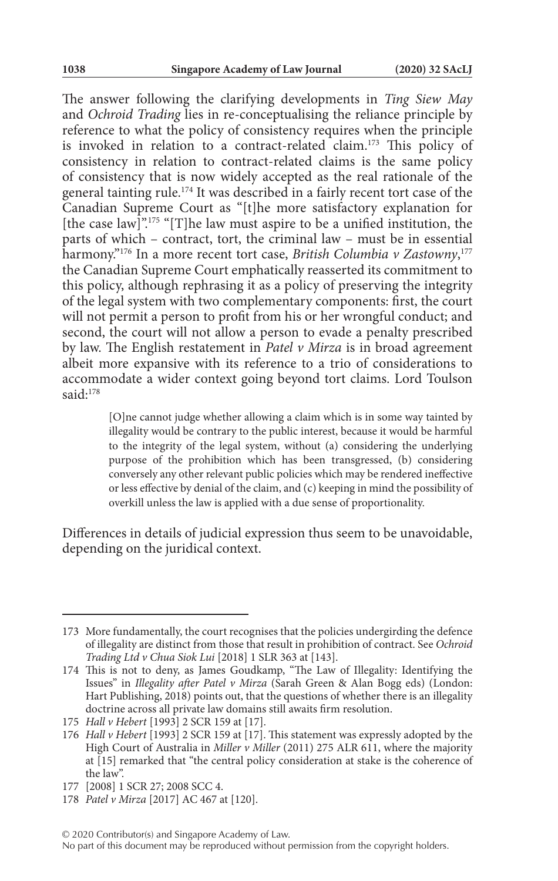The answer following the clarifying developments in *Ting Siew May* and *Ochroid Trading* lies in re-conceptualising the reliance principle by reference to what the policy of consistency requires when the principle is invoked in relation to a contract-related claim.173 This policy of consistency in relation to contract-related claims is the same policy of consistency that is now widely accepted as the real rationale of the general tainting rule.<sup>174</sup> It was described in a fairly recent tort case of the Canadian Supreme Court as "[t]he more satisfactory explanation for [the case law]".<sup>175</sup> "[T]he law must aspire to be a unified institution, the parts of which – contract, tort, the criminal law – must be in essential harmony."176 In a more recent tort case, *British Columbia v Zastowny*, 177 the Canadian Supreme Court emphatically reasserted its commitment to this policy, although rephrasing it as a policy of preserving the integrity of the legal system with two complementary components: first, the court will not permit a person to profit from his or her wrongful conduct; and second, the court will not allow a person to evade a penalty prescribed by law. The English restatement in *Patel v Mirza* is in broad agreement albeit more expansive with its reference to a trio of considerations to accommodate a wider context going beyond tort claims. Lord Toulson said:<sup>178</sup>

> [O]ne cannot judge whether allowing a claim which is in some way tainted by illegality would be contrary to the public interest, because it would be harmful to the integrity of the legal system, without (a) considering the underlying purpose of the prohibition which has been transgressed, (b) considering conversely any other relevant public policies which may be rendered ineffective or less effective by denial of the claim, and (c) keeping in mind the possibility of overkill unless the law is applied with a due sense of proportionality.

Differences in details of judicial expression thus seem to be unavoidable, depending on the juridical context.

<sup>173</sup> More fundamentally, the court recognises that the policies undergirding the defence of illegality are distinct from those that result in prohibition of contract. See *Ochroid Trading Ltd v Chua Siok Lui* [2018] 1 SLR 363 at [143].

<sup>174</sup> This is not to deny, as James Goudkamp, "The Law of Illegality: Identifying the Issues" in *Illegality after Patel v Mirza* (Sarah Green & Alan Bogg eds) (London: Hart Publishing, 2018) points out, that the questions of whether there is an illegality doctrine across all private law domains still awaits firm resolution.

<sup>175</sup> *Hall v Hebert* [1993] 2 SCR 159 at [17].

<sup>176</sup> *Hall v Hebert* [1993] 2 SCR 159 at [17]. This statement was expressly adopted by the High Court of Australia in *Miller v Miller* (2011) 275 ALR 611, where the majority at [15] remarked that "the central policy consideration at stake is the coherence of the law".

<sup>177</sup> [2008] 1 SCR 27; 2008 SCC 4.

<sup>178</sup> *Patel v Mirza* [2017] AC 467 at [120].

<sup>© 2020</sup> Contributor(s) and Singapore Academy of Law.

No part of this document may be reproduced without permission from the copyright holders.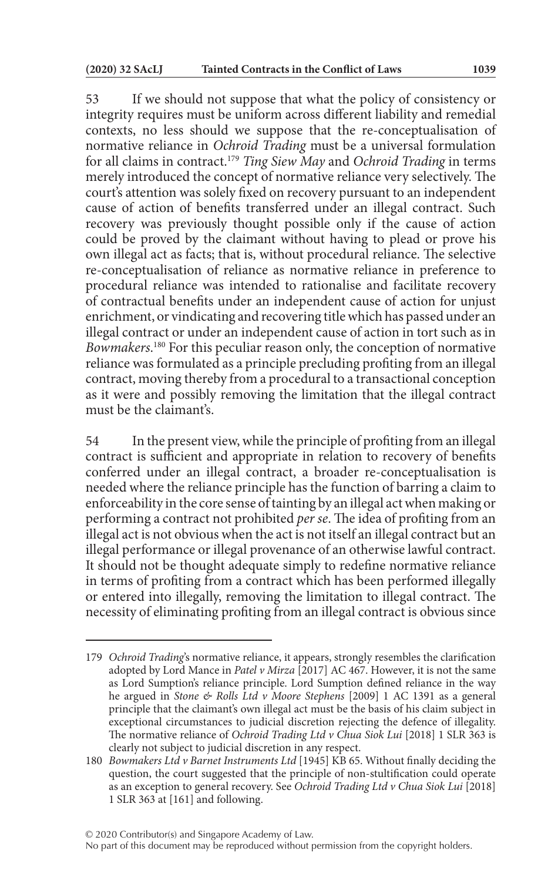53 If we should not suppose that what the policy of consistency or integrity requires must be uniform across different liability and remedial contexts, no less should we suppose that the re-conceptualisation of normative reliance in *Ochroid Trading* must be a universal formulation for all claims in contract.179 *Ting Siew May* and *Ochroid Trading* in terms merely introduced the concept of normative reliance very selectively. The court's attention was solely fixed on recovery pursuant to an independent cause of action of benefits transferred under an illegal contract. Such recovery was previously thought possible only if the cause of action could be proved by the claimant without having to plead or prove his own illegal act as facts; that is, without procedural reliance. The selective re-conceptualisation of reliance as normative reliance in preference to procedural reliance was intended to rationalise and facilitate recovery of contractual benefits under an independent cause of action for unjust enrichment, or vindicating and recovering title which has passed under an illegal contract or under an independent cause of action in tort such as in Bowmakers.<sup>180</sup> For this peculiar reason only, the conception of normative reliance was formulated as a principle precluding profiting from an illegal contract, moving thereby from a procedural to a transactional conception as it were and possibly removing the limitation that the illegal contract must be the claimant's.

54 In the present view, while the principle of profiting from an illegal contract is sufficient and appropriate in relation to recovery of benefits conferred under an illegal contract, a broader re-conceptualisation is needed where the reliance principle has the function of barring a claim to enforceability in the core sense of tainting by an illegal act when making or performing a contract not prohibited *per se*. The idea of profiting from an illegal act is not obvious when the act is not itself an illegal contract but an illegal performance or illegal provenance of an otherwise lawful contract. It should not be thought adequate simply to redefine normative reliance in terms of profiting from a contract which has been performed illegally or entered into illegally, removing the limitation to illegal contract. The necessity of eliminating profiting from an illegal contract is obvious since

<sup>179</sup> *Ochroid Trading*'s normative reliance, it appears, strongly resembles the clarification adopted by Lord Mance in *Patel v Mirza* [2017] AC 467. However, it is not the same as Lord Sumption's reliance principle. Lord Sumption defined reliance in the way he argued in *Stone & Rolls Ltd v Moore Stephens* [2009] 1 AC 1391 as a general principle that the claimant's own illegal act must be the basis of his claim subject in exceptional circumstances to judicial discretion rejecting the defence of illegality. The normative reliance of *Ochroid Trading Ltd v Chua Siok Lui* [2018] 1 SLR 363 is clearly not subject to judicial discretion in any respect.

<sup>180</sup> *Bowmakers Ltd v Barnet Instruments Ltd* [1945] KB 65. Without finally deciding the question, the court suggested that the principle of non-stultification could operate as an exception to general recovery. See *Ochroid Trading Ltd v Chua Siok Lui* [2018] 1 SLR 363 at [161] and following.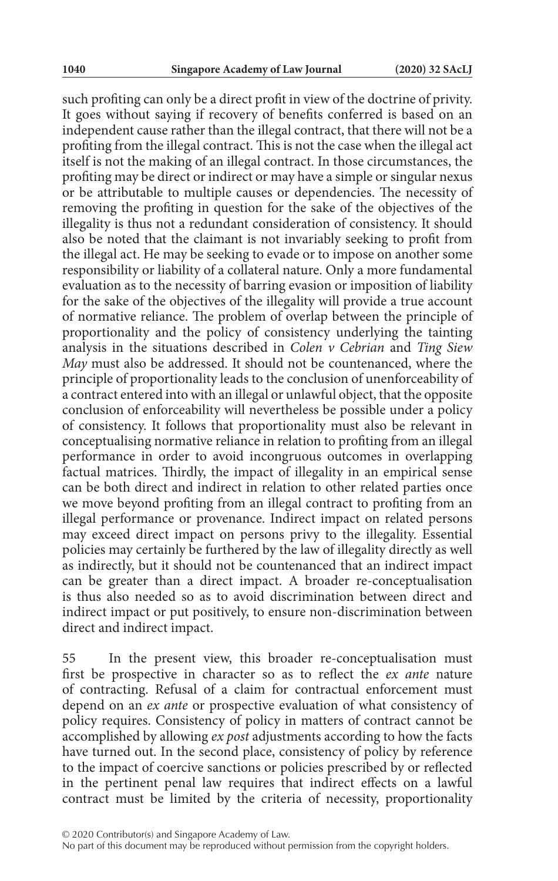such profiting can only be a direct profit in view of the doctrine of privity. It goes without saying if recovery of benefits conferred is based on an independent cause rather than the illegal contract, that there will not be a profiting from the illegal contract. This is not the case when the illegal act itself is not the making of an illegal contract. In those circumstances, the profiting may be direct or indirect or may have a simple or singular nexus or be attributable to multiple causes or dependencies. The necessity of removing the profiting in question for the sake of the objectives of the illegality is thus not a redundant consideration of consistency. It should also be noted that the claimant is not invariably seeking to profit from the illegal act. He may be seeking to evade or to impose on another some responsibility or liability of a collateral nature. Only a more fundamental evaluation as to the necessity of barring evasion or imposition of liability for the sake of the objectives of the illegality will provide a true account of normative reliance. The problem of overlap between the principle of proportionality and the policy of consistency underlying the tainting analysis in the situations described in *Colen v Cebrian* and *Ting Siew May* must also be addressed. It should not be countenanced, where the principle of proportionality leads to the conclusion of unenforceability of a contract entered into with an illegal or unlawful object, that the opposite conclusion of enforceability will nevertheless be possible under a policy of consistency. It follows that proportionality must also be relevant in conceptualising normative reliance in relation to profiting from an illegal performance in order to avoid incongruous outcomes in overlapping factual matrices. Thirdly, the impact of illegality in an empirical sense can be both direct and indirect in relation to other related parties once we move beyond profiting from an illegal contract to profiting from an illegal performance or provenance. Indirect impact on related persons may exceed direct impact on persons privy to the illegality. Essential policies may certainly be furthered by the law of illegality directly as well as indirectly, but it should not be countenanced that an indirect impact can be greater than a direct impact. A broader re-conceptualisation is thus also needed so as to avoid discrimination between direct and indirect impact or put positively, to ensure non-discrimination between direct and indirect impact.

55 In the present view, this broader re-conceptualisation must first be prospective in character so as to reflect the *ex ante* nature of contracting. Refusal of a claim for contractual enforcement must depend on an *ex ante* or prospective evaluation of what consistency of policy requires. Consistency of policy in matters of contract cannot be accomplished by allowing *ex post* adjustments according to how the facts have turned out. In the second place, consistency of policy by reference to the impact of coercive sanctions or policies prescribed by or reflected in the pertinent penal law requires that indirect effects on a lawful contract must be limited by the criteria of necessity, proportionality

No part of this document may be reproduced without permission from the copyright holders.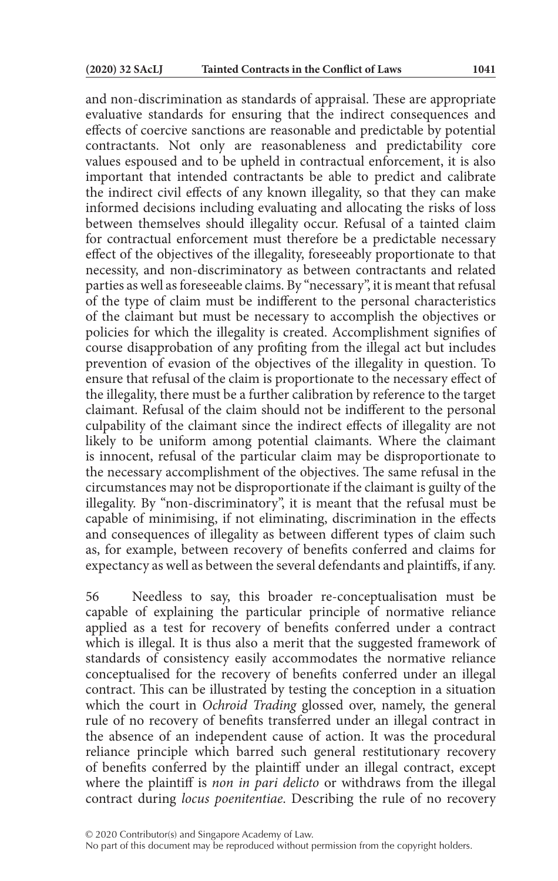and non-discrimination as standards of appraisal. These are appropriate evaluative standards for ensuring that the indirect consequences and effects of coercive sanctions are reasonable and predictable by potential contractants. Not only are reasonableness and predictability core values espoused and to be upheld in contractual enforcement, it is also important that intended contractants be able to predict and calibrate the indirect civil effects of any known illegality, so that they can make informed decisions including evaluating and allocating the risks of loss between themselves should illegality occur. Refusal of a tainted claim for contractual enforcement must therefore be a predictable necessary effect of the objectives of the illegality, foreseeably proportionate to that necessity, and non-discriminatory as between contractants and related parties as well as foreseeable claims. By "necessary", it is meant that refusal of the type of claim must be indifferent to the personal characteristics of the claimant but must be necessary to accomplish the objectives or policies for which the illegality is created. Accomplishment signifies of course disapprobation of any profiting from the illegal act but includes prevention of evasion of the objectives of the illegality in question. To ensure that refusal of the claim is proportionate to the necessary effect of the illegality, there must be a further calibration by reference to the target claimant. Refusal of the claim should not be indifferent to the personal culpability of the claimant since the indirect effects of illegality are not likely to be uniform among potential claimants. Where the claimant is innocent, refusal of the particular claim may be disproportionate to the necessary accomplishment of the objectives. The same refusal in the circumstances may not be disproportionate if the claimant is guilty of the illegality. By "non-discriminatory", it is meant that the refusal must be capable of minimising, if not eliminating, discrimination in the effects and consequences of illegality as between different types of claim such as, for example, between recovery of benefits conferred and claims for expectancy as well as between the several defendants and plaintiffs, if any.

56 Needless to say, this broader re-conceptualisation must be capable of explaining the particular principle of normative reliance applied as a test for recovery of benefits conferred under a contract which is illegal. It is thus also a merit that the suggested framework of standards of consistency easily accommodates the normative reliance conceptualised for the recovery of benefits conferred under an illegal contract. This can be illustrated by testing the conception in a situation which the court in *Ochroid Trading* glossed over, namely, the general rule of no recovery of benefits transferred under an illegal contract in the absence of an independent cause of action. It was the procedural reliance principle which barred such general restitutionary recovery of benefits conferred by the plaintiff under an illegal contract, except where the plaintiff is *non in pari delicto* or withdraws from the illegal contract during *locus poenitentiae*. Describing the rule of no recovery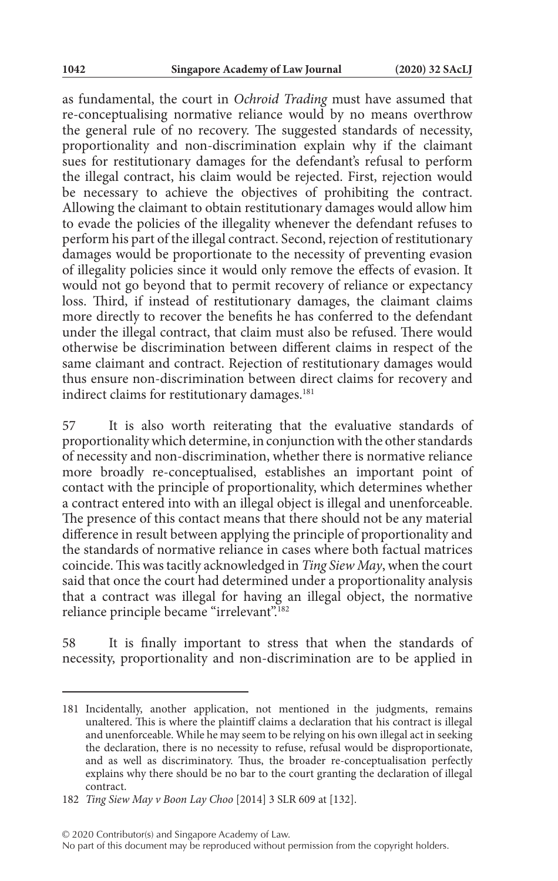as fundamental, the court in *Ochroid Trading* must have assumed that re-conceptualising normative reliance would by no means overthrow the general rule of no recovery. The suggested standards of necessity, proportionality and non-discrimination explain why if the claimant sues for restitutionary damages for the defendant's refusal to perform the illegal contract, his claim would be rejected. First, rejection would be necessary to achieve the objectives of prohibiting the contract. Allowing the claimant to obtain restitutionary damages would allow him to evade the policies of the illegality whenever the defendant refuses to perform his part of the illegal contract. Second, rejection of restitutionary damages would be proportionate to the necessity of preventing evasion of illegality policies since it would only remove the effects of evasion. It would not go beyond that to permit recovery of reliance or expectancy loss. Third, if instead of restitutionary damages, the claimant claims more directly to recover the benefits he has conferred to the defendant under the illegal contract, that claim must also be refused. There would otherwise be discrimination between different claims in respect of the same claimant and contract. Rejection of restitutionary damages would thus ensure non-discrimination between direct claims for recovery and indirect claims for restitutionary damages.<sup>181</sup>

57 It is also worth reiterating that the evaluative standards of proportionality which determine, in conjunction with the other standards of necessity and non-discrimination, whether there is normative reliance more broadly re-conceptualised, establishes an important point of contact with the principle of proportionality, which determines whether a contract entered into with an illegal object is illegal and unenforceable. The presence of this contact means that there should not be any material difference in result between applying the principle of proportionality and the standards of normative reliance in cases where both factual matrices coincide. This was tacitly acknowledged in *Ting Siew May*, when the court said that once the court had determined under a proportionality analysis that a contract was illegal for having an illegal object, the normative reliance principle became "irrelevant".182

58 It is finally important to stress that when the standards of necessity, proportionality and non-discrimination are to be applied in

<sup>181</sup> Incidentally, another application, not mentioned in the judgments, remains unaltered. This is where the plaintiff claims a declaration that his contract is illegal and unenforceable. While he may seem to be relying on his own illegal act in seeking the declaration, there is no necessity to refuse, refusal would be disproportionate, and as well as discriminatory. Thus, the broader re-conceptualisation perfectly explains why there should be no bar to the court granting the declaration of illegal contract.

<sup>182</sup> *Ting Siew May v Boon Lay Choo* [2014] 3 SLR 609 at [132].

No part of this document may be reproduced without permission from the copyright holders.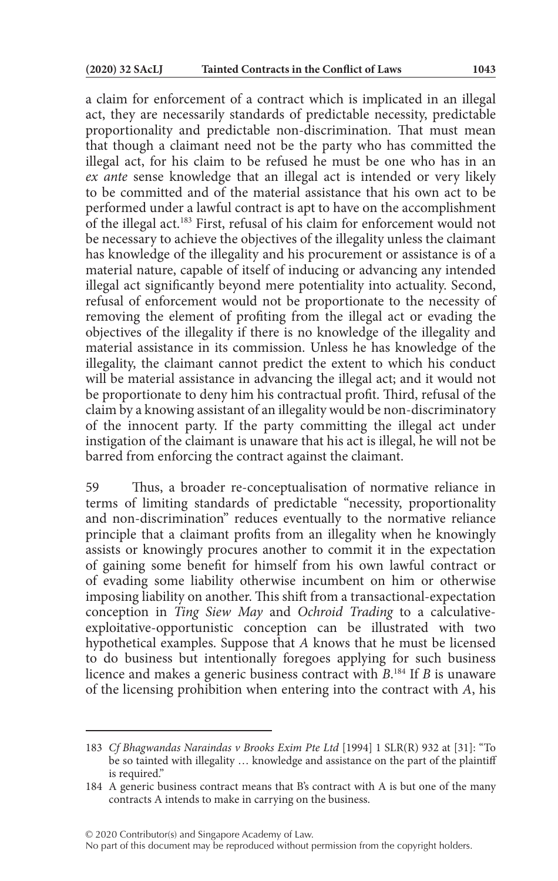a claim for enforcement of a contract which is implicated in an illegal act, they are necessarily standards of predictable necessity, predictable proportionality and predictable non-discrimination. That must mean that though a claimant need not be the party who has committed the illegal act, for his claim to be refused he must be one who has in an *ex ante* sense knowledge that an illegal act is intended or very likely to be committed and of the material assistance that his own act to be performed under a lawful contract is apt to have on the accomplishment of the illegal act.183 First, refusal of his claim for enforcement would not be necessary to achieve the objectives of the illegality unless the claimant has knowledge of the illegality and his procurement or assistance is of a material nature, capable of itself of inducing or advancing any intended illegal act significantly beyond mere potentiality into actuality. Second, refusal of enforcement would not be proportionate to the necessity of removing the element of profiting from the illegal act or evading the objectives of the illegality if there is no knowledge of the illegality and material assistance in its commission. Unless he has knowledge of the illegality, the claimant cannot predict the extent to which his conduct will be material assistance in advancing the illegal act; and it would not be proportionate to deny him his contractual profit. Third, refusal of the claim by a knowing assistant of an illegality would be non-discriminatory of the innocent party. If the party committing the illegal act under instigation of the claimant is unaware that his act is illegal, he will not be barred from enforcing the contract against the claimant.

59 Thus, a broader re-conceptualisation of normative reliance in terms of limiting standards of predictable "necessity, proportionality and non-discrimination" reduces eventually to the normative reliance principle that a claimant profits from an illegality when he knowingly assists or knowingly procures another to commit it in the expectation of gaining some benefit for himself from his own lawful contract or of evading some liability otherwise incumbent on him or otherwise imposing liability on another. This shift from a transactional-expectation conception in *Ting Siew May* and *Ochroid Trading* to a calculativeexploitative-opportunistic conception can be illustrated with two hypothetical examples. Suppose that *A* knows that he must be licensed to do business but intentionally foregoes applying for such business licence and makes a generic business contract with *B*. 184 If *B* is unaware of the licensing prohibition when entering into the contract with *A*, his

<sup>183</sup> *Cf Bhagwandas Naraindas v Brooks Exim Pte Ltd* [1994] 1 SLR(R) 932 at [31]: "To be so tainted with illegality … knowledge and assistance on the part of the plaintiff is required."

<sup>184</sup> A generic business contract means that B's contract with A is but one of the many contracts A intends to make in carrying on the business.

No part of this document may be reproduced without permission from the copyright holders.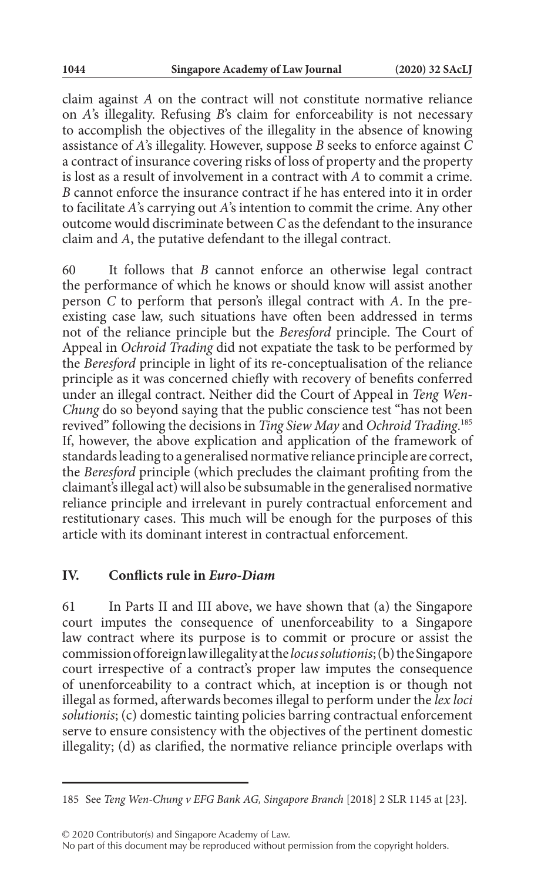claim against *A* on the contract will not constitute normative reliance on *A*'s illegality. Refusing *B*'s claim for enforceability is not necessary to accomplish the objectives of the illegality in the absence of knowing assistance of *A*'s illegality. However, suppose *B* seeks to enforce against *C* a contract of insurance covering risks of loss of property and the property is lost as a result of involvement in a contract with *A* to commit a crime. *B* cannot enforce the insurance contract if he has entered into it in order to facilitate *A*'s carrying out *A*'s intention to commit the crime. Any other outcome would discriminate between *C* as the defendant to the insurance claim and *A*, the putative defendant to the illegal contract.

60 It follows that *B* cannot enforce an otherwise legal contract the performance of which he knows or should know will assist another person *C* to perform that person's illegal contract with *A*. In the preexisting case law, such situations have often been addressed in terms not of the reliance principle but the *Beresford* principle. The Court of Appeal in *Ochroid Trading* did not expatiate the task to be performed by the *Beresford* principle in light of its re-conceptualisation of the reliance principle as it was concerned chiefly with recovery of benefits conferred under an illegal contract. Neither did the Court of Appeal in *Teng Wen-Chung* do so beyond saying that the public conscience test "has not been revived" following the decisions in *Ting Siew May* and *Ochroid Trading*. 185 If, however, the above explication and application of the framework of standards leading to a generalised normative reliance principle are correct, the *Beresford* principle (which precludes the claimant profiting from the claimant's illegal act) will also be subsumable in the generalised normative reliance principle and irrelevant in purely contractual enforcement and restitutionary cases. This much will be enough for the purposes of this article with its dominant interest in contractual enforcement.

#### **IV. Conflicts rule in** *Euro-Diam*

61 In Parts II and III above, we have shown that (a) the Singapore court imputes the consequence of unenforceability to a Singapore law contract where its purpose is to commit or procure or assist the commission of foreign law illegality at the *locus solutionis*; (b) the Singapore court irrespective of a contract's proper law imputes the consequence of unenforceability to a contract which, at inception is or though not illegal as formed, afterwards becomes illegal to perform under the *lex loci solutionis*; (c) domestic tainting policies barring contractual enforcement serve to ensure consistency with the objectives of the pertinent domestic illegality; (d) as clarified, the normative reliance principle overlaps with

© 2020 Contributor(s) and Singapore Academy of Law.

No part of this document may be reproduced without permission from the copyright holders.

<sup>185</sup> See *Teng Wen-Chung v EFG Bank AG, Singapore Branch* [2018] 2 SLR 1145 at [23].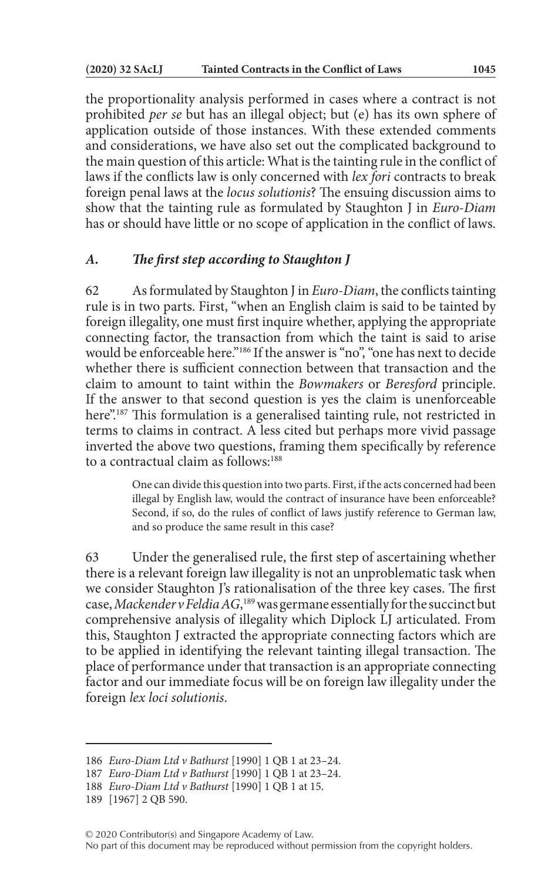the proportionality analysis performed in cases where a contract is not prohibited *per se* but has an illegal object; but (e) has its own sphere of application outside of those instances. With these extended comments and considerations, we have also set out the complicated background to the main question of this article: What is the tainting rule in the conflict of laws if the conflicts law is only concerned with *lex fori* contracts to break foreign penal laws at the *locus solutionis*? The ensuing discussion aims to show that the tainting rule as formulated by Staughton J in *Euro-Diam* has or should have little or no scope of application in the conflict of laws.

### *A. The first step according to Staughton J*

62 As formulated by Staughton J in *Euro-Diam*, the conflicts tainting rule is in two parts. First, "when an English claim is said to be tainted by foreign illegality, one must first inquire whether, applying the appropriate connecting factor, the transaction from which the taint is said to arise would be enforceable here."186 If the answer is "no", "one has next to decide whether there is sufficient connection between that transaction and the claim to amount to taint within the *Bowmakers* or *Beresford* principle. If the answer to that second question is yes the claim is unenforceable here"<sup>187</sup> This formulation is a generalised tainting rule, not restricted in terms to claims in contract. A less cited but perhaps more vivid passage inverted the above two questions, framing them specifically by reference to a contractual claim as follows:188

> One can divide this question into two parts. First, if the acts concerned had been illegal by English law, would the contract of insurance have been enforceable? Second, if so, do the rules of conflict of laws justify reference to German law, and so produce the same result in this case?

63 Under the generalised rule, the first step of ascertaining whether there is a relevant foreign law illegality is not an unproblematic task when we consider Staughton J's rationalisation of the three key cases. The first case, *Mackender v Feldia AG*, 189 was germane essentially for the succinct but comprehensive analysis of illegality which Diplock LJ articulated. From this, Staughton J extracted the appropriate connecting factors which are to be applied in identifying the relevant tainting illegal transaction. The place of performance under that transaction is an appropriate connecting factor and our immediate focus will be on foreign law illegality under the foreign *lex loci solutionis*.

<sup>186</sup> *Euro-Diam Ltd v Bathurst* [1990] 1 QB 1 at 23–24.

<sup>187</sup> *Euro-Diam Ltd v Bathurst* [1990] 1 QB 1 at 23–24.

<sup>188</sup> *Euro-Diam Ltd v Bathurst* [1990] 1 QB 1 at 15.

<sup>189</sup> [1967] 2 QB 590.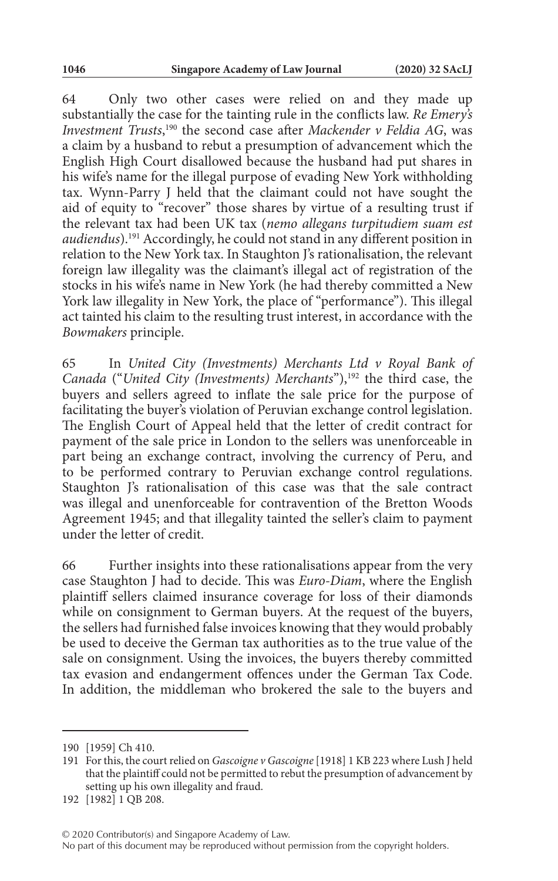64 Only two other cases were relied on and they made up substantially the case for the tainting rule in the conflicts law. *Re Emery's Investment Trusts*, 190 the second case after *Mackender v Feldia AG*, was a claim by a husband to rebut a presumption of advancement which the English High Court disallowed because the husband had put shares in his wife's name for the illegal purpose of evading New York withholding tax. Wynn-Parry J held that the claimant could not have sought the aid of equity to "recover" those shares by virtue of a resulting trust if the relevant tax had been UK tax (*nemo allegans turpitudiem suam est audiendus*).191 Accordingly, he could not stand in any different position in relation to the New York tax. In Staughton J's rationalisation, the relevant foreign law illegality was the claimant's illegal act of registration of the stocks in his wife's name in New York (he had thereby committed a New York law illegality in New York, the place of "performance"). This illegal act tainted his claim to the resulting trust interest, in accordance with the *Bowmakers* principle.

65 In *United City (Investments) Merchants Ltd v Royal Bank of Canada* ("*United City* (*Investments*) *Merchants*"),<sup>192</sup> the third case, the buyers and sellers agreed to inflate the sale price for the purpose of facilitating the buyer's violation of Peruvian exchange control legislation. The English Court of Appeal held that the letter of credit contract for payment of the sale price in London to the sellers was unenforceable in part being an exchange contract, involving the currency of Peru, and to be performed contrary to Peruvian exchange control regulations. Staughton J's rationalisation of this case was that the sale contract was illegal and unenforceable for contravention of the Bretton Woods Agreement 1945; and that illegality tainted the seller's claim to payment under the letter of credit.

66 Further insights into these rationalisations appear from the very case Staughton J had to decide. This was *Euro-Diam*, where the English plaintiff sellers claimed insurance coverage for loss of their diamonds while on consignment to German buyers. At the request of the buyers, the sellers had furnished false invoices knowing that they would probably be used to deceive the German tax authorities as to the true value of the sale on consignment. Using the invoices, the buyers thereby committed tax evasion and endangerment offences under the German Tax Code. In addition, the middleman who brokered the sale to the buyers and

<sup>190</sup> [1959] Ch 410.

<sup>191</sup> For this, the court relied on *Gascoigne v Gascoigne* [1918] 1 KB 223 where Lush J held that the plaintiff could not be permitted to rebut the presumption of advancement by setting up his own illegality and fraud.

<sup>192</sup> [1982] 1 QB 208.

No part of this document may be reproduced without permission from the copyright holders.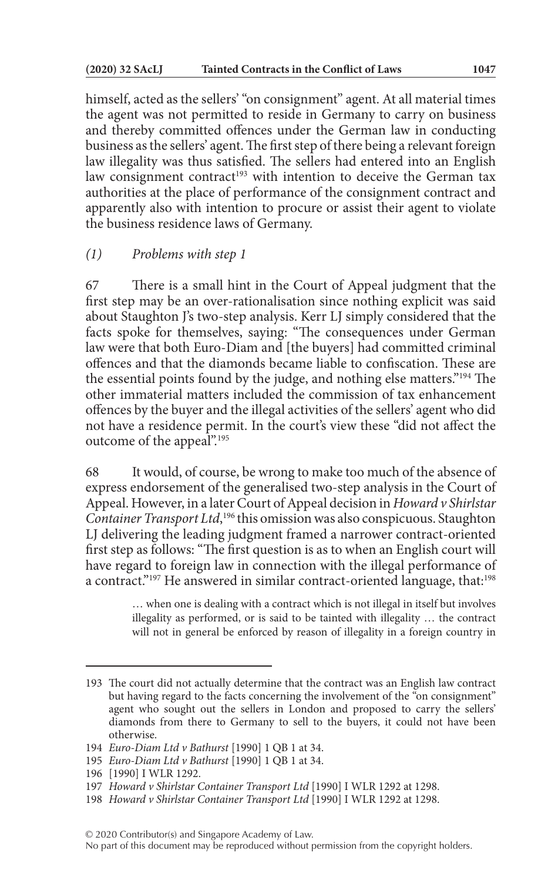himself, acted as the sellers' "on consignment" agent. At all material times the agent was not permitted to reside in Germany to carry on business and thereby committed offences under the German law in conducting business as the sellers' agent. The first step of there being a relevant foreign law illegality was thus satisfied. The sellers had entered into an English law consignment contract<sup>193</sup> with intention to deceive the German tax authorities at the place of performance of the consignment contract and apparently also with intention to procure or assist their agent to violate the business residence laws of Germany.

## *(1) Problems with step 1*

67 There is a small hint in the Court of Appeal judgment that the first step may be an over-rationalisation since nothing explicit was said about Staughton J's two-step analysis. Kerr LJ simply considered that the facts spoke for themselves, saying: "The consequences under German law were that both Euro-Diam and [the buyers] had committed criminal offences and that the diamonds became liable to confiscation. These are the essential points found by the judge, and nothing else matters."194 The other immaterial matters included the commission of tax enhancement offences by the buyer and the illegal activities of the sellers' agent who did not have a residence permit. In the court's view these "did not affect the outcome of the appeal".<sup>195</sup>

68 It would, of course, be wrong to make too much of the absence of express endorsement of the generalised two-step analysis in the Court of Appeal. However, in a later Court of Appeal decision in *Howard v Shirlstar*  Container Transport Ltd,<sup>196</sup> this omission was also conspicuous. Staughton LJ delivering the leading judgment framed a narrower contract-oriented first step as follows: "The first question is as to when an English court will have regard to foreign law in connection with the illegal performance of a contract."<sup>197</sup> He answered in similar contract-oriented language, that:<sup>198</sup>

> … when one is dealing with a contract which is not illegal in itself but involves illegality as performed, or is said to be tainted with illegality … the contract will not in general be enforced by reason of illegality in a foreign country in

<sup>193</sup> The court did not actually determine that the contract was an English law contract but having regard to the facts concerning the involvement of the "on consignment" agent who sought out the sellers in London and proposed to carry the sellers' diamonds from there to Germany to sell to the buyers, it could not have been otherwise.

<sup>194</sup> *Euro-Diam Ltd v Bathurst* [1990] 1 QB 1 at 34.

<sup>195</sup> *Euro-Diam Ltd v Bathurst* [1990] 1 QB 1 at 34.

<sup>196</sup> [1990] I WLR 1292.

<sup>197</sup> *Howard v Shirlstar Container Transport Ltd* [1990] I WLR 1292 at 1298.

<sup>198</sup> *Howard v Shirlstar Container Transport Ltd* [1990] I WLR 1292 at 1298.

No part of this document may be reproduced without permission from the copyright holders.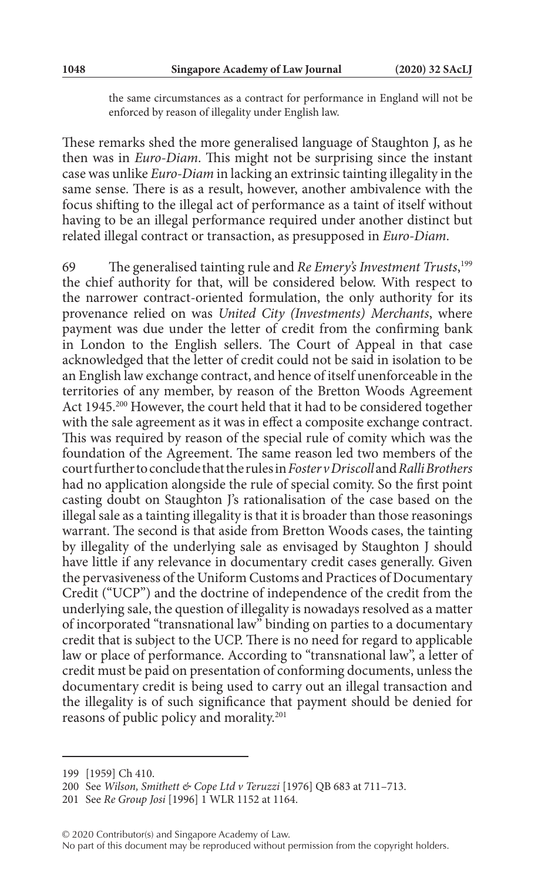the same circumstances as a contract for performance in England will not be enforced by reason of illegality under English law.

These remarks shed the more generalised language of Staughton J, as he then was in *Euro-Diam*. This might not be surprising since the instant case was unlike *Euro-Diam* in lacking an extrinsic tainting illegality in the same sense. There is as a result, however, another ambivalence with the focus shifting to the illegal act of performance as a taint of itself without having to be an illegal performance required under another distinct but related illegal contract or transaction, as presupposed in *Euro-Diam*.

69 The generalised tainting rule and *Re Emery's Investment Trusts*, 199 the chief authority for that, will be considered below. With respect to the narrower contract-oriented formulation, the only authority for its provenance relied on was *United City (Investments) Merchants*, where payment was due under the letter of credit from the confirming bank in London to the English sellers. The Court of Appeal in that case acknowledged that the letter of credit could not be said in isolation to be an English law exchange contract, and hence of itself unenforceable in the territories of any member, by reason of the Bretton Woods Agreement Act 1945.<sup>200</sup> However, the court held that it had to be considered together with the sale agreement as it was in effect a composite exchange contract. This was required by reason of the special rule of comity which was the foundation of the Agreement. The same reason led two members of the court further to conclude that the rules in *Foster v Driscoll* and *Ralli Brothers* had no application alongside the rule of special comity. So the first point casting doubt on Staughton J's rationalisation of the case based on the illegal sale as a tainting illegality is that it is broader than those reasonings warrant. The second is that aside from Bretton Woods cases, the tainting by illegality of the underlying sale as envisaged by Staughton J should have little if any relevance in documentary credit cases generally. Given the pervasiveness of the Uniform Customs and Practices of Documentary Credit ("UCP") and the doctrine of independence of the credit from the underlying sale, the question of illegality is nowadays resolved as a matter of incorporated "transnational law" binding on parties to a documentary credit that is subject to the UCP. There is no need for regard to applicable law or place of performance. According to "transnational law", a letter of credit must be paid on presentation of conforming documents, unless the documentary credit is being used to carry out an illegal transaction and the illegality is of such significance that payment should be denied for reasons of public policy and morality.201

<sup>199</sup> [1959] Ch 410.

<sup>200</sup> See *Wilson, Smithett & Cope Ltd v Teruzzi* [1976] QB 683 at 711–713.

<sup>201</sup> See *Re Group Josi* [1996] 1 WLR 1152 at 1164.

No part of this document may be reproduced without permission from the copyright holders.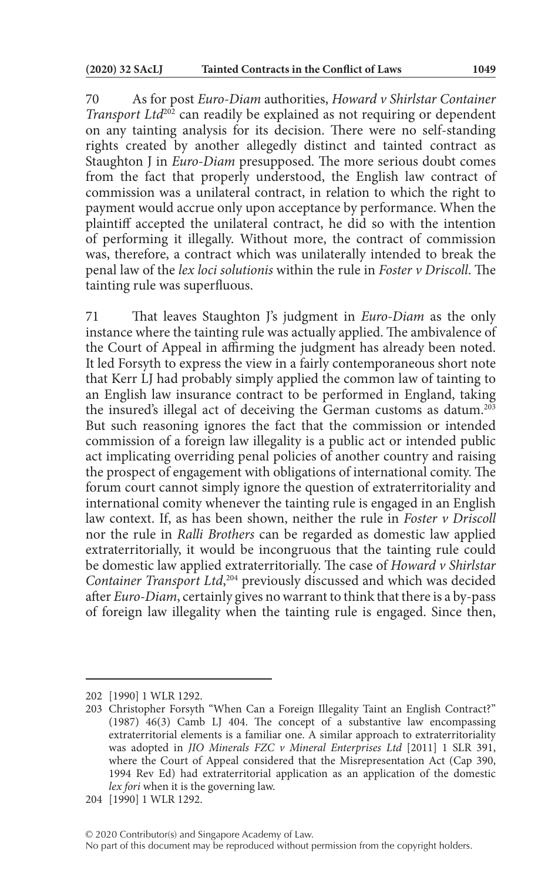70 As for post *Euro-Diam* authorities, *Howard v Shirlstar Container Transport Ltd*<sup>202</sup> can readily be explained as not requiring or dependent on any tainting analysis for its decision. There were no self-standing rights created by another allegedly distinct and tainted contract as Staughton J in *Euro-Diam* presupposed. The more serious doubt comes from the fact that properly understood, the English law contract of commission was a unilateral contract, in relation to which the right to payment would accrue only upon acceptance by performance. When the plaintiff accepted the unilateral contract, he did so with the intention of performing it illegally. Without more, the contract of commission was, therefore, a contract which was unilaterally intended to break the penal law of the *lex loci solutionis* within the rule in *Foster v Driscoll*. The tainting rule was superfluous.

71 That leaves Staughton J's judgment in *Euro-Diam* as the only instance where the tainting rule was actually applied. The ambivalence of the Court of Appeal in affirming the judgment has already been noted. It led Forsyth to express the view in a fairly contemporaneous short note that Kerr LJ had probably simply applied the common law of tainting to an English law insurance contract to be performed in England, taking the insured's illegal act of deceiving the German customs as datum.203 But such reasoning ignores the fact that the commission or intended commission of a foreign law illegality is a public act or intended public act implicating overriding penal policies of another country and raising the prospect of engagement with obligations of international comity. The forum court cannot simply ignore the question of extraterritoriality and international comity whenever the tainting rule is engaged in an English law context. If, as has been shown, neither the rule in *Foster v Driscoll* nor the rule in *Ralli Brothers* can be regarded as domestic law applied extraterritorially, it would be incongruous that the tainting rule could be domestic law applied extraterritorially. The case of *Howard v Shirlstar Container Transport Ltd*, 204 previously discussed and which was decided after *Euro-Diam*, certainly gives no warrant to think that there is a by-pass of foreign law illegality when the tainting rule is engaged. Since then,

<sup>202</sup> [1990] 1 WLR 1292.

<sup>203</sup> Christopher Forsyth "When Can a Foreign Illegality Taint an English Contract?" (1987) 46(3) Camb LJ 404. The concept of a substantive law encompassing extraterritorial elements is a familiar one. A similar approach to extraterritoriality was adopted in *JIO Minerals FZC v Mineral Enterprises Ltd* [2011] 1 SLR 391, where the Court of Appeal considered that the Misrepresentation Act (Cap 390, 1994 Rev Ed) had extraterritorial application as an application of the domestic *lex fori* when it is the governing law.

<sup>204</sup> [1990] 1 WLR 1292.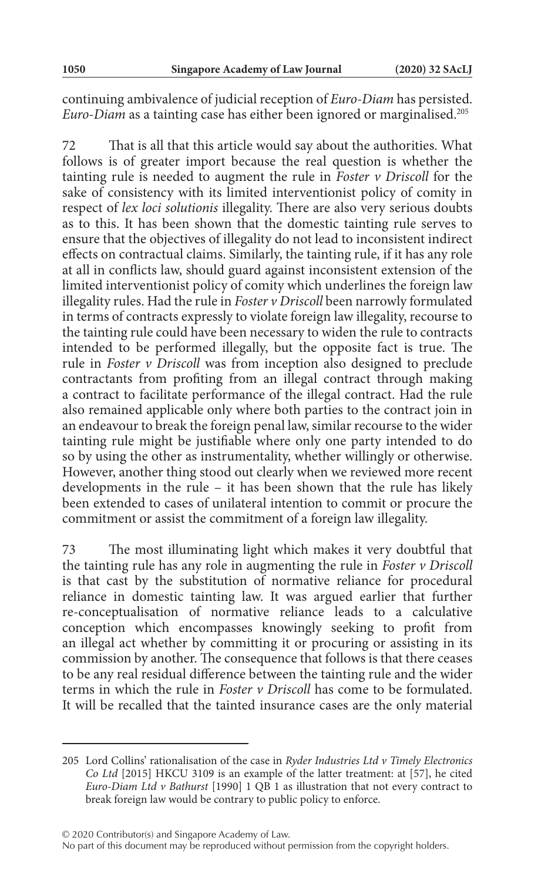continuing ambivalence of judicial reception of *Euro-Diam* has persisted. *Euro-Diam* as a tainting case has either been ignored or marginalised.205

72 That is all that this article would say about the authorities. What follows is of greater import because the real question is whether the tainting rule is needed to augment the rule in *Foster v Driscoll* for the sake of consistency with its limited interventionist policy of comity in respect of *lex loci solutionis* illegality. There are also very serious doubts as to this. It has been shown that the domestic tainting rule serves to ensure that the objectives of illegality do not lead to inconsistent indirect effects on contractual claims. Similarly, the tainting rule, if it has any role at all in conflicts law, should guard against inconsistent extension of the limited interventionist policy of comity which underlines the foreign law illegality rules. Had the rule in *Foster v Driscoll* been narrowly formulated in terms of contracts expressly to violate foreign law illegality, recourse to the tainting rule could have been necessary to widen the rule to contracts intended to be performed illegally, but the opposite fact is true. The rule in *Foster v Driscoll* was from inception also designed to preclude contractants from profiting from an illegal contract through making a contract to facilitate performance of the illegal contract. Had the rule also remained applicable only where both parties to the contract join in an endeavour to break the foreign penal law, similar recourse to the wider tainting rule might be justifiable where only one party intended to do so by using the other as instrumentality, whether willingly or otherwise. However, another thing stood out clearly when we reviewed more recent developments in the rule – it has been shown that the rule has likely been extended to cases of unilateral intention to commit or procure the commitment or assist the commitment of a foreign law illegality.

73 The most illuminating light which makes it very doubtful that the tainting rule has any role in augmenting the rule in *Foster v Driscoll* is that cast by the substitution of normative reliance for procedural reliance in domestic tainting law. It was argued earlier that further re-conceptualisation of normative reliance leads to a calculative conception which encompasses knowingly seeking to profit from an illegal act whether by committing it or procuring or assisting in its commission by another. The consequence that follows is that there ceases to be any real residual difference between the tainting rule and the wider terms in which the rule in *Foster v Driscoll* has come to be formulated. It will be recalled that the tainted insurance cases are the only material

© 2020 Contributor(s) and Singapore Academy of Law.

<sup>205</sup> Lord Collins' rationalisation of the case in *Ryder Industries Ltd v Timely Electronics Co Ltd* [2015] HKCU 3109 is an example of the latter treatment: at [57], he cited *Euro-Diam Ltd v Bathurst* [1990] 1 QB 1 as illustration that not every contract to break foreign law would be contrary to public policy to enforce.

No part of this document may be reproduced without permission from the copyright holders.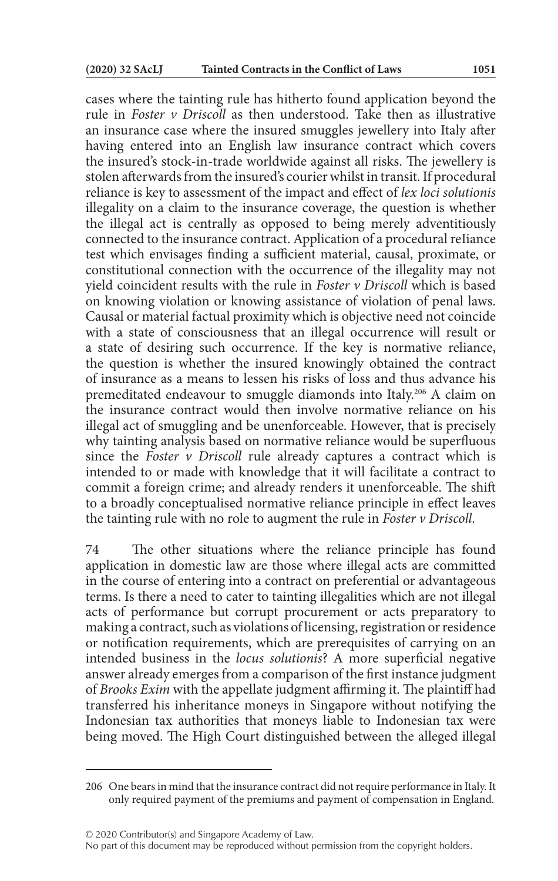cases where the tainting rule has hitherto found application beyond the rule in *Foster v Driscoll* as then understood. Take then as illustrative an insurance case where the insured smuggles jewellery into Italy after having entered into an English law insurance contract which covers the insured's stock-in-trade worldwide against all risks. The jewellery is stolen afterwards from the insured's courier whilst in transit. If procedural reliance is key to assessment of the impact and effect of *lex loci solutionis* illegality on a claim to the insurance coverage, the question is whether the illegal act is centrally as opposed to being merely adventitiously connected to the insurance contract. Application of a procedural reIiance test which envisages finding a sufficient material, causal, proximate, or constitutional connection with the occurrence of the illegality may not yield coincident results with the rule in *Foster v Driscoll* which is based on knowing violation or knowing assistance of violation of penal laws. Causal or material factual proximity which is objective need not coincide with a state of consciousness that an illegal occurrence will result or a state of desiring such occurrence. If the key is normative reliance, the question is whether the insured knowingly obtained the contract of insurance as a means to lessen his risks of loss and thus advance his premeditated endeavour to smuggle diamonds into Italy.206 A claim on the insurance contract would then involve normative reliance on his illegal act of smuggling and be unenforceable. However, that is precisely why tainting analysis based on normative reliance would be superfluous since the *Foster v Driscoll* rule already captures a contract which is intended to or made with knowledge that it will facilitate a contract to commit a foreign crime; and already renders it unenforceable. The shift to a broadly conceptualised normative reliance principle in effect leaves the tainting rule with no role to augment the rule in *Foster v Driscoll*.

74 The other situations where the reliance principle has found application in domestic law are those where illegal acts are committed in the course of entering into a contract on preferential or advantageous terms. Is there a need to cater to tainting illegalities which are not illegal acts of performance but corrupt procurement or acts preparatory to making a contract, such as violations of licensing, registration or residence or notification requirements, which are prerequisites of carrying on an intended business in the *locus solutionis*? A more superficial negative answer already emerges from a comparison of the first instance judgment of *Brooks Exim* with the appellate judgment affirming it. The plaintiff had transferred his inheritance moneys in Singapore without notifying the Indonesian tax authorities that moneys liable to Indonesian tax were being moved. The High Court distinguished between the alleged illegal

<sup>206</sup> One bears in mind that the insurance contract did not require performance in Italy. It only required payment of the premiums and payment of compensation in England.

No part of this document may be reproduced without permission from the copyright holders.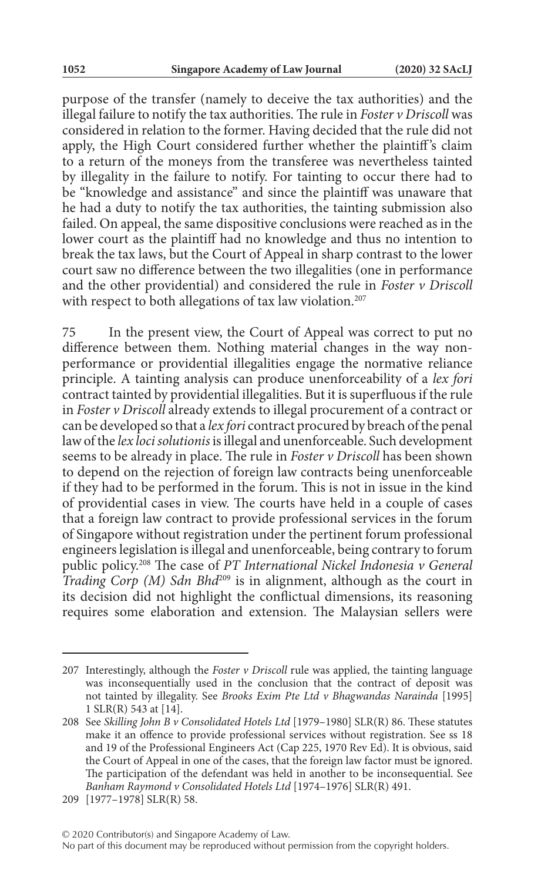purpose of the transfer (namely to deceive the tax authorities) and the illegal failure to notify the tax authorities. The rule in *Foster v Driscoll* was considered in relation to the former. Having decided that the rule did not apply, the High Court considered further whether the plaintiff's claim to a return of the moneys from the transferee was nevertheless tainted by illegality in the failure to notify. For tainting to occur there had to be "knowledge and assistance" and since the plaintiff was unaware that he had a duty to notify the tax authorities, the tainting submission also failed. On appeal, the same dispositive conclusions were reached as in the lower court as the plaintiff had no knowledge and thus no intention to break the tax laws, but the Court of Appeal in sharp contrast to the lower court saw no difference between the two illegalities (one in performance and the other providential) and considered the rule in *Foster v Driscoll* with respect to both allegations of tax law violation.<sup>207</sup>

75 In the present view, the Court of Appeal was correct to put no difference between them. Nothing material changes in the way nonperformance or providential illegalities engage the normative reliance principle. A tainting analysis can produce unenforceability of a *lex fori* contract tainted by providential illegalities. But it is superfluous if the rule in *Foster v Driscoll* already extends to illegal procurement of a contract or can be developed so that a *lex fori* contract procured by breach of the penal law of the *lex loci solutionis* is illegal and unenforceable. Such development seems to be already in place. The rule in *Foster v Driscoll* has been shown to depend on the rejection of foreign law contracts being unenforceable if they had to be performed in the forum. This is not in issue in the kind of providential cases in view. The courts have held in a couple of cases that a foreign law contract to provide professional services in the forum of Singapore without registration under the pertinent forum professional engineers legislation is illegal and unenforceable, being contrary to forum public policy.208 The case of *PT International Nickel Indonesia v General Trading Corp (M) Sdn Bhd*<sup>209</sup> is in alignment, although as the court in its decision did not highlight the conflictual dimensions, its reasoning requires some elaboration and extension. The Malaysian sellers were

<sup>207</sup> Interestingly, although the *Foster v Driscoll* rule was applied, the tainting language was inconsequentially used in the conclusion that the contract of deposit was not tainted by illegality. See *Brooks Exim Pte Ltd v Bhagwandas Narainda* [1995] 1 SLR(R) 543 at [14].

<sup>208</sup> See *Skilling John B v Consolidated Hotels Ltd* [1979–1980] SLR(R) 86. These statutes make it an offence to provide professional services without registration. See ss 18 and 19 of the Professional Engineers Act (Cap 225, 1970 Rev Ed). It is obvious, said the Court of Appeal in one of the cases, that the foreign law factor must be ignored. The participation of the defendant was held in another to be inconsequential. See *Banham Raymond v Consolidated Hotels Ltd* [1974–1976] SLR(R) 491.

<sup>209</sup> [1977–1978] SLR(R) 58.

No part of this document may be reproduced without permission from the copyright holders.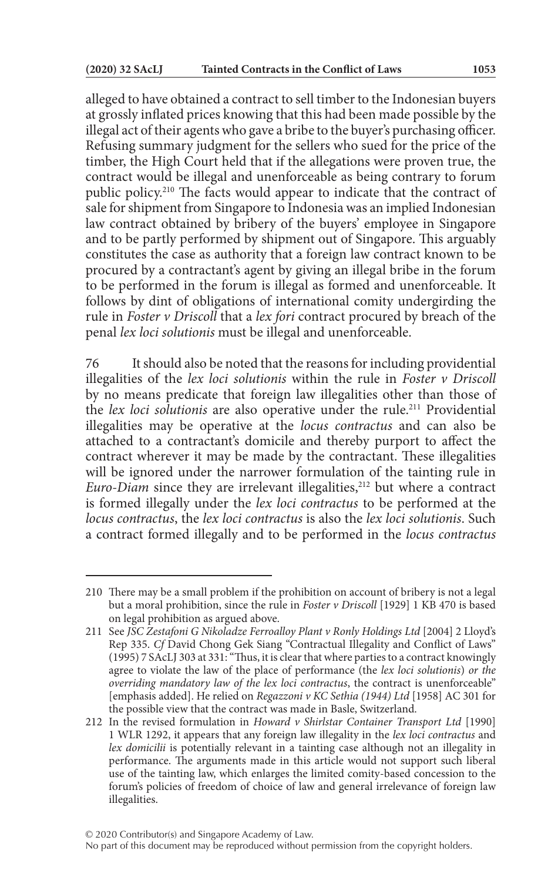alleged to have obtained a contract to sell timber to the Indonesian buyers at grossly inflated prices knowing that this had been made possible by the illegal act of their agents who gave a bribe to the buyer's purchasing officer. Refusing summary judgment for the sellers who sued for the price of the timber, the High Court held that if the allegations were proven true, the contract would be illegal and unenforceable as being contrary to forum public policy.210 The facts would appear to indicate that the contract of sale for shipment from Singapore to Indonesia was an implied Indonesian law contract obtained by bribery of the buyers' employee in Singapore and to be partly performed by shipment out of Singapore. This arguably constitutes the case as authority that a foreign law contract known to be procured by a contractant's agent by giving an illegal bribe in the forum to be performed in the forum is illegal as formed and unenforceable. It follows by dint of obligations of international comity undergirding the rule in *Foster v Driscoll* that a *lex fori* contract procured by breach of the penal *lex loci solutionis* must be illegal and unenforceable.

76 It should also be noted that the reasons for including providential illegalities of the *lex loci solutionis* within the rule in *Foster v Driscoll* by no means predicate that foreign law illegalities other than those of the *lex loci solutionis* are also operative under the rule.<sup>211</sup> Providential illegalities may be operative at the *locus contractus* and can also be attached to a contractant's domicile and thereby purport to affect the contract wherever it may be made by the contractant. These illegalities will be ignored under the narrower formulation of the tainting rule in *Euro-Diam* since they are irrelevant illegalities,<sup>212</sup> but where a contract is formed illegally under the *lex loci contractus* to be performed at the *locus contractus*, the *lex loci contractus* is also the *lex loci solutionis*. Such a contract formed illegally and to be performed in the *locus contractus*

<sup>210</sup> There may be a small problem if the prohibition on account of bribery is not a legal but a moral prohibition, since the rule in *Foster v Driscoll* [1929] 1 KB 470 is based on legal prohibition as argued above.

<sup>211</sup> See *JSC Zestafoni G Nikoladze Ferroalloy Plant v Ronly Holdings Ltd* [2004] 2 Lloyd's Rep 335. *Cf* David Chong Gek Siang "Contractual Illegality and Conflict of Laws" (1995) 7 SAcLJ 303 at 331: "Thus, it is clear that where parties to a contract knowingly agree to violate the law of the place of performance (the *lex loci solutionis*) *or the overriding mandatory law of the lex loci contractus*, the contract is unenforceable" [emphasis added]. He relied on *Regazzoni v KC Sethia (1944) Ltd* [1958] AC 301 for the possible view that the contract was made in Basle, Switzerland.

<sup>212</sup> In the revised formulation in *Howard v Shirlstar Container Transport Ltd* [1990] 1 WLR 1292, it appears that any foreign law illegality in the *lex loci contractus* and *lex domicilii* is potentially relevant in a tainting case although not an illegality in performance. The arguments made in this article would not support such liberal use of the tainting law, which enlarges the limited comity-based concession to the forum's policies of freedom of choice of law and general irrelevance of foreign law illegalities.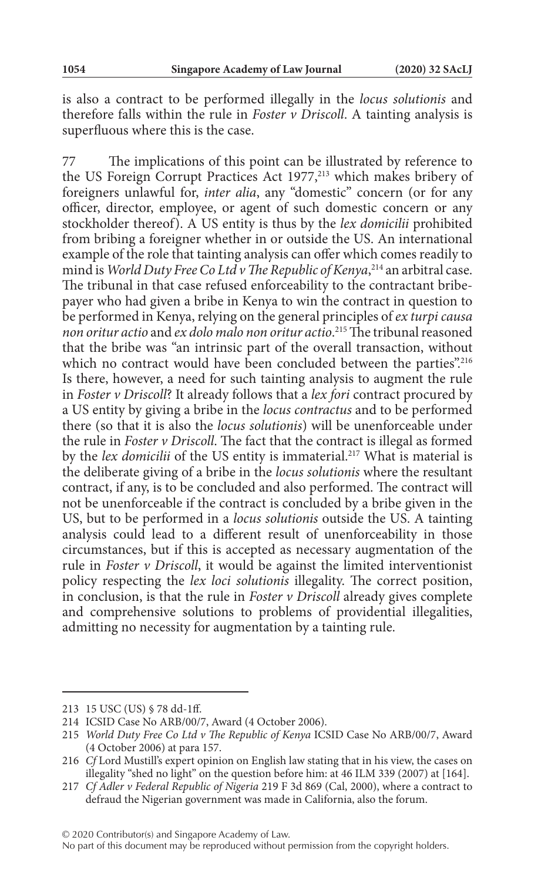is also a contract to be performed illegally in the *locus solutionis* and therefore falls within the rule in *Foster v Driscoll*. A tainting analysis is superfluous where this is the case.

77 The implications of this point can be illustrated by reference to the US Foreign Corrupt Practices Act 1977,<sup>213</sup> which makes bribery of foreigners unlawful for, *inter alia*, any "domestic" concern (or for any officer, director, employee, or agent of such domestic concern or any stockholder thereof). A US entity is thus by the *lex domicilii* prohibited from bribing a foreigner whether in or outside the US. An international example of the role that tainting analysis can offer which comes readily to mind is *World Duty Free Co Ltd v The Republic of Kenya*, 214 an arbitral case. The tribunal in that case refused enforceability to the contractant bribepayer who had given a bribe in Kenya to win the contract in question to be performed in Kenya, relying on the general principles of *ex turpi causa non oritur actio* and *ex dolo malo non oritur actio*. 215 The tribunal reasoned that the bribe was "an intrinsic part of the overall transaction, without which no contract would have been concluded between the parties".<sup>216</sup> Is there, however, a need for such tainting analysis to augment the rule in *Foster v Driscoll*? It already follows that a *lex fori* contract procured by a US entity by giving a bribe in the *locus contractus* and to be performed there (so that it is also the *locus solutionis*) will be unenforceable under the rule in *Foster v Driscoll*. The fact that the contract is illegal as formed by the *lex domicilii* of the US entity is immaterial.<sup>217</sup> What is material is the deliberate giving of a bribe in the *locus solutionis* where the resultant contract, if any, is to be concluded and also performed. The contract will not be unenforceable if the contract is concluded by a bribe given in the US, but to be performed in a *locus solutionis* outside the US. A tainting analysis could lead to a different result of unenforceability in those circumstances, but if this is accepted as necessary augmentation of the rule in *Foster v Driscoll*, it would be against the limited interventionist policy respecting the *lex loci solutionis* illegality. The correct position, in conclusion, is that the rule in *Foster v Driscoll* already gives complete and comprehensive solutions to problems of providential illegalities, admitting no necessity for augmentation by a tainting rule.

© 2020 Contributor(s) and Singapore Academy of Law.

<sup>213</sup> 15 USC (US) § 78 dd-1ff.

<sup>214</sup> ICSID Case No ARB/00/7, Award (4 October 2006).

<sup>215</sup> *World Duty Free Co Ltd v The Republic of Kenya* ICSID Case No ARB/00/7, Award (4 October 2006) at para 157.

<sup>216</sup> *Cf* Lord Mustill's expert opinion on English law stating that in his view, the cases on illegality "shed no light" on the question before him: at 46 ILM 339 (2007) at [164].

<sup>217</sup> *Cf Adler v Federal Republic of Nigeria* 219 F 3d 869 (Cal, 2000), where a contract to defraud the Nigerian government was made in California, also the forum.

No part of this document may be reproduced without permission from the copyright holders.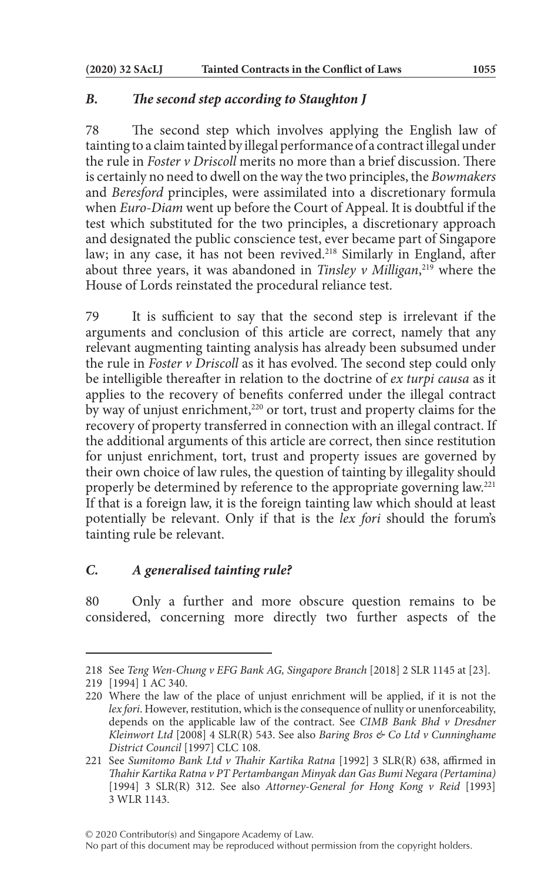### *B. The second step according to Staughton J*

78 The second step which involves applying the English law of tainting to a claim tainted by illegal performance of a contract illegal under the rule in *Foster v Driscoll* merits no more than a brief discussion. There is certainly no need to dwell on the way the two principles, the *Bowmakers* and *Beresford* principles, were assimilated into a discretionary formula when *Euro-Diam* went up before the Court of Appeal. It is doubtful if the test which substituted for the two principles, a discretionary approach and designated the public conscience test, ever became part of Singapore law; in any case, it has not been revived.<sup>218</sup> Similarly in England, after about three years, it was abandoned in *Tinsley v Milligan*, 219 where the House of Lords reinstated the procedural reliance test.

79 It is sufficient to say that the second step is irrelevant if the arguments and conclusion of this article are correct, namely that any relevant augmenting tainting analysis has already been subsumed under the rule in *Foster v Driscoll* as it has evolved. The second step could only be intelligible thereafter in relation to the doctrine of *ex turpi causa* as it applies to the recovery of benefits conferred under the illegal contract by way of unjust enrichment,<sup>220</sup> or tort, trust and property claims for the recovery of property transferred in connection with an illegal contract. If the additional arguments of this article are correct, then since restitution for unjust enrichment, tort, trust and property issues are governed by their own choice of law rules, the question of tainting by illegality should properly be determined by reference to the appropriate governing law.221 If that is a foreign law, it is the foreign tainting law which should at least potentially be relevant. Only if that is the *lex fori* should the forum's tainting rule be relevant.

# *C. A generalised tainting rule?*

80 Only a further and more obscure question remains to be considered, concerning more directly two further aspects of the

<sup>218</sup> See *Teng Wen-Chung v EFG Bank AG, Singapore Branch* [2018] 2 SLR 1145 at [23].

<sup>219</sup> [1994] 1 AC 340.

<sup>220</sup> Where the law of the place of unjust enrichment will be applied, if it is not the *lex fori*. However, restitution, which is the consequence of nullity or unenforceability, depends on the applicable law of the contract. See *CIMB Bank Bhd v Dresdner Kleinwort Ltd* [2008] 4 SLR(R) 543. See also *Baring Bros & Co Ltd v Cunninghame District Council* [1997] CLC 108.

<sup>221</sup> See *Sumitomo Bank Ltd v Thahir Kartika Ratna* [1992] 3 SLR(R) 638, affirmed in *Thahir Kartika Ratna v PT Pertambangan Minyak dan Gas Bumi Negara (Pertamina)* [1994] 3 SLR(R) 312. See also *Attorney-General for Hong Kong v Reid* [1993] 3 WLR 1143.

No part of this document may be reproduced without permission from the copyright holders.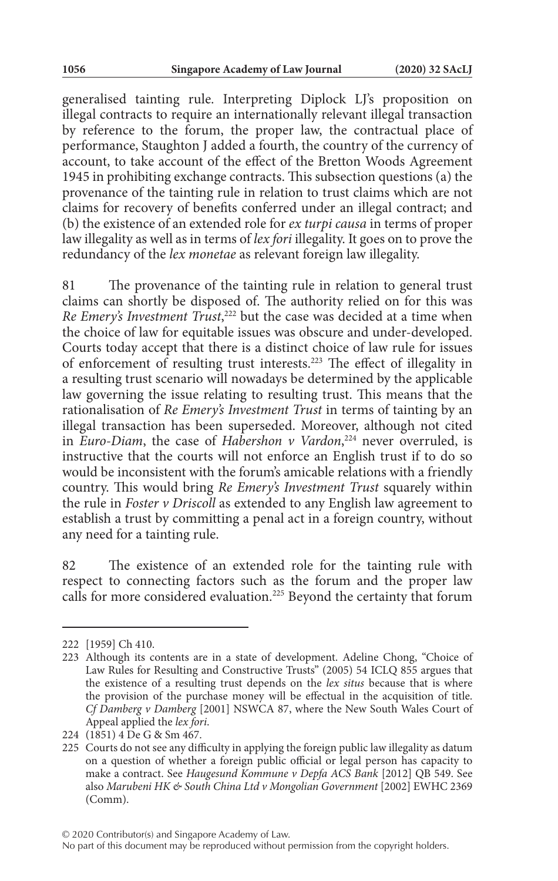generalised tainting rule. Interpreting Diplock LJ's proposition on illegal contracts to require an internationally relevant illegal transaction by reference to the forum, the proper law, the contractual place of performance, Staughton J added a fourth, the country of the currency of account, to take account of the effect of the Bretton Woods Agreement 1945 in prohibiting exchange contracts. This subsection questions (a) the provenance of the tainting rule in relation to trust claims which are not claims for recovery of benefits conferred under an illegal contract; and (b) the existence of an extended role for *ex turpi causa* in terms of proper law illegality as well as in terms of *lex fori* illegality. It goes on to prove the redundancy of the *lex monetae* as relevant foreign law illegality.

81 The provenance of the tainting rule in relation to general trust claims can shortly be disposed of. The authority relied on for this was Re *Emery's Investment Trust*,<sup>222</sup> but the case was decided at a time when the choice of law for equitable issues was obscure and under-developed. Courts today accept that there is a distinct choice of law rule for issues of enforcement of resulting trust interests.223 The effect of illegality in a resulting trust scenario will nowadays be determined by the applicable law governing the issue relating to resulting trust. This means that the rationalisation of *Re Emery's Investment Trust* in terms of tainting by an illegal transaction has been superseded. Moreover, although not cited in *Euro-Diam*, the case of *Habershon v Vardon*, 224 never overruled, is instructive that the courts will not enforce an English trust if to do so would be inconsistent with the forum's amicable relations with a friendly country. This would bring *Re Emery's Investment Trust* squarely within the rule in *Foster v Driscoll* as extended to any English law agreement to establish a trust by committing a penal act in a foreign country, without any need for a tainting rule.

82 The existence of an extended role for the tainting rule with respect to connecting factors such as the forum and the proper law calls for more considered evaluation.225 Beyond the certainty that forum

<sup>222</sup> [1959] Ch 410.

<sup>223</sup> Although its contents are in a state of development. Adeline Chong, "Choice of Law Rules for Resulting and Constructive Trusts" (2005) 54 ICLQ 855 argues that the existence of a resulting trust depends on the *lex situs* because that is where the provision of the purchase money will be effectual in the acquisition of title. *Cf Damberg v Damberg* [2001] NSWCA 87, where the New South Wales Court of Appeal applied the *lex fori*.

<sup>224</sup> (1851) 4 De G & Sm 467.

<sup>225</sup> Courts do not see any difficulty in applying the foreign public law illegality as datum on a question of whether a foreign public official or legal person has capacity to make a contract. See *Haugesund Kommune v Depfa ACS Bank* [2012] QB 549. See also *Marubeni HK & South China Ltd v Mongolian Government* [2002] EWHC 2369 (Comm).

No part of this document may be reproduced without permission from the copyright holders.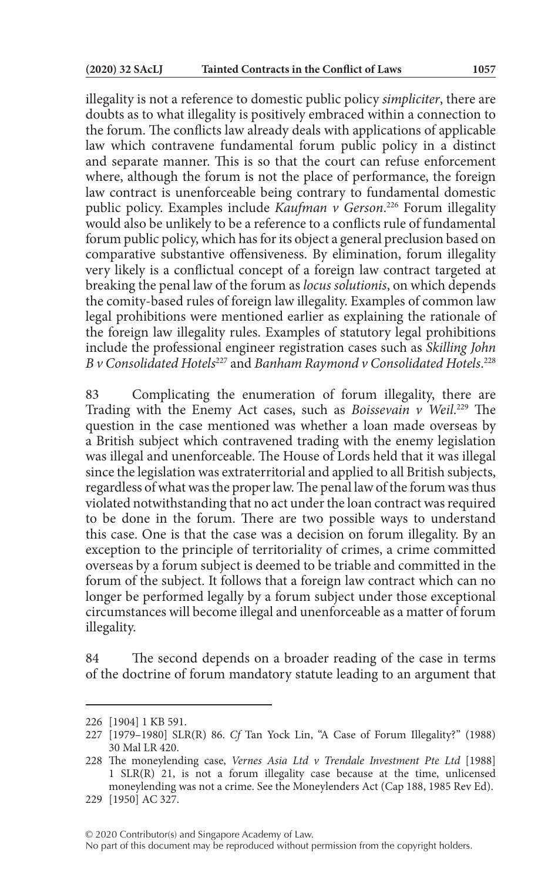illegality is not a reference to domestic public policy *simpliciter*, there are doubts as to what illegality is positively embraced within a connection to the forum. The conflicts law already deals with applications of applicable law which contravene fundamental forum public policy in a distinct and separate manner. This is so that the court can refuse enforcement where, although the forum is not the place of performance, the foreign law contract is unenforceable being contrary to fundamental domestic public policy. Examples include *Kaufman v Gerson*. 226 Forum illegality would also be unlikely to be a reference to a conflicts rule of fundamental forum public policy, which has for its object a general preclusion based on comparative substantive offensiveness. By elimination, forum illegality very likely is a conflictual concept of a foreign law contract targeted at breaking the penal law of the forum as *locus solutionis*, on which depends the comity-based rules of foreign law illegality. Examples of common law legal prohibitions were mentioned earlier as explaining the rationale of the foreign law illegality rules. Examples of statutory legal prohibitions include the professional engineer registration cases such as *Skilling John B v Consolidated Hotels*227 and *Banham Raymond v Consolidated Hotels*. 228

83 Complicating the enumeration of forum illegality, there are Trading with the Enemy Act cases, such as *Boissevain v Weil*. 229 The question in the case mentioned was whether a loan made overseas by a British subject which contravened trading with the enemy legislation was illegal and unenforceable. The House of Lords held that it was illegal since the legislation was extraterritorial and applied to all British subjects, regardless of what was the proper law. The penal law of the forum was thus violated notwithstanding that no act under the loan contract was required to be done in the forum. There are two possible ways to understand this case. One is that the case was a decision on forum illegality. By an exception to the principle of territoriality of crimes, a crime committed overseas by a forum subject is deemed to be triable and committed in the forum of the subject. It follows that a foreign law contract which can no longer be performed legally by a forum subject under those exceptional circumstances will become illegal and unenforceable as a matter of forum illegality.

84 The second depends on a broader reading of the case in terms of the doctrine of forum mandatory statute leading to an argument that

<sup>226</sup> [1904] 1 KB 591.

<sup>227</sup> [1979–1980] SLR(R) 86. *Cf* Tan Yock Lin, "A Case of Forum Illegality?" (1988) 30 Mal LR 420.

<sup>228</sup> The moneylending case, *Vernes Asia Ltd v Trendale Investment Pte Ltd* [1988] 1 SLR(R) 21, is not a forum illegality case because at the time, unlicensed moneylending was not a crime. See the Moneylenders Act (Cap 188, 1985 Rev Ed).

<sup>229</sup> [1950] AC 327.

No part of this document may be reproduced without permission from the copyright holders.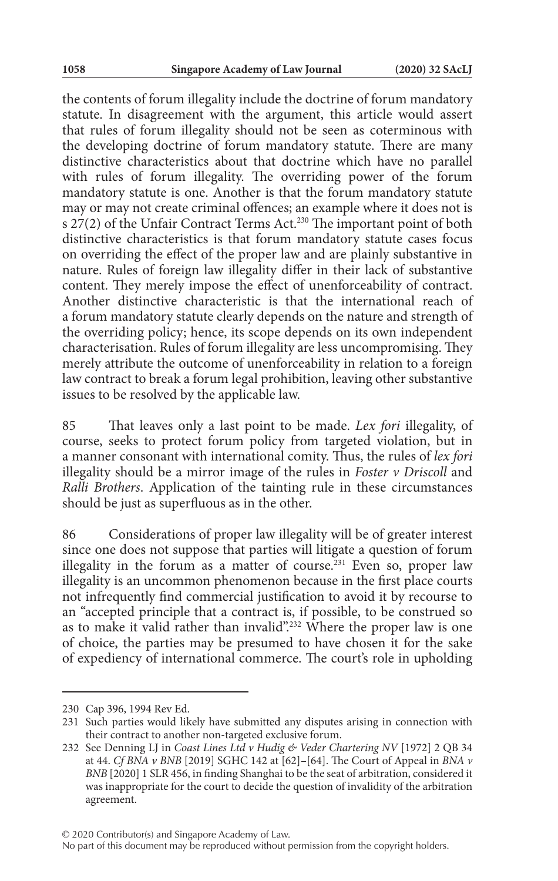the contents of forum illegality include the doctrine of forum mandatory statute. In disagreement with the argument, this article would assert that rules of forum illegality should not be seen as coterminous with the developing doctrine of forum mandatory statute. There are many distinctive characteristics about that doctrine which have no parallel with rules of forum illegality. The overriding power of the forum mandatory statute is one. Another is that the forum mandatory statute may or may not create criminal offences; an example where it does not is s  $27(2)$  of the Unfair Contract Terms Act.<sup>230</sup> The important point of both distinctive characteristics is that forum mandatory statute cases focus on overriding the effect of the proper law and are plainly substantive in nature. Rules of foreign law illegality differ in their lack of substantive content. They merely impose the effect of unenforceability of contract. Another distinctive characteristic is that the international reach of a forum mandatory statute clearly depends on the nature and strength of the overriding policy; hence, its scope depends on its own independent characterisation. Rules of forum illegality are less uncompromising. They merely attribute the outcome of unenforceability in relation to a foreign law contract to break a forum legal prohibition, leaving other substantive issues to be resolved by the applicable law.

85 That leaves only a last point to be made. *Lex fori* illegality, of course, seeks to protect forum policy from targeted violation, but in a manner consonant with international comity. Thus, the rules of *lex fori* illegality should be a mirror image of the rules in *Foster v Driscoll* and *Ralli Brothers*. Application of the tainting rule in these circumstances should be just as superfluous as in the other.

86 Considerations of proper law illegality will be of greater interest since one does not suppose that parties will litigate a question of forum illegality in the forum as a matter of course.<sup>231</sup> Even so, proper law illegality is an uncommon phenomenon because in the first place courts not infrequently find commercial justification to avoid it by recourse to an "accepted principle that a contract is, if possible, to be construed so as to make it valid rather than invalid".<sup>232</sup> Where the proper law is one of choice, the parties may be presumed to have chosen it for the sake of expediency of international commerce. The court's role in upholding

© 2020 Contributor(s) and Singapore Academy of Law.

<sup>230</sup> Cap 396, 1994 Rev Ed.

<sup>231</sup> Such parties would likely have submitted any disputes arising in connection with their contract to another non-targeted exclusive forum.

<sup>232</sup> See Denning LJ in *Coast Lines Ltd v Hudig & Veder Chartering NV* [1972] 2 QB 34 at 44. *Cf BNA v BNB* [2019] SGHC 142 at [62]–[64]. The Court of Appeal in *BNA v BNB* [2020] 1 SLR 456, in finding Shanghai to be the seat of arbitration, considered it was inappropriate for the court to decide the question of invalidity of the arbitration agreement.

No part of this document may be reproduced without permission from the copyright holders.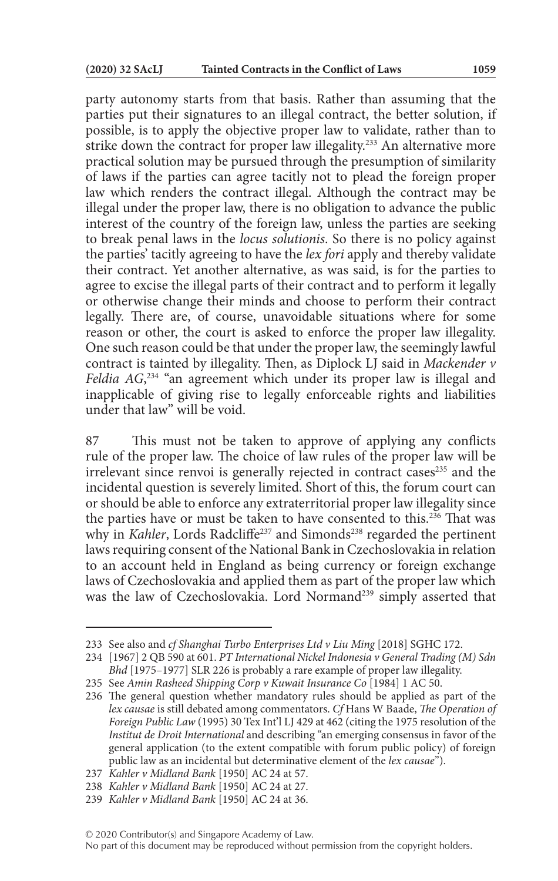party autonomy starts from that basis. Rather than assuming that the parties put their signatures to an illegal contract, the better solution, if possible, is to apply the objective proper law to validate, rather than to strike down the contract for proper law illegality.<sup>233</sup> An alternative more practical solution may be pursued through the presumption of similarity of laws if the parties can agree tacitly not to plead the foreign proper law which renders the contract illegal. Although the contract may be illegal under the proper law, there is no obligation to advance the public interest of the country of the foreign law, unless the parties are seeking to break penal laws in the *locus solutionis*. So there is no policy against the parties' tacitly agreeing to have the *lex fori* apply and thereby validate their contract. Yet another alternative, as was said, is for the parties to agree to excise the illegal parts of their contract and to perform it legally or otherwise change their minds and choose to perform their contract legally. There are, of course, unavoidable situations where for some reason or other, the court is asked to enforce the proper law illegality. One such reason could be that under the proper law, the seemingly lawful contract is tainted by illegality. Then, as Diplock LJ said in *Mackender v Feldia AG*, 234 "an agreement which under its proper law is illegal and inapplicable of giving rise to legally enforceable rights and liabilities under that law" will be void.

87 This must not be taken to approve of applying any conflicts rule of the proper law. The choice of law rules of the proper law will be irrelevant since renvoi is generally rejected in contract cases<sup>235</sup> and the incidental question is severely limited. Short of this, the forum court can or should be able to enforce any extraterritorial proper law illegality since the parties have or must be taken to have consented to this.<sup>236</sup> That was why in *Kahler*, Lords Radcliffe<sup>237</sup> and Simonds<sup>238</sup> regarded the pertinent laws requiring consent of the National Bank in Czechoslovakia in relation to an account held in England as being currency or foreign exchange laws of Czechoslovakia and applied them as part of the proper law which was the law of Czechoslovakia. Lord Normand<sup>239</sup> simply asserted that

<sup>233</sup> See also and *cf Shanghai Turbo Enterprises Ltd v Liu Ming* [2018] SGHC 172.

<sup>234</sup> [1967] 2 QB 590 at 601. *PT International Nickel Indonesia v General Trading (M) Sdn Bhd* [1975–1977] SLR 226 is probably a rare example of proper law illegality.

<sup>235</sup> See *Amin Rasheed Shipping Corp v Kuwait Insurance Co* [1984] 1 AC 50.

<sup>236</sup> The general question whether mandatory rules should be applied as part of the *lex causae* is still debated among commentators. *Cf* Hans W Baade, *The Operation of Foreign Public Law* (1995) 30 Tex Int'l LJ 429 at 462 (citing the 1975 resolution of the *Institut de Droit International* and describing "an emerging consensus in favor of the general application (to the extent compatible with forum public policy) of foreign public law as an incidental but determinative element of the *lex causae*").

<sup>237</sup> *Kahler v Midland Bank* [1950] AC 24 at 57.

<sup>238</sup> *Kahler v Midland Bank* [1950] AC 24 at 27.

<sup>239</sup> *Kahler v Midland Bank* [1950] AC 24 at 36.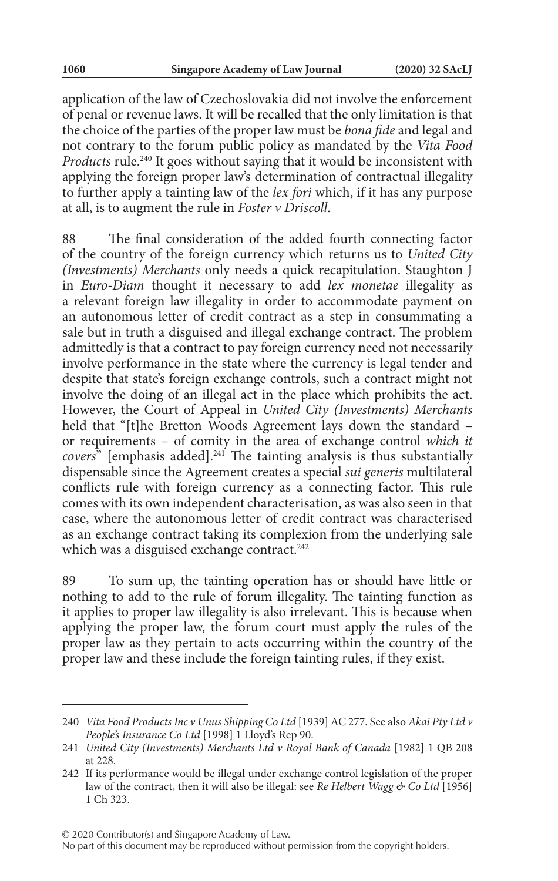application of the law of Czechoslovakia did not involve the enforcement of penal or revenue laws. It will be recalled that the only limitation is that the choice of the parties of the proper law must be *bona fide* and legal and not contrary to the forum public policy as mandated by the *Vita Food Products* rule.<sup>240</sup> It goes without saying that it would be inconsistent with applying the foreign proper law's determination of contractual illegality to further apply a tainting law of the *lex fori* which, if it has any purpose at all, is to augment the rule in *Foster v Driscoll*.

88 The final consideration of the added fourth connecting factor of the country of the foreign currency which returns us to *United City (Investments) Merchants* only needs a quick recapitulation. Staughton J in *Euro-Diam* thought it necessary to add *lex monetae* illegality as a relevant foreign law illegality in order to accommodate payment on an autonomous letter of credit contract as a step in consummating a sale but in truth a disguised and illegal exchange contract. The problem admittedly is that a contract to pay foreign currency need not necessarily involve performance in the state where the currency is legal tender and despite that state's foreign exchange controls, such a contract might not involve the doing of an illegal act in the place which prohibits the act. However, the Court of Appeal in *United City (Investments) Merchants* held that "[t]he Bretton Woods Agreement lays down the standard or requirements – of comity in the area of exchange control *which it covers*" [emphasis added].<sup>241</sup> The tainting analysis is thus substantially dispensable since the Agreement creates a special *sui generis* multilateral conflicts rule with foreign currency as a connecting factor. This rule comes with its own independent characterisation, as was also seen in that case, where the autonomous letter of credit contract was characterised as an exchange contract taking its complexion from the underlying sale which was a disguised exchange contract.<sup>242</sup>

89 To sum up, the tainting operation has or should have little or nothing to add to the rule of forum illegality. The tainting function as it applies to proper law illegality is also irrelevant. This is because when applying the proper law, the forum court must apply the rules of the proper law as they pertain to acts occurring within the country of the proper law and these include the foreign tainting rules, if they exist.

<sup>240</sup> *Vita Food Products Inc v Unus Shipping Co Ltd* [1939] AC 277. See also *Akai Pty Ltd v People's Insurance Co Ltd* [1998] 1 Lloyd's Rep 90.

<sup>241</sup> *United City (Investments) Merchants Ltd v Royal Bank of Canada* [1982] 1 QB 208 at 228.

<sup>242</sup> If its performance would be illegal under exchange control legislation of the proper law of the contract, then it will also be illegal: see *Re Helbert Wagg & Co Ltd* [1956] 1 Ch 323.

No part of this document may be reproduced without permission from the copyright holders.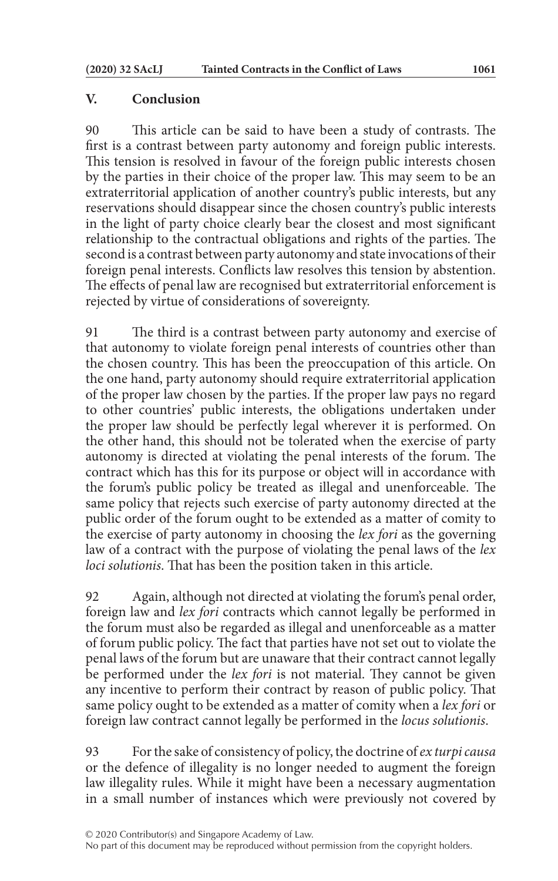## **V. Conclusion**

90 This article can be said to have been a study of contrasts. The first is a contrast between party autonomy and foreign public interests. This tension is resolved in favour of the foreign public interests chosen by the parties in their choice of the proper law. This may seem to be an extraterritorial application of another country's public interests, but any reservations should disappear since the chosen country's public interests in the light of party choice clearly bear the closest and most significant relationship to the contractual obligations and rights of the parties. The second is a contrast between party autonomy and state invocations of their foreign penal interests. Conflicts law resolves this tension by abstention. The effects of penal law are recognised but extraterritorial enforcement is rejected by virtue of considerations of sovereignty.

91 The third is a contrast between party autonomy and exercise of that autonomy to violate foreign penal interests of countries other than the chosen country. This has been the preoccupation of this article. On the one hand, party autonomy should require extraterritorial application of the proper law chosen by the parties. If the proper law pays no regard to other countries' public interests, the obligations undertaken under the proper law should be perfectly legal wherever it is performed. On the other hand, this should not be tolerated when the exercise of party autonomy is directed at violating the penal interests of the forum. The contract which has this for its purpose or object will in accordance with the forum's public policy be treated as illegal and unenforceable. The same policy that rejects such exercise of party autonomy directed at the public order of the forum ought to be extended as a matter of comity to the exercise of party autonomy in choosing the *lex fori* as the governing law of a contract with the purpose of violating the penal laws of the *lex loci solutionis*. That has been the position taken in this article.

92 Again, although not directed at violating the forum's penal order, foreign law and *lex fori* contracts which cannot legally be performed in the forum must also be regarded as illegal and unenforceable as a matter of forum public policy. The fact that parties have not set out to violate the penal laws of the forum but are unaware that their contract cannot legally be performed under the *lex fori* is not material. They cannot be given any incentive to perform their contract by reason of public policy. That same policy ought to be extended as a matter of comity when a *lex fori* or foreign law contract cannot legally be performed in the *locus solutionis*.

93 For the sake of consistency of policy, the doctrine of *ex turpi causa* or the defence of illegality is no longer needed to augment the foreign law illegality rules. While it might have been a necessary augmentation in a small number of instances which were previously not covered by